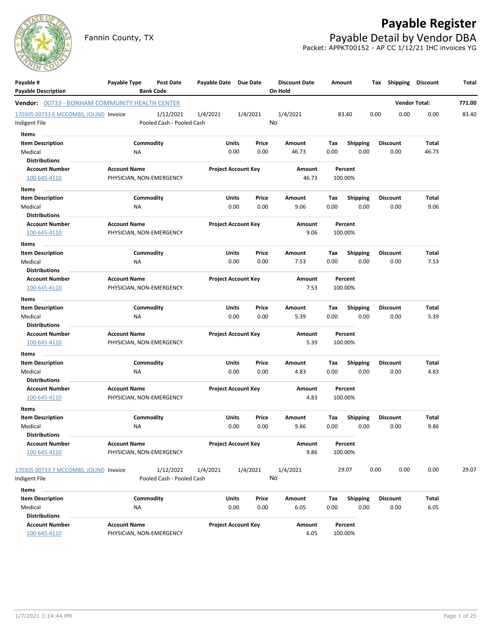



Fannin County, TX **Payable Detail by Vendor DBA** Packet: APPKT00152 - AP CC 1/12/21 IHC invoices YG



| Payable #                                             | Payable Type        | Post Date                 | Payable Date Due Date |                            |               | <b>Discount Date</b> | Amount      |                         | Тах  | Shipping                | <b>Discount</b> | Total  |
|-------------------------------------------------------|---------------------|---------------------------|-----------------------|----------------------------|---------------|----------------------|-------------|-------------------------|------|-------------------------|-----------------|--------|
| <b>Payable Description</b>                            |                     | <b>Bank Code</b>          |                       |                            |               | On Hold              |             |                         |      |                         |                 |        |
| <b>Vendor:</b> 00733 - BONHAM COMMUNITY HEALTH CENTER |                     |                           |                       |                            |               |                      |             |                         |      | <b>Vendor Total:</b>    |                 | 771.00 |
| 170305 00733 6 MCCOMBS, JOLIND Invoice                |                     | 1/12/2021                 | 1/4/2021              | 1/4/2021                   |               | 1/4/2021             |             | 83.40                   | 0.00 | 0.00                    | 0.00            | 83.40  |
| Indigent File                                         |                     | Pooled Cash - Pooled Cash |                       |                            |               | No                   |             |                         |      |                         |                 |        |
| Items                                                 |                     |                           |                       |                            |               |                      |             |                         |      |                         |                 |        |
| <b>Item Description</b>                               |                     | Commodity                 |                       | <b>Units</b>               | Price         | Amount               | Tax         | <b>Shipping</b>         |      | <b>Discount</b>         | Total           |        |
| Medical                                               | NA                  |                           |                       | 0.00                       | 0.00          | 46.73                | 0.00        | 0.00                    |      | 0.00                    | 46.73           |        |
| <b>Distributions</b>                                  |                     |                           |                       |                            |               |                      |             |                         |      |                         |                 |        |
| <b>Account Number</b><br>100-645-4110                 | <b>Account Name</b> | PHYSICIAN, NON-EMERGENCY  |                       | <b>Project Account Key</b> |               | Amount<br>46.73      |             | Percent<br>100.00%      |      |                         |                 |        |
|                                                       |                     |                           |                       |                            |               |                      |             |                         |      |                         |                 |        |
| Items                                                 |                     |                           |                       |                            |               |                      |             |                         |      |                         |                 |        |
| <b>Item Description</b>                               |                     | Commodity                 |                       | Units<br>0.00              | Price<br>0.00 | Amount<br>9.06       | Tax<br>0.00 | <b>Shipping</b><br>0.00 |      | <b>Discount</b><br>0.00 | Total<br>9.06   |        |
| Medical<br><b>Distributions</b>                       | <b>NA</b>           |                           |                       |                            |               |                      |             |                         |      |                         |                 |        |
| <b>Account Number</b>                                 | <b>Account Name</b> |                           |                       | <b>Project Account Key</b> |               | Amount               |             | Percent                 |      |                         |                 |        |
| 100-645-4110                                          |                     | PHYSICIAN, NON-EMERGENCY  |                       |                            |               | 9.06                 |             | 100.00%                 |      |                         |                 |        |
| Items                                                 |                     | Commodity                 |                       | <b>Units</b>               | Price         | Amount               | Tax         | Shipping                |      | <b>Discount</b>         | Total           |        |
| <b>Item Description</b><br>Medical                    | NA                  |                           |                       | 0.00                       | 0.00          | 7.53                 | 0.00        | 0.00                    |      | 0.00                    | 7.53            |        |
| <b>Distributions</b>                                  |                     |                           |                       |                            |               |                      |             |                         |      |                         |                 |        |
| <b>Account Number</b>                                 | <b>Account Name</b> |                           |                       | <b>Project Account Key</b> |               | Amount               |             | Percent                 |      |                         |                 |        |
| 100-645-4110                                          |                     | PHYSICIAN, NON-EMERGENCY  |                       |                            |               | 7.53                 |             | 100.00%                 |      |                         |                 |        |
| Items                                                 |                     |                           |                       |                            |               |                      |             |                         |      |                         |                 |        |
| <b>Item Description</b>                               |                     | Commodity                 |                       | <b>Units</b>               | Price         | Amount               | Tax         | <b>Shipping</b>         |      | <b>Discount</b>         | Total           |        |
| Medical                                               | NA                  |                           |                       | 0.00                       | 0.00          | 5.39                 | 0.00        | 0.00                    |      | 0.00                    | 5.39            |        |
| <b>Distributions</b>                                  |                     |                           |                       |                            |               |                      |             |                         |      |                         |                 |        |
| <b>Account Number</b>                                 | <b>Account Name</b> |                           |                       | <b>Project Account Key</b> |               | Amount               |             | Percent                 |      |                         |                 |        |
| 100-645-4110                                          |                     | PHYSICIAN, NON-EMERGENCY  |                       |                            |               | 5.39                 |             | 100.00%                 |      |                         |                 |        |
| Items                                                 |                     |                           |                       |                            |               |                      |             |                         |      |                         |                 |        |
| <b>Item Description</b>                               |                     | Commodity                 |                       | Units                      | Price         | Amount               | Tax         | <b>Shipping</b>         |      | <b>Discount</b>         | Total           |        |
| Medical                                               | <b>NA</b>           |                           |                       | 0.00                       | 0.00          | 4.83                 | 0.00        | 0.00                    |      | 0.00                    | 4.83            |        |
| <b>Distributions</b><br><b>Account Number</b>         | <b>Account Name</b> |                           |                       | <b>Project Account Key</b> |               | Amount               |             | Percent                 |      |                         |                 |        |
| 100-645-4110                                          |                     | PHYSICIAN, NON-EMERGENCY  |                       |                            |               | 4.83                 |             | 100.00%                 |      |                         |                 |        |
| Items                                                 |                     |                           |                       |                            |               |                      |             |                         |      |                         |                 |        |
| <b>Item Description</b>                               |                     | Commodity                 |                       | <b>Units</b>               | Price         | Amount               | Tax         | <b>Shipping</b>         |      | <b>Discount</b>         | Total           |        |
| Medical                                               | <b>NA</b>           |                           |                       | 0.00                       | 0.00          | 9.86                 | 0.00        | 0.00                    |      | 0.00                    | 9.86            |        |
| <b>Distributions</b>                                  |                     |                           |                       |                            |               |                      |             |                         |      |                         |                 |        |
| <b>Account Number</b>                                 | <b>Account Name</b> |                           |                       | <b>Project Account Key</b> |               | Amount               |             | Percent                 |      |                         |                 |        |
| 100-645-4110                                          |                     | PHYSICIAN, NON-EMERGENCY  |                       |                            |               | 9.86                 |             | 100.00%                 |      |                         |                 |        |
| 170305 00733 7 MCCOMBS, JOLIND Invoice                |                     | 1/12/2021                 | 1/4/2021              | 1/4/2021                   |               | 1/4/2021             |             | 29.07                   | 0.00 | 0.00                    | 0.00            | 29.07  |
| Indigent File                                         |                     | Pooled Cash - Pooled Cash |                       |                            |               | No                   |             |                         |      |                         |                 |        |
| Items                                                 |                     |                           |                       |                            |               |                      |             |                         |      |                         |                 |        |
| <b>Item Description</b>                               |                     | Commodity                 |                       | <b>Units</b>               | Price         | Amount               | Tax         | Shipping                |      | <b>Discount</b>         | Total           |        |
| Medical                                               | NA                  |                           |                       | 0.00                       | 0.00          | 6.05                 | 0.00        | 0.00                    |      | 0.00                    | 6.05            |        |
| <b>Distributions</b>                                  |                     |                           |                       |                            |               |                      |             |                         |      |                         |                 |        |
| <b>Account Number</b>                                 | <b>Account Name</b> |                           |                       | <b>Project Account Key</b> |               | Amount               |             | Percent                 |      |                         |                 |        |
| 100-645-4110                                          |                     | PHYSICIAN, NON-EMERGENCY  |                       |                            |               | 6.05                 |             | 100.00%                 |      |                         |                 |        |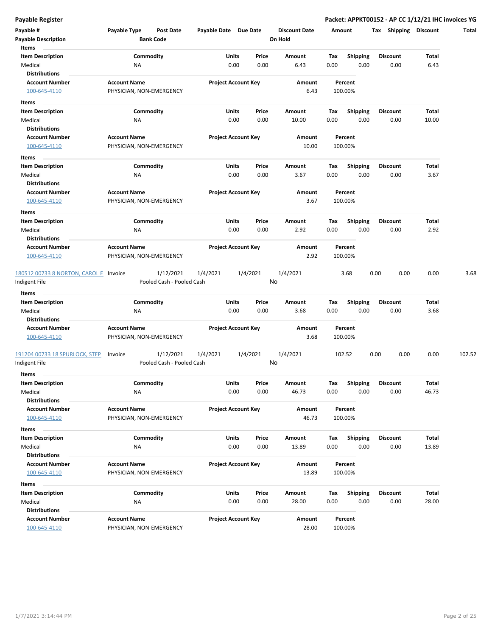| Payable #<br><b>Payable Description</b>                             | Payable Type                                    | Post Date<br><b>Bank Code</b>          | Payable Date Due Date |                            |               | <b>Discount Date</b><br>On Hold | Amount      |                         | <b>Shipping</b><br>Tax  | <b>Discount</b> | Total  |
|---------------------------------------------------------------------|-------------------------------------------------|----------------------------------------|-----------------------|----------------------------|---------------|---------------------------------|-------------|-------------------------|-------------------------|-----------------|--------|
| Items<br><b>Item Description</b><br>Medical<br><b>Distributions</b> | ΝA                                              | Commodity                              |                       | Units<br>0.00              | Price<br>0.00 | Amount<br>6.43                  | Tax<br>0.00 | <b>Shipping</b><br>0.00 | <b>Discount</b><br>0.00 | Total<br>6.43   |        |
| <b>Account Number</b><br>100-645-4110                               | <b>Account Name</b><br>PHYSICIAN, NON-EMERGENCY |                                        |                       | <b>Project Account Key</b> |               | Amount<br>6.43                  |             | Percent<br>100.00%      |                         |                 |        |
| Items<br><b>Item Description</b><br>Medical<br><b>Distributions</b> | ΝA                                              | Commodity                              |                       | Units<br>0.00              | Price<br>0.00 | Amount<br>10.00                 | Тах<br>0.00 | Shipping<br>0.00        | <b>Discount</b><br>0.00 | Total<br>10.00  |        |
| <b>Account Number</b><br>100-645-4110                               | <b>Account Name</b><br>PHYSICIAN, NON-EMERGENCY |                                        |                       | <b>Project Account Key</b> |               | Amount<br>10.00                 |             | Percent<br>100.00%      |                         |                 |        |
| Items<br><b>Item Description</b><br>Medical<br><b>Distributions</b> | ΝA                                              | Commodity                              |                       | <b>Units</b><br>0.00       | Price<br>0.00 | Amount<br>3.67                  | Tax<br>0.00 | <b>Shipping</b><br>0.00 | <b>Discount</b><br>0.00 | Total<br>3.67   |        |
| <b>Account Number</b><br>100-645-4110                               | <b>Account Name</b><br>PHYSICIAN, NON-EMERGENCY |                                        |                       | <b>Project Account Key</b> |               | Amount<br>3.67                  |             | Percent<br>100.00%      |                         |                 |        |
| Items<br><b>Item Description</b><br>Medical<br><b>Distributions</b> | <b>NA</b>                                       | Commodity                              |                       | Units<br>0.00              | Price<br>0.00 | Amount<br>2.92                  | Tax<br>0.00 | <b>Shipping</b><br>0.00 | <b>Discount</b><br>0.00 | Total<br>2.92   |        |
| <b>Account Number</b><br>100-645-4110                               | <b>Account Name</b><br>PHYSICIAN, NON-EMERGENCY |                                        |                       | <b>Project Account Key</b> |               | Amount<br>2.92                  |             | Percent<br>100.00%      |                         |                 |        |
| 180512 00733 8 NORTON, CAROL E Invoice<br>Indigent File             |                                                 | 1/12/2021<br>Pooled Cash - Pooled Cash | 1/4/2021              | 1/4/2021                   |               | 1/4/2021<br>No                  |             | 3.68                    | 0.00<br>0.00            | 0.00            | 3.68   |
| Items<br><b>Item Description</b><br>Medical<br><b>Distributions</b> | ΝA                                              | Commodity                              |                       | Units<br>0.00              | Price<br>0.00 | Amount<br>3.68                  | Tax<br>0.00 | <b>Shipping</b><br>0.00 | <b>Discount</b><br>0.00 | Total<br>3.68   |        |
| <b>Account Number</b><br>100-645-4110                               | <b>Account Name</b><br>PHYSICIAN, NON-EMERGENCY |                                        |                       | <b>Project Account Key</b> |               | Amount<br>3.68                  |             | Percent<br>100.00%      |                         |                 |        |
| 191204 00733 18 SPURLOCK, STEP<br>Indigent File                     | Invoice                                         | 1/12/2021<br>Pooled Cash - Pooled Cash | 1/4/2021              | 1/4/2021                   |               | 1/4/2021<br>No                  |             | 102.52                  | 0.00<br>0.00            | 0.00            | 102.52 |
| Items<br><b>Item Description</b><br>Medical<br><b>Distributions</b> | ΝA                                              | Commodity                              |                       | Units<br>0.00              | Price<br>0.00 | Amount<br>46.73                 | Tax<br>0.00 | <b>Shipping</b><br>0.00 | <b>Discount</b><br>0.00 | Total<br>46.73  |        |
| <b>Account Number</b><br>100-645-4110                               | <b>Account Name</b><br>PHYSICIAN, NON-EMERGENCY |                                        |                       | <b>Project Account Key</b> |               | Amount<br>46.73                 |             | Percent<br>100.00%      |                         |                 |        |
| Items<br>Item Description<br>Medical<br><b>Distributions</b>        | <b>NA</b>                                       | Commodity                              |                       | Units<br>0.00              | Price<br>0.00 | Amount<br>13.89                 | Tax<br>0.00 | <b>Shipping</b><br>0.00 | <b>Discount</b><br>0.00 | Total<br>13.89  |        |
| <b>Account Number</b><br>100-645-4110                               | <b>Account Name</b><br>PHYSICIAN, NON-EMERGENCY |                                        |                       | <b>Project Account Key</b> |               | Amount<br>13.89                 |             | Percent<br>100.00%      |                         |                 |        |
| Items<br><b>Item Description</b><br>Medical<br>Distributions        | ΝA                                              | Commodity                              |                       | Units<br>0.00              | Price<br>0.00 | Amount<br>28.00                 | Тах<br>0.00 | <b>Shipping</b><br>0.00 | Discount<br>0.00        | Total<br>28.00  |        |
| <b>Account Number</b><br>100-645-4110                               | <b>Account Name</b><br>PHYSICIAN, NON-EMERGENCY |                                        |                       | <b>Project Account Key</b> |               | Amount<br>28.00                 |             | Percent<br>100.00%      |                         |                 |        |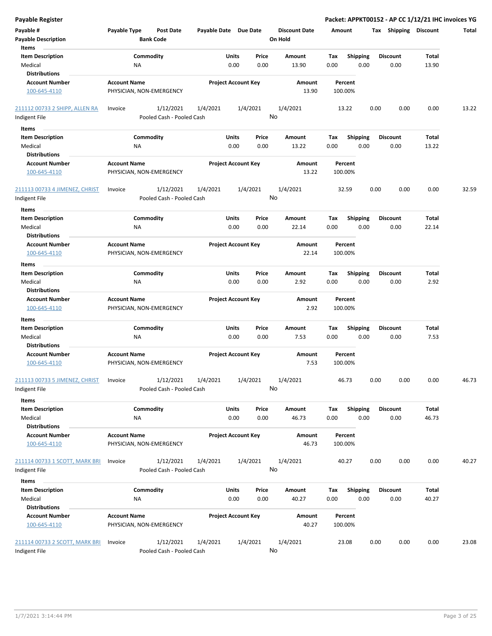| <b>Payable Register</b>        |                          |                           |                       |                            |          |                      |        |                 |      |                       |       | Packet: APPKT00152 - AP CC 1/12/21 IHC invoices YG |
|--------------------------------|--------------------------|---------------------------|-----------------------|----------------------------|----------|----------------------|--------|-----------------|------|-----------------------|-------|----------------------------------------------------|
| Payable #                      | Payable Type             | <b>Post Date</b>          | Payable Date Due Date |                            |          | <b>Discount Date</b> | Amount |                 |      | Tax Shipping Discount |       | Total                                              |
| <b>Payable Description</b>     |                          | <b>Bank Code</b>          |                       |                            |          | On Hold              |        |                 |      |                       |       |                                                    |
| Items                          |                          |                           |                       |                            |          |                      |        |                 |      |                       |       |                                                    |
| <b>Item Description</b>        |                          | Commodity                 |                       | Units                      | Price    | Amount               | Tax    | <b>Shipping</b> |      | <b>Discount</b>       | Total |                                                    |
| Medical                        | <b>NA</b>                |                           |                       | 0.00                       | 0.00     | 13.90                | 0.00   | 0.00            |      | 0.00                  | 13.90 |                                                    |
| <b>Distributions</b>           |                          |                           |                       |                            |          |                      |        |                 |      |                       |       |                                                    |
| <b>Account Number</b>          | <b>Account Name</b>      |                           |                       | <b>Project Account Key</b> |          | Amount               |        | Percent         |      |                       |       |                                                    |
| 100-645-4110                   | PHYSICIAN, NON-EMERGENCY |                           |                       |                            |          | 13.90                |        | 100.00%         |      |                       |       |                                                    |
| 211112 00733 2 SHIPP, ALLEN RA | Invoice                  | 1/12/2021                 | 1/4/2021              |                            | 1/4/2021 | 1/4/2021             |        | 13.22           | 0.00 | 0.00                  | 0.00  | 13.22                                              |
| Indigent File                  |                          | Pooled Cash - Pooled Cash |                       |                            | No       |                      |        |                 |      |                       |       |                                                    |
| Items                          |                          |                           |                       |                            |          |                      |        |                 |      |                       |       |                                                    |
| <b>Item Description</b>        |                          | Commodity                 |                       | <b>Units</b>               | Price    | Amount               | Tax    | <b>Shipping</b> |      | <b>Discount</b>       | Total |                                                    |
| Medical                        | ΝA                       |                           |                       | 0.00                       | 0.00     | 13.22                | 0.00   | 0.00            |      | 0.00                  | 13.22 |                                                    |
| <b>Distributions</b>           |                          |                           |                       |                            |          |                      |        |                 |      |                       |       |                                                    |
| <b>Account Number</b>          | <b>Account Name</b>      |                           |                       | <b>Project Account Key</b> |          | Amount               |        | Percent         |      |                       |       |                                                    |
| 100-645-4110                   | PHYSICIAN, NON-EMERGENCY |                           |                       |                            |          | 13.22                |        | 100.00%         |      |                       |       |                                                    |
| 211113 00733 4 JIMENEZ, CHRIST | Invoice                  | 1/12/2021                 | 1/4/2021              |                            | 1/4/2021 | 1/4/2021             |        | 32.59           | 0.00 | 0.00                  | 0.00  | 32.59                                              |
| Indigent File                  |                          | Pooled Cash - Pooled Cash |                       |                            |          | No                   |        |                 |      |                       |       |                                                    |
| Items                          |                          |                           |                       |                            |          |                      |        |                 |      |                       |       |                                                    |
| <b>Item Description</b>        |                          | Commodity                 |                       | Units                      | Price    | Amount               | Tax    | <b>Shipping</b> |      | <b>Discount</b>       | Total |                                                    |
| Medical                        | NA                       |                           |                       | 0.00                       | 0.00     | 22.14                | 0.00   | 0.00            |      | 0.00                  | 22.14 |                                                    |
| <b>Distributions</b>           |                          |                           |                       |                            |          |                      |        |                 |      |                       |       |                                                    |
| <b>Account Number</b>          | <b>Account Name</b>      |                           |                       | <b>Project Account Key</b> |          | Amount               |        | Percent         |      |                       |       |                                                    |
| 100-645-4110                   | PHYSICIAN, NON-EMERGENCY |                           |                       |                            |          | 22.14                |        | 100.00%         |      |                       |       |                                                    |
| Items                          |                          |                           |                       |                            |          |                      |        |                 |      |                       |       |                                                    |
| <b>Item Description</b>        |                          | Commodity                 |                       | Units                      | Price    | Amount               | Tax    | Shipping        |      | <b>Discount</b>       | Total |                                                    |
| Medical                        | NA                       |                           |                       | 0.00                       | 0.00     | 2.92                 | 0.00   | 0.00            |      | 0.00                  | 2.92  |                                                    |
| <b>Distributions</b>           |                          |                           |                       |                            |          |                      |        |                 |      |                       |       |                                                    |
| <b>Account Number</b>          | <b>Account Name</b>      |                           |                       | <b>Project Account Key</b> |          | Amount               |        | Percent         |      |                       |       |                                                    |
| 100-645-4110                   | PHYSICIAN, NON-EMERGENCY |                           |                       |                            |          | 2.92                 |        | 100.00%         |      |                       |       |                                                    |
| Items                          |                          |                           |                       |                            |          |                      |        |                 |      |                       |       |                                                    |
| <b>Item Description</b>        |                          | Commodity                 |                       | Units                      | Price    | Amount               | Tax    | <b>Shipping</b> |      | <b>Discount</b>       | Total |                                                    |
| Medical                        | <b>NA</b>                |                           |                       | 0.00                       | 0.00     | 7.53                 | 0.00   | 0.00            |      | 0.00                  | 7.53  |                                                    |
| <b>Distributions</b>           |                          |                           |                       |                            |          |                      |        |                 |      |                       |       |                                                    |
| <b>Account Number</b>          | <b>Account Name</b>      |                           |                       | <b>Project Account Key</b> |          | Amount               |        | Percent         |      |                       |       |                                                    |
| 100-645-4110                   | PHYSICIAN, NON-EMERGENCY |                           |                       |                            |          | 7.53                 |        | 100.00%         |      |                       |       |                                                    |
| 211113 00733 5 JIMENEZ, CHRIST | Invoice                  | 1/12/2021                 | 1/4/2021              |                            | 1/4/2021 | 1/4/2021             |        | 46.73           | 0.00 | 0.00                  | 0.00  | 46.73                                              |
| Indigent File                  |                          | Pooled Cash - Pooled Cash |                       |                            |          | No                   |        |                 |      |                       |       |                                                    |
| Items                          |                          |                           |                       |                            |          |                      |        |                 |      |                       |       |                                                    |
| <b>Item Description</b>        |                          | Commodity                 |                       | Units                      | Price    | Amount               | Tax    | <b>Shipping</b> |      | <b>Discount</b>       | Total |                                                    |
| Medical                        | NA                       |                           |                       | 0.00                       | 0.00     | 46.73                | 0.00   | 0.00            |      | 0.00                  | 46.73 |                                                    |
| <b>Distributions</b>           |                          |                           |                       |                            |          |                      |        |                 |      |                       |       |                                                    |
| <b>Account Number</b>          | <b>Account Name</b>      |                           |                       | <b>Project Account Key</b> |          | Amount               |        | Percent         |      |                       |       |                                                    |
| 100-645-4110                   | PHYSICIAN, NON-EMERGENCY |                           |                       |                            |          | 46.73                |        | 100.00%         |      |                       |       |                                                    |
| 211114 00733 1 SCOTT, MARK BRI | Invoice                  | 1/12/2021                 | 1/4/2021              |                            | 1/4/2021 | 1/4/2021             |        | 40.27           | 0.00 | 0.00                  | 0.00  | 40.27                                              |
| Indigent File                  |                          | Pooled Cash - Pooled Cash |                       |                            |          | No                   |        |                 |      |                       |       |                                                    |
| Items                          |                          |                           |                       |                            |          |                      |        |                 |      |                       |       |                                                    |
| <b>Item Description</b>        |                          | Commodity                 |                       | Units                      | Price    | Amount               | Tax    | <b>Shipping</b> |      | <b>Discount</b>       | Total |                                                    |
| Medical                        | ΝA                       |                           |                       | 0.00                       | 0.00     | 40.27                | 0.00   | 0.00            |      | 0.00                  | 40.27 |                                                    |
| <b>Distributions</b>           |                          |                           |                       |                            |          |                      |        |                 |      |                       |       |                                                    |
| <b>Account Number</b>          | <b>Account Name</b>      |                           |                       | <b>Project Account Key</b> |          | Amount               |        | Percent         |      |                       |       |                                                    |
| 100-645-4110                   | PHYSICIAN, NON-EMERGENCY |                           |                       |                            |          | 40.27                |        | 100.00%         |      |                       |       |                                                    |
|                                |                          |                           |                       |                            |          |                      |        |                 |      |                       |       |                                                    |
| 211114 00733 2 SCOTT, MARK BRI | Invoice                  | 1/12/2021                 | 1/4/2021              |                            | 1/4/2021 | 1/4/2021             |        | 23.08           | 0.00 | 0.00                  | 0.00  | 23.08                                              |
| Indigent File                  |                          | Pooled Cash - Pooled Cash |                       |                            |          | No                   |        |                 |      |                       |       |                                                    |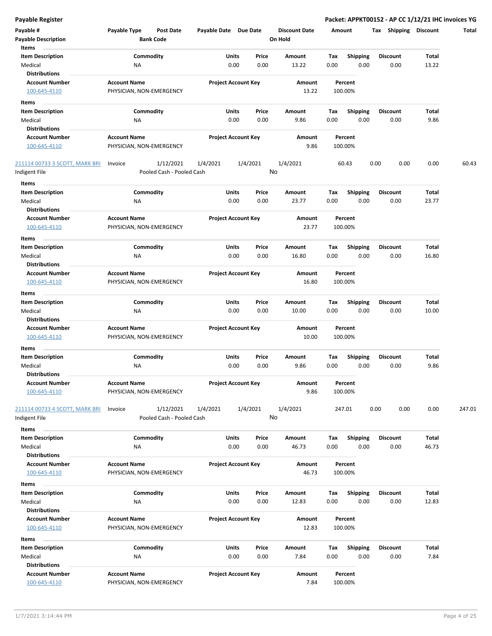| Payable #                             | Payable Type<br><b>Post Date</b>                | Payable Date Due Date      |          | <b>Discount Date</b> |      | Amount             | Shipping<br>Tax | <b>Discount</b> | Total  |
|---------------------------------------|-------------------------------------------------|----------------------------|----------|----------------------|------|--------------------|-----------------|-----------------|--------|
| <b>Payable Description</b>            | <b>Bank Code</b>                                |                            |          | On Hold              |      |                    |                 |                 |        |
| Items                                 |                                                 |                            |          |                      |      |                    |                 |                 |        |
| <b>Item Description</b>               | Commodity                                       | Units                      | Price    | Amount               | Tax  | Shipping           | Discount        | Total           |        |
| Medical                               | <b>NA</b>                                       | 0.00                       | 0.00     | 13.22                | 0.00 | 0.00               | 0.00            | 13.22           |        |
| <b>Distributions</b>                  |                                                 |                            |          |                      |      |                    |                 |                 |        |
| <b>Account Number</b><br>100-645-4110 | <b>Account Name</b><br>PHYSICIAN, NON-EMERGENCY | <b>Project Account Key</b> |          | Amount<br>13.22      |      | Percent<br>100.00% |                 |                 |        |
|                                       |                                                 |                            |          |                      |      |                    |                 |                 |        |
| Items                                 |                                                 |                            |          |                      |      |                    |                 |                 |        |
| <b>Item Description</b>               | Commodity                                       | Units                      | Price    | Amount               | Тах  | <b>Shipping</b>    | <b>Discount</b> | Total           |        |
| Medical<br><b>Distributions</b>       | <b>NA</b>                                       | 0.00                       | 0.00     | 9.86                 | 0.00 | 0.00               | 0.00            | 9.86            |        |
| <b>Account Number</b>                 |                                                 |                            |          |                      |      |                    |                 |                 |        |
|                                       | <b>Account Name</b>                             | <b>Project Account Key</b> |          | Amount<br>9.86       |      | Percent<br>100.00% |                 |                 |        |
| 100-645-4110                          | PHYSICIAN, NON-EMERGENCY                        |                            |          |                      |      |                    |                 |                 |        |
| 211114 00733 3 SCOTT, MARK BRI        | 1/12/2021<br>Invoice                            | 1/4/2021                   | 1/4/2021 | 1/4/2021             |      | 60.43              | 0.00<br>0.00    | 0.00            | 60.43  |
| Indigent File                         | Pooled Cash - Pooled Cash                       |                            |          | No                   |      |                    |                 |                 |        |
| Items                                 |                                                 |                            |          |                      |      |                    |                 |                 |        |
|                                       |                                                 |                            |          |                      |      |                    |                 |                 |        |
| <b>Item Description</b>               | Commodity                                       | <b>Units</b>               | Price    | Amount               | Tax  | <b>Shipping</b>    | <b>Discount</b> | Total           |        |
| Medical                               | ΝA                                              | 0.00                       | 0.00     | 23.77                | 0.00 | 0.00               | 0.00            | 23.77           |        |
| <b>Distributions</b>                  | <b>Account Name</b>                             |                            |          |                      |      |                    |                 |                 |        |
| <b>Account Number</b>                 |                                                 | <b>Project Account Key</b> |          | Amount<br>23.77      |      | Percent            |                 |                 |        |
| 100-645-4110                          | PHYSICIAN, NON-EMERGENCY                        |                            |          |                      |      | 100.00%            |                 |                 |        |
| Items                                 |                                                 |                            |          |                      |      |                    |                 |                 |        |
| <b>Item Description</b>               | Commodity                                       | Units                      | Price    | Amount               | Тах  | <b>Shipping</b>    | <b>Discount</b> | Total           |        |
| Medical                               | <b>NA</b>                                       | 0.00                       | 0.00     | 16.80                | 0.00 | 0.00               | 0.00            | 16.80           |        |
| <b>Distributions</b>                  |                                                 |                            |          |                      |      |                    |                 |                 |        |
| <b>Account Number</b>                 | <b>Account Name</b>                             | <b>Project Account Key</b> |          | Amount               |      | Percent            |                 |                 |        |
| 100-645-4110                          | PHYSICIAN, NON-EMERGENCY                        |                            |          | 16.80                |      | 100.00%            |                 |                 |        |
| Items                                 |                                                 |                            |          |                      |      |                    |                 |                 |        |
| <b>Item Description</b>               | Commodity                                       | Units                      | Price    | Amount               | Tax  | <b>Shipping</b>    | <b>Discount</b> | Total           |        |
| Medical                               | <b>NA</b>                                       | 0.00                       | 0.00     | 10.00                | 0.00 | 0.00               | 0.00            | 10.00           |        |
| <b>Distributions</b>                  |                                                 |                            |          |                      |      |                    |                 |                 |        |
| <b>Account Number</b>                 | <b>Account Name</b>                             | <b>Project Account Key</b> |          | Amount               |      | Percent            |                 |                 |        |
| 100-645-4110                          | PHYSICIAN, NON-EMERGENCY                        |                            |          | 10.00                |      | 100.00%            |                 |                 |        |
| Items                                 |                                                 |                            |          |                      |      |                    |                 |                 |        |
| <b>Item Description</b>               | Commodity                                       | Units                      | Price    | Amount               | Tax  | <b>Shipping</b>    | Discount        | Total           |        |
| Medical                               | <b>NA</b>                                       | 0.00                       | 0.00     | 9.86                 | 0.00 | 0.00               | 0.00            | 9.86            |        |
| <b>Distributions</b>                  |                                                 |                            |          |                      |      |                    |                 |                 |        |
| <b>Account Number</b>                 | <b>Account Name</b>                             | <b>Project Account Key</b> |          | Amount               |      | Percent            |                 |                 |        |
| 100-645-4110                          | PHYSICIAN, NON-EMERGENCY                        |                            |          | 9.86                 |      | 100.00%            |                 |                 |        |
|                                       |                                                 |                            |          |                      |      |                    |                 |                 |        |
| 211114 00733 4 SCOTT, MARK BRI        | 1/12/2021<br>Invoice                            | 1/4/2021                   | 1/4/2021 | 1/4/2021             |      | 247.01             | 0.00<br>0.00    | 0.00            | 247.01 |
| Indigent File                         | Pooled Cash - Pooled Cash                       |                            |          | No                   |      |                    |                 |                 |        |
| Items                                 |                                                 |                            |          |                      |      |                    |                 |                 |        |
| <b>Item Description</b>               | Commodity                                       | <b>Units</b>               | Price    | Amount               | Tax  | <b>Shipping</b>    | <b>Discount</b> | Total           |        |
| Medical                               | ΝA                                              | 0.00                       | 0.00     | 46.73                | 0.00 | 0.00               | 0.00            | 46.73           |        |
| <b>Distributions</b>                  |                                                 |                            |          |                      |      |                    |                 |                 |        |
| <b>Account Number</b>                 | <b>Account Name</b>                             | <b>Project Account Key</b> |          | Amount               |      | Percent            |                 |                 |        |
| 100-645-4110                          | PHYSICIAN, NON-EMERGENCY                        |                            |          | 46.73                |      | 100.00%            |                 |                 |        |
|                                       |                                                 |                            |          |                      |      |                    |                 |                 |        |
| Items                                 |                                                 |                            |          |                      |      |                    |                 |                 |        |
| <b>Item Description</b>               | Commodity                                       | Units                      | Price    | Amount               | Tax  | <b>Shipping</b>    | Discount        | Total           |        |
| Medical                               | ΝA                                              | 0.00                       | 0.00     | 12.83                | 0.00 | 0.00               | 0.00            | 12.83           |        |
| <b>Distributions</b>                  |                                                 |                            |          |                      |      |                    |                 |                 |        |
| <b>Account Number</b>                 | <b>Account Name</b>                             | <b>Project Account Key</b> |          | Amount               |      | Percent            |                 |                 |        |
| 100-645-4110                          | PHYSICIAN, NON-EMERGENCY                        |                            |          | 12.83                |      | 100.00%            |                 |                 |        |
| Items                                 |                                                 |                            |          |                      |      |                    |                 |                 |        |
| <b>Item Description</b>               | Commodity                                       | Units                      | Price    | Amount               | Tax  | <b>Shipping</b>    | <b>Discount</b> | Total           |        |
| Medical                               | <b>NA</b>                                       | 0.00                       | 0.00     | 7.84                 | 0.00 | 0.00               | 0.00            | 7.84            |        |
| <b>Distributions</b>                  |                                                 |                            |          |                      |      |                    |                 |                 |        |
| <b>Account Number</b>                 | <b>Account Name</b>                             | <b>Project Account Key</b> |          | Amount               |      | Percent            |                 |                 |        |
| 100-645-4110                          | PHYSICIAN, NON-EMERGENCY                        |                            |          | 7.84                 |      | 100.00%            |                 |                 |        |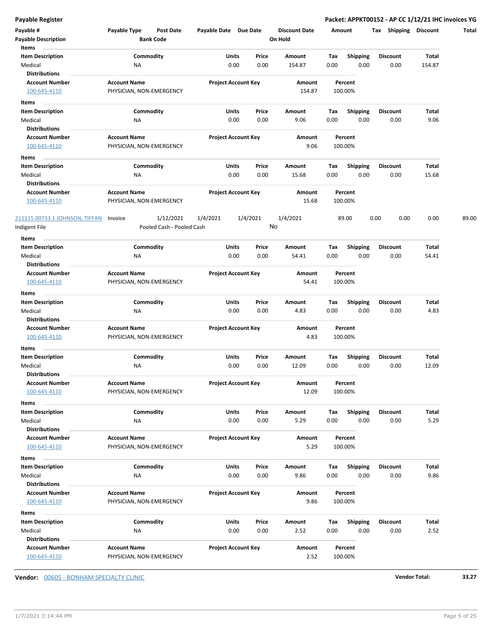| Payable #<br><b>Payable Description</b>                       | Payable Type                                    | <b>Post Date</b><br><b>Bank Code</b> | Payable Date Due Date |                            | <b>Discount Date</b><br>On Hold |             | Amount                  | <b>Shipping</b><br>Tax  | <b>Discount</b> | Total |
|---------------------------------------------------------------|-------------------------------------------------|--------------------------------------|-----------------------|----------------------------|---------------------------------|-------------|-------------------------|-------------------------|-----------------|-------|
| Items<br><b>Item Description</b><br>Medical                   | <b>NA</b>                                       | Commodity                            | Units                 | Price<br>0.00<br>0.00      | Amount<br>154.87                | Tax<br>0.00 | <b>Shipping</b><br>0.00 | <b>Discount</b><br>0.00 | Total<br>154.87 |       |
| <b>Distributions</b><br><b>Account Number</b><br>100-645-4110 | <b>Account Name</b><br>PHYSICIAN, NON-EMERGENCY |                                      |                       | <b>Project Account Key</b> | Amount<br>154.87                |             | Percent<br>100.00%      |                         |                 |       |
| Items                                                         |                                                 |                                      |                       |                            |                                 |             |                         |                         |                 |       |
| <b>Item Description</b>                                       |                                                 | Commodity                            | Units                 | Price<br>0.00              | Amount<br>9.06                  | Tax<br>0.00 | <b>Shipping</b>         | <b>Discount</b>         | Total           |       |
| Medical<br><b>Distributions</b>                               | <b>NA</b>                                       |                                      |                       | 0.00                       |                                 |             | 0.00                    | 0.00                    | 9.06            |       |
| <b>Account Number</b><br>100-645-4110                         | <b>Account Name</b><br>PHYSICIAN, NON-EMERGENCY |                                      |                       | <b>Project Account Key</b> | Amount<br>9.06                  |             | Percent<br>100.00%      |                         |                 |       |
|                                                               |                                                 |                                      |                       |                            |                                 |             |                         |                         |                 |       |
| Items<br><b>Item Description</b>                              |                                                 | Commodity                            | Units                 | Price                      | Amount                          | Тах         | <b>Shipping</b>         | <b>Discount</b>         | Total           |       |
| Medical<br><b>Distributions</b>                               | ΝA                                              |                                      |                       | 0.00<br>0.00               | 15.68                           | 0.00        | 0.00                    | 0.00                    | 15.68           |       |
| <b>Account Number</b><br>100-645-4110                         | <b>Account Name</b><br>PHYSICIAN, NON-EMERGENCY |                                      |                       | <b>Project Account Key</b> | Amount<br>15.68                 |             | Percent<br>100.00%      |                         |                 |       |
| 211115 00733 1 JOHNSON, TIFFAN                                | Invoice                                         | 1/12/2021                            | 1/4/2021              | 1/4/2021                   | 1/4/2021                        |             | 89.00                   | 0.00<br>0.00            | 0.00            | 89.00 |
| Indigent File                                                 |                                                 | Pooled Cash - Pooled Cash            |                       |                            | No                              |             |                         |                         |                 |       |
| Items                                                         |                                                 |                                      | <b>Units</b>          | Price                      | Amount                          |             |                         | <b>Discount</b>         | Total           |       |
| <b>Item Description</b><br>Medical                            | ΝA                                              | Commodity                            |                       | 0.00<br>0.00               | 54.41                           | Tax<br>0.00 | <b>Shipping</b><br>0.00 | 0.00                    | 54.41           |       |
| <b>Distributions</b>                                          |                                                 |                                      |                       |                            |                                 |             |                         |                         |                 |       |
| <b>Account Number</b><br>100-645-4110                         | <b>Account Name</b><br>PHYSICIAN, NON-EMERGENCY |                                      |                       | <b>Project Account Key</b> | Amount<br>54.41                 |             | Percent<br>100.00%      |                         |                 |       |
| Items                                                         |                                                 |                                      |                       |                            |                                 |             |                         |                         |                 |       |
| <b>Item Description</b>                                       |                                                 | Commodity                            | Units                 | Price                      | Amount                          | Tax         | <b>Shipping</b>         | <b>Discount</b>         | Total           |       |
| Medical<br>Distributions                                      | <b>NA</b>                                       |                                      |                       | 0.00<br>0.00               | 4.83                            | 0.00        | 0.00                    | 0.00                    | 4.83            |       |
| <b>Account Number</b><br>100-645-4110                         | <b>Account Name</b><br>PHYSICIAN, NON-EMERGENCY |                                      |                       | <b>Project Account Key</b> | Amount<br>4.83                  |             | Percent<br>100.00%      |                         |                 |       |
| Items                                                         |                                                 |                                      |                       |                            |                                 |             |                         |                         |                 |       |
| <b>Item Description</b>                                       |                                                 | Commodity                            | Units                 | Price                      | Amount                          | Tax         | <b>Shipping</b>         | <b>Discount</b>         | Total           |       |
| Medical<br><b>Distributions</b>                               | <b>NA</b>                                       |                                      |                       | 0.00<br>0.00               | 12.09                           | 0.00        | 0.00                    | 0.00                    | 12.09           |       |
| Account Number                                                | <b>Account Name</b>                             |                                      |                       | <b>Project Account Key</b> | Amount                          |             | Percent                 |                         |                 |       |
| 100-645-4110                                                  | PHYSICIAN, NON-EMERGENCY                        |                                      |                       |                            | 12.09                           |             | 100.00%                 |                         |                 |       |
| Items                                                         |                                                 |                                      |                       |                            |                                 |             |                         |                         |                 |       |
| <b>Item Description</b>                                       |                                                 | Commodity                            | Units                 | Price                      | Amount                          | Tax         | <b>Shipping</b>         | <b>Discount</b>         | Total           |       |
| Medical                                                       | NA                                              |                                      |                       | 0.00<br>0.00               | 5.29                            | 0.00        | 0.00                    | 0.00                    | 5.29            |       |
| <b>Distributions</b>                                          |                                                 |                                      |                       |                            |                                 |             |                         |                         |                 |       |
| <b>Account Number</b>                                         | <b>Account Name</b>                             |                                      |                       | <b>Project Account Key</b> | Amount                          |             | Percent                 |                         |                 |       |
| 100-645-4110                                                  | PHYSICIAN, NON-EMERGENCY                        |                                      |                       |                            | 5.29                            |             | 100.00%                 |                         |                 |       |
| Items                                                         |                                                 |                                      |                       |                            |                                 |             |                         |                         |                 |       |
| <b>Item Description</b>                                       |                                                 | Commodity                            | Units                 | Price                      | Amount                          | Tax         | Shipping                | <b>Discount</b>         | Total           |       |
| Medical                                                       | NA                                              |                                      |                       | 0.00<br>0.00               | 9.86                            | 0.00        | 0.00                    | 0.00                    | 9.86            |       |
| <b>Distributions</b>                                          |                                                 |                                      |                       |                            |                                 |             |                         |                         |                 |       |
| <b>Account Number</b><br>100-645-4110                         | <b>Account Name</b><br>PHYSICIAN, NON-EMERGENCY |                                      |                       | <b>Project Account Key</b> | Amount<br>9.86                  |             | Percent<br>100.00%      |                         |                 |       |
| Items                                                         |                                                 |                                      |                       |                            |                                 |             |                         |                         |                 |       |
| <b>Item Description</b>                                       |                                                 | Commodity                            | Units                 | Price                      | Amount                          | Tax         | Shipping                | <b>Discount</b>         | Total           |       |
| Medical<br><b>Distributions</b>                               | ΝA                                              |                                      |                       | 0.00<br>0.00               | 2.52                            | 0.00        | 0.00                    | 0.00                    | 2.52            |       |
| <b>Account Number</b><br>100-645-4110                         | <b>Account Name</b><br>PHYSICIAN, NON-EMERGENCY |                                      |                       | <b>Project Account Key</b> | Amount<br>2.52                  |             | Percent<br>100.00%      |                         |                 |       |

**Vendor:** 00605 - BONHAM SPECIALTY CLINIC **Vendor Total: 33.27**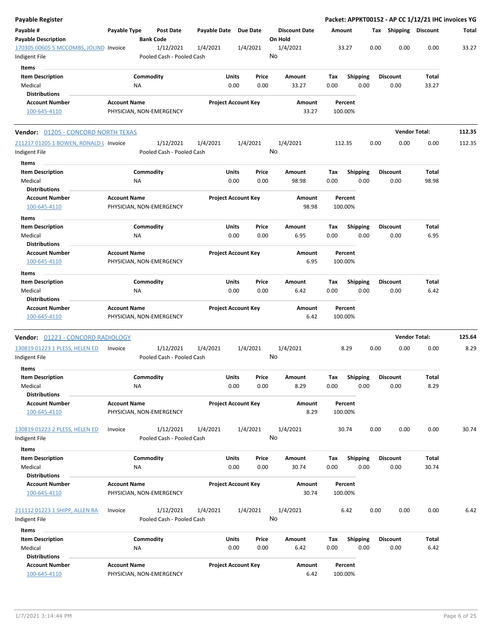| Payable Register                                        |                                                 |                        |                                        |              |                            |                 |         |                      |             |                         | Packet: APPKT00152 - AP CC 1/12/21 IHC invoices YG |                         |                   |        |
|---------------------------------------------------------|-------------------------------------------------|------------------------|----------------------------------------|--------------|----------------------------|-----------------|---------|----------------------|-------------|-------------------------|----------------------------------------------------|-------------------------|-------------------|--------|
| Payable #<br><b>Payable Description</b>                 | Payable Type                                    | <b>Bank Code</b>       | <b>Post Date</b>                       | Payable Date |                            | <b>Due Date</b> | On Hold | <b>Discount Date</b> | Amount      |                         | Тах                                                |                         | Shipping Discount | Total  |
| 170305 00605 5 MCCOMBS, JOLIND Invoice<br>Indigent File |                                                 |                        | 1/12/2021<br>Pooled Cash - Pooled Cash | 1/4/2021     |                            | 1/4/2021        | No      | 1/4/2021             |             | 33.27                   | 0.00                                               | 0.00                    | 0.00              | 33.27  |
| Items                                                   |                                                 |                        |                                        |              |                            |                 |         |                      |             |                         |                                                    |                         |                   |        |
| <b>Item Description</b><br>Medical                      |                                                 | Commodity<br>ΝA        |                                        |              | Units<br>0.00              | Price<br>0.00   |         | Amount<br>33.27      | Tax<br>0.00 | Shipping<br>0.00        |                                                    | Discount<br>0.00        | Total<br>33.27    |        |
| <b>Distributions</b>                                    |                                                 |                        |                                        |              |                            |                 |         |                      |             |                         |                                                    |                         |                   |        |
| <b>Account Number</b><br>100-645-4110                   | <b>Account Name</b><br>PHYSICIAN, NON-EMERGENCY |                        |                                        |              | <b>Project Account Key</b> |                 |         | Amount<br>33.27      |             | Percent<br>100.00%      |                                                    |                         |                   |        |
| Vendor: 01205 - CONCORD NORTH TEXAS                     |                                                 |                        |                                        |              |                            |                 |         |                      |             |                         |                                                    | <b>Vendor Total:</b>    |                   | 112.35 |
| 211217 01205 1 BOWEN, RONALD L Invoice<br>Indigent File |                                                 |                        | 1/12/2021<br>Pooled Cash - Pooled Cash | 1/4/2021     |                            | 1/4/2021        | No      | 1/4/2021             | 112.35      |                         | 0.00                                               | 0.00                    | 0.00              | 112.35 |
| Items                                                   |                                                 |                        |                                        |              |                            |                 |         |                      |             |                         |                                                    |                         |                   |        |
| <b>Item Description</b><br>Medical                      |                                                 | Commodity<br><b>NA</b> |                                        |              | Units<br>0.00              | Price<br>0.00   |         | Amount<br>98.98      | Tax<br>0.00 | <b>Shipping</b><br>0.00 |                                                    | <b>Discount</b><br>0.00 | Total<br>98.98    |        |
| <b>Distributions</b><br><b>Account Number</b>           | <b>Account Name</b>                             |                        |                                        |              |                            |                 |         |                      |             |                         |                                                    |                         |                   |        |
| 100-645-4110                                            | PHYSICIAN, NON-EMERGENCY                        |                        |                                        |              | <b>Project Account Key</b> |                 |         | Amount<br>98.98      |             | Percent<br>100.00%      |                                                    |                         |                   |        |
| Items                                                   |                                                 |                        |                                        |              |                            |                 |         |                      |             |                         |                                                    |                         |                   |        |
| <b>Item Description</b><br>Medical                      |                                                 | Commodity<br>ΝA        |                                        |              | Units<br>0.00              | Price<br>0.00   |         | Amount<br>6.95       | Tax<br>0.00 | <b>Shipping</b><br>0.00 |                                                    | <b>Discount</b><br>0.00 | Total<br>6.95     |        |
| <b>Distributions</b>                                    |                                                 |                        |                                        |              |                            |                 |         |                      |             |                         |                                                    |                         |                   |        |
| <b>Account Number</b><br>100-645-4110                   | <b>Account Name</b><br>PHYSICIAN, NON-EMERGENCY |                        |                                        |              | <b>Project Account Key</b> |                 |         | Amount<br>6.95       |             | Percent<br>100.00%      |                                                    |                         |                   |        |
| <b>Items</b>                                            |                                                 |                        |                                        |              |                            |                 |         |                      |             |                         |                                                    |                         |                   |        |
| <b>Item Description</b>                                 |                                                 | Commodity              |                                        |              | Units                      | Price           |         | Amount               | Tax         | <b>Shipping</b>         |                                                    | <b>Discount</b>         | Total             |        |
| Medical                                                 |                                                 | ΝA                     |                                        |              | 0.00                       | 0.00            |         | 6.42                 | 0.00        | 0.00                    |                                                    | 0.00                    | 6.42              |        |
| <b>Distributions</b>                                    |                                                 |                        |                                        |              |                            |                 |         |                      |             |                         |                                                    |                         |                   |        |
| <b>Account Number</b><br>100-645-4110                   | <b>Account Name</b><br>PHYSICIAN, NON-EMERGENCY |                        |                                        |              | Project Account Key        |                 |         | Amount<br>6.42       |             | Percent<br>100.00%      |                                                    |                         |                   |        |
| Vendor: 01223 - CONCORD RADIOLOGY                       |                                                 |                        |                                        |              |                            |                 |         |                      |             |                         |                                                    | <b>Vendor Total:</b>    |                   | 125.64 |
| 130819 01223 1 PLESS, HELEN ED                          | Invoice                                         |                        | 1/12/2021                              | 1/4/2021     |                            | 1/4/2021        |         | 1/4/2021             |             | 8.29                    | 0.00                                               | 0.00                    | 0.00              | 8.29   |
| Indigent File<br>Items                                  |                                                 |                        | Pooled Cash - Pooled Cash              |              |                            |                 | No      |                      |             |                         |                                                    |                         |                   |        |
| <b>Item Description</b>                                 |                                                 | Commodity              |                                        |              | Units                      | Price           |         | Amount               | Tax         | <b>Shipping</b>         |                                                    | Discount                | Total             |        |
| Medical<br><b>Distributions</b>                         |                                                 | <b>NA</b>              |                                        |              | 0.00                       | 0.00            |         | 8.29                 | 0.00        | 0.00                    |                                                    | 0.00                    | 8.29              |        |
| <b>Account Number</b><br>100-645-4110                   | <b>Account Name</b><br>PHYSICIAN, NON-EMERGENCY |                        |                                        |              | <b>Project Account Key</b> |                 |         | Amount<br>8.29       |             | Percent<br>100.00%      |                                                    |                         |                   |        |
| 130819 01223 2 PLESS, HELEN ED<br>Indigent File         | Invoice                                         |                        | 1/12/2021<br>Pooled Cash - Pooled Cash | 1/4/2021     |                            | 1/4/2021        | No      | 1/4/2021             |             | 30.74                   | 0.00                                               | 0.00                    | 0.00              | 30.74  |
| Items                                                   |                                                 |                        |                                        |              |                            |                 |         |                      |             |                         |                                                    |                         |                   |        |
| <b>Item Description</b>                                 |                                                 | Commodity              |                                        |              | Units                      | Price           |         | Amount               | Tax         | <b>Shipping</b>         |                                                    | <b>Discount</b>         | Total             |        |
| Medical<br><b>Distributions</b>                         |                                                 | <b>NA</b>              |                                        |              | 0.00                       | 0.00            |         | 30.74                | 0.00        | 0.00                    |                                                    | 0.00                    | 30.74             |        |
| <b>Account Number</b><br>100-645-4110                   | <b>Account Name</b><br>PHYSICIAN, NON-EMERGENCY |                        |                                        |              | <b>Project Account Key</b> |                 |         | Amount<br>30.74      |             | Percent<br>100.00%      |                                                    |                         |                   |        |
| 211112 01223 1 SHIPP, ALLEN RA<br>Indigent File         | Invoice                                         |                        | 1/12/2021<br>Pooled Cash - Pooled Cash | 1/4/2021     |                            | 1/4/2021        | No      | 1/4/2021             |             | 6.42                    | 0.00                                               | 0.00                    | 0.00              | 6.42   |
| Items                                                   |                                                 |                        |                                        |              |                            |                 |         |                      |             |                         |                                                    |                         |                   |        |
| <b>Item Description</b>                                 |                                                 | Commodity              |                                        |              | Units                      | Price           |         | Amount               | Tax         | <b>Shipping</b>         |                                                    | <b>Discount</b>         | Total             |        |
| Medical                                                 |                                                 | ΝA                     |                                        |              | 0.00                       | 0.00            |         | 6.42                 | 0.00        | 0.00                    |                                                    | 0.00                    | 6.42              |        |
| <b>Distributions</b>                                    |                                                 |                        |                                        |              |                            |                 |         |                      |             |                         |                                                    |                         |                   |        |
| <b>Account Number</b><br>100-645-4110                   | <b>Account Name</b><br>PHYSICIAN, NON-EMERGENCY |                        |                                        |              | <b>Project Account Key</b> |                 |         | Amount<br>6.42       |             | Percent<br>100.00%      |                                                    |                         |                   |        |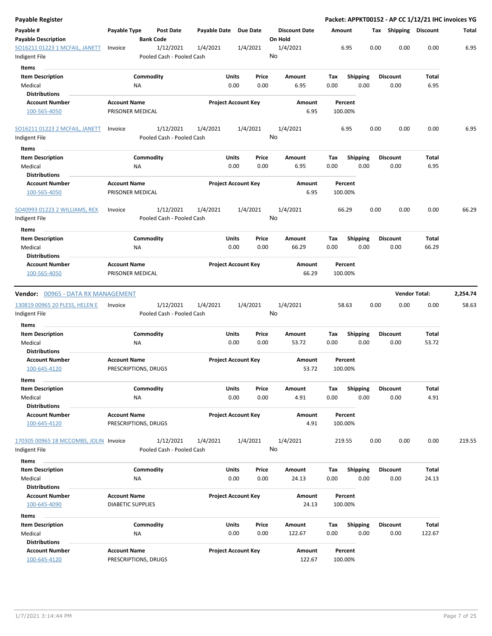| <b>Payable Register</b>                                    |                                             |                                        |                       |                            |                                 |             |                         |      |                         | Packet: APPKT00152 - AP CC 1/12/21 IHC invoices YG |          |
|------------------------------------------------------------|---------------------------------------------|----------------------------------------|-----------------------|----------------------------|---------------------------------|-------------|-------------------------|------|-------------------------|----------------------------------------------------|----------|
| Payable #<br><b>Payable Description</b>                    | Payable Type<br><b>Bank Code</b>            | <b>Post Date</b>                       | Payable Date Due Date |                            | <b>Discount Date</b><br>On Hold |             | Amount                  |      |                         | Tax Shipping Discount                              | Total    |
| SO16211 01223 1 MCFAIL, JANETT<br>Indigent File            | Invoice                                     | 1/12/2021<br>Pooled Cash - Pooled Cash | 1/4/2021              | 1/4/2021                   | 1/4/2021<br>No                  |             | 6.95                    | 0.00 | 0.00                    | 0.00                                               | 6.95     |
| <b>Items</b>                                               |                                             |                                        |                       |                            |                                 |             |                         |      |                         |                                                    |          |
| <b>Item Description</b><br>Medical                         | Commodity<br>ΝA                             |                                        | Units                 | Price<br>0.00<br>0.00      | Amount<br>6.95                  | Tax<br>0.00 | <b>Shipping</b><br>0.00 |      | <b>Discount</b><br>0.00 | Total<br>6.95                                      |          |
| <b>Distributions</b>                                       |                                             |                                        |                       |                            |                                 |             |                         |      |                         |                                                    |          |
| <b>Account Number</b><br>100-565-4050                      | <b>Account Name</b><br>PRISONER MEDICAL     |                                        |                       | <b>Project Account Key</b> | Amount<br>6.95                  |             | Percent<br>100.00%      |      |                         |                                                    |          |
| SO16211 01223 2 MCFAIL, JANETT<br>Indigent File            | Invoice                                     | 1/12/2021<br>Pooled Cash - Pooled Cash | 1/4/2021              | 1/4/2021                   | 1/4/2021<br>No                  |             | 6.95                    | 0.00 | 0.00                    | 0.00                                               | 6.95     |
| Items                                                      |                                             |                                        |                       |                            |                                 |             |                         |      |                         |                                                    |          |
| <b>Item Description</b><br>Medical                         | Commodity<br>NA                             |                                        | Units                 | Price<br>0.00<br>0.00      | Amount<br>6.95                  | Tax<br>0.00 | <b>Shipping</b><br>0.00 |      | <b>Discount</b><br>0.00 | Total<br>6.95                                      |          |
| <b>Distributions</b>                                       |                                             |                                        |                       |                            |                                 |             |                         |      |                         |                                                    |          |
| <b>Account Number</b><br>100-565-4050                      | <b>Account Name</b><br>PRISONER MEDICAL     |                                        |                       | <b>Project Account Key</b> | Amount<br>6.95                  |             | Percent<br>100.00%      |      |                         |                                                    |          |
| <b>SO40993 01223 2 WILLIAMS, REX</b><br>Indigent File      | Invoice                                     | 1/12/2021<br>Pooled Cash - Pooled Cash | 1/4/2021              | 1/4/2021                   | 1/4/2021<br>No                  |             | 66.29                   | 0.00 | 0.00                    | 0.00                                               | 66.29    |
| Items                                                      |                                             |                                        |                       |                            |                                 |             |                         |      |                         |                                                    |          |
| <b>Item Description</b><br>Medical                         | Commodity<br>ΝA                             |                                        | Units                 | Price<br>0.00<br>0.00      | Amount<br>66.29                 | Tax<br>0.00 | <b>Shipping</b><br>0.00 |      | <b>Discount</b><br>0.00 | Total<br>66.29                                     |          |
| <b>Distributions</b>                                       |                                             |                                        |                       |                            |                                 |             |                         |      |                         |                                                    |          |
| <b>Account Number</b><br>100-565-4050                      | <b>Account Name</b><br>PRISONER MEDICAL     |                                        |                       | <b>Project Account Key</b> | Amount<br>66.29                 |             | Percent<br>100.00%      |      |                         |                                                    |          |
| <b>Vendor:</b> 00965 - DATA RX MANAGEMENT                  |                                             |                                        |                       |                            |                                 |             |                         |      |                         | <b>Vendor Total:</b>                               | 2,254.74 |
|                                                            |                                             |                                        |                       |                            |                                 |             |                         |      |                         |                                                    |          |
| 130819 00965 20 PLESS, HELEN E<br>Indigent File            | Invoice                                     | 1/12/2021<br>Pooled Cash - Pooled Cash | 1/4/2021              | 1/4/2021                   | 1/4/2021<br>No                  |             | 58.63                   | 0.00 | 0.00                    | 0.00                                               | 58.63    |
| Items                                                      |                                             |                                        |                       |                            |                                 |             |                         |      |                         |                                                    |          |
| <b>Item Description</b>                                    | Commodity                                   |                                        | Units                 | Price                      | Amount                          | Tax         | <b>Shipping</b>         |      | <b>Discount</b>         | Total                                              |          |
| Medical<br><b>Distributions</b>                            | ΝA                                          |                                        |                       | 0.00<br>0.00               | 53.72                           | 0.00        | 0.00                    |      | 0.00                    | 53.72                                              |          |
| <b>Account Number</b><br>100-645-4120                      | <b>Account Name</b><br>PRESCRIPTIONS, DRUGS |                                        |                       | <b>Project Account Key</b> | Amount<br>53.72                 |             | Percent<br>100.00%      |      |                         |                                                    |          |
| Items                                                      |                                             |                                        |                       |                            |                                 |             |                         |      |                         |                                                    |          |
| <b>Item Description</b><br>Medical<br><b>Distributions</b> | Commodity<br>NA                             |                                        | Units                 | Price<br>0.00<br>0.00      | Amount<br>4.91                  | Tax<br>0.00 | <b>Shipping</b><br>0.00 |      | <b>Discount</b><br>0.00 | Total<br>4.91                                      |          |
| <b>Account Number</b><br>100-645-4120                      | <b>Account Name</b><br>PRESCRIPTIONS, DRUGS |                                        |                       | <b>Project Account Key</b> | Amount<br>4.91                  |             | Percent<br>100.00%      |      |                         |                                                    |          |
| 170305 00965 18 MCCOMBS, JOLIN Invoice<br>Indigent File    |                                             | 1/12/2021<br>Pooled Cash - Pooled Cash | 1/4/2021              | 1/4/2021                   | 1/4/2021<br>No                  |             | 219.55                  | 0.00 | 0.00                    | 0.00                                               | 219.55   |
| Items                                                      |                                             |                                        |                       |                            |                                 |             |                         |      |                         |                                                    |          |
| <b>Item Description</b>                                    | Commodity                                   |                                        | Units                 | Price                      | Amount                          | Tax         | Shipping                |      | <b>Discount</b>         | Total                                              |          |
| Medical                                                    | NA                                          |                                        |                       | 0.00<br>0.00               | 24.13                           | 0.00        | 0.00                    |      | 0.00                    | 24.13                                              |          |
| <b>Distributions</b>                                       |                                             |                                        |                       |                            |                                 |             |                         |      |                         |                                                    |          |
| <b>Account Number</b>                                      | <b>Account Name</b>                         |                                        |                       | <b>Project Account Key</b> | Amount                          |             | Percent                 |      |                         |                                                    |          |
| 100-645-4090                                               | <b>DIABETIC SUPPLIES</b>                    |                                        |                       |                            | 24.13                           |             | 100.00%                 |      |                         |                                                    |          |
| Items                                                      |                                             |                                        |                       |                            |                                 |             |                         |      |                         |                                                    |          |
| <b>Item Description</b>                                    | Commodity                                   |                                        | Units                 | Price                      | Amount                          | Tax         | <b>Shipping</b>         |      | <b>Discount</b>         | Total                                              |          |
| Medical                                                    | ΝA                                          |                                        |                       | 0.00<br>0.00               | 122.67                          | 0.00        | 0.00                    |      | 0.00                    | 122.67                                             |          |
| <b>Distributions</b>                                       |                                             |                                        |                       |                            |                                 |             |                         |      |                         |                                                    |          |
| <b>Account Number</b><br>100-645-4120                      | <b>Account Name</b><br>PRESCRIPTIONS, DRUGS |                                        |                       | <b>Project Account Key</b> | Amount<br>122.67                |             | Percent<br>100.00%      |      |                         |                                                    |          |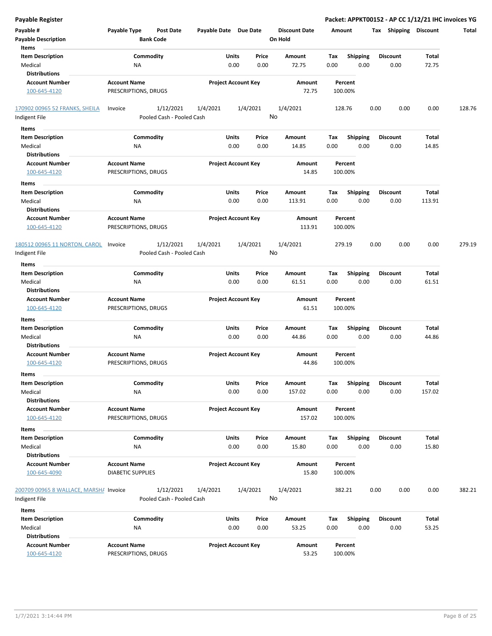| <b>Payable Register</b>                |                                  |                           |                            |                      |         |                         | Packet: APPKT00152 - AP CC 1/12/21 IHC invoices YG |        |        |
|----------------------------------------|----------------------------------|---------------------------|----------------------------|----------------------|---------|-------------------------|----------------------------------------------------|--------|--------|
| Payable #                              | Payable Type<br><b>Post Date</b> | Payable Date Due Date     |                            | <b>Discount Date</b> | Amount  |                         | Tax Shipping Discount                              |        | Total  |
| <b>Payable Description</b>             | <b>Bank Code</b>                 |                           |                            | On Hold              |         |                         |                                                    |        |        |
| Items                                  |                                  |                           |                            |                      |         |                         |                                                    |        |        |
| <b>Item Description</b>                | Commodity                        |                           | Units<br>Price             | Amount               | Tax     | <b>Shipping</b>         | <b>Discount</b>                                    | Total  |        |
| Medical                                | NA                               |                           | 0.00<br>0.00               | 72.75                | 0.00    | 0.00                    | 0.00                                               | 72.75  |        |
| <b>Distributions</b>                   |                                  |                           |                            |                      |         |                         |                                                    |        |        |
| <b>Account Number</b>                  | <b>Account Name</b>              |                           | <b>Project Account Key</b> | Amount               | Percent |                         |                                                    |        |        |
| 100-645-4120                           | PRESCRIPTIONS, DRUGS             |                           |                            | 72.75                | 100.00% |                         |                                                    |        |        |
|                                        |                                  |                           |                            |                      |         |                         |                                                    |        |        |
| 170902 00965 52 FRANKS, SHEILA         | 1/12/2021<br>Invoice             | 1/4/2021                  | 1/4/2021                   | 1/4/2021             | 128.76  |                         | 0.00<br>0.00                                       | 0.00   | 128.76 |
| Indigent File                          | Pooled Cash - Pooled Cash        |                           |                            | No                   |         |                         |                                                    |        |        |
| Items                                  |                                  |                           |                            |                      |         |                         |                                                    |        |        |
| <b>Item Description</b>                | Commodity                        |                           | Units<br>Price             | Amount               | Tax     | <b>Shipping</b>         | <b>Discount</b>                                    | Total  |        |
| Medical                                | ΝA                               |                           | 0.00<br>0.00               | 14.85                | 0.00    | 0.00                    | 0.00                                               | 14.85  |        |
| <b>Distributions</b>                   |                                  |                           |                            |                      |         |                         |                                                    |        |        |
| <b>Account Number</b>                  | <b>Account Name</b>              |                           | <b>Project Account Key</b> | Amount               | Percent |                         |                                                    |        |        |
| 100-645-4120                           | PRESCRIPTIONS, DRUGS             |                           |                            | 14.85                | 100.00% |                         |                                                    |        |        |
| Items                                  |                                  |                           |                            |                      |         |                         |                                                    |        |        |
| <b>Item Description</b>                | Commodity                        |                           | Units<br>Price             | Amount               | Tax     | <b>Shipping</b>         | <b>Discount</b>                                    | Total  |        |
| Medical                                | ΝA                               |                           | 0.00<br>0.00               | 113.91               | 0.00    | 0.00                    | 0.00                                               | 113.91 |        |
| <b>Distributions</b>                   |                                  |                           |                            |                      |         |                         |                                                    |        |        |
| <b>Account Number</b>                  | <b>Account Name</b>              |                           | <b>Project Account Key</b> | Amount               | Percent |                         |                                                    |        |        |
| 100-645-4120                           | PRESCRIPTIONS, DRUGS             |                           |                            | 113.91               | 100.00% |                         |                                                    |        |        |
|                                        |                                  |                           |                            |                      |         |                         |                                                    |        |        |
| 180512 00965 11 NORTON, CAROL          | 1/12/2021<br>Invoice             | 1/4/2021                  | 1/4/2021                   | 1/4/2021             | 279.19  |                         | 0.00<br>0.00                                       | 0.00   | 279.19 |
| Indigent File                          | Pooled Cash - Pooled Cash        |                           |                            | No                   |         |                         |                                                    |        |        |
| Items                                  |                                  |                           |                            |                      |         |                         |                                                    |        |        |
| <b>Item Description</b>                | Commodity                        |                           | Units<br>Price             | Amount               | Tax     |                         | <b>Discount</b>                                    | Total  |        |
| Medical                                | NA                               |                           | 0.00<br>0.00               | 61.51                | 0.00    | <b>Shipping</b><br>0.00 | 0.00                                               | 61.51  |        |
| <b>Distributions</b>                   |                                  |                           |                            |                      |         |                         |                                                    |        |        |
| <b>Account Number</b>                  | <b>Account Name</b>              |                           | <b>Project Account Key</b> | Amount               | Percent |                         |                                                    |        |        |
| 100-645-4120                           | PRESCRIPTIONS, DRUGS             |                           |                            | 61.51                | 100.00% |                         |                                                    |        |        |
|                                        |                                  |                           |                            |                      |         |                         |                                                    |        |        |
| Items                                  |                                  |                           |                            |                      |         |                         |                                                    |        |        |
| <b>Item Description</b>                | Commodity                        |                           | Price<br>Units             | Amount               | Tax     | <b>Shipping</b>         | <b>Discount</b>                                    | Total  |        |
| Medical                                | NA                               |                           | 0.00<br>0.00               | 44.86                | 0.00    | 0.00                    | 0.00                                               | 44.86  |        |
| <b>Distributions</b>                   |                                  |                           |                            |                      |         |                         |                                                    |        |        |
| <b>Account Number</b>                  | <b>Account Name</b>              |                           | <b>Project Account Key</b> | Amount               | Percent |                         |                                                    |        |        |
| 100-645-4120                           | PRESCRIPTIONS, DRUGS             |                           |                            | 44.86                | 100.00% |                         |                                                    |        |        |
| ltems                                  |                                  |                           |                            |                      |         |                         |                                                    |        |        |
| <b>Item Description</b>                | Commodity                        |                           | Units<br>Price             | Amount               | Tax     | Shipping                | <b>Discount</b>                                    | Total  |        |
| Medical                                | NA                               |                           | 0.00<br>0.00               | 157.02               | 0.00    | 0.00                    | 0.00                                               | 157.02 |        |
| <b>Distributions</b>                   |                                  |                           |                            |                      |         |                         |                                                    |        |        |
| <b>Account Number</b>                  | <b>Account Name</b>              |                           | <b>Project Account Key</b> | Amount               | Percent |                         |                                                    |        |        |
| 100-645-4120                           | PRESCRIPTIONS, DRUGS             |                           |                            | 157.02               | 100.00% |                         |                                                    |        |        |
| Items                                  |                                  |                           |                            |                      |         |                         |                                                    |        |        |
| <b>Item Description</b>                | Commodity                        |                           | Units<br>Price             | Amount               | Tax     | Shipping                | <b>Discount</b>                                    | Total  |        |
| Medical                                | NA                               |                           | 0.00<br>0.00               | 15.80                | 0.00    | 0.00                    | 0.00                                               | 15.80  |        |
| <b>Distributions</b>                   |                                  |                           |                            |                      |         |                         |                                                    |        |        |
| <b>Account Number</b>                  | <b>Account Name</b>              |                           | <b>Project Account Key</b> | Amount               | Percent |                         |                                                    |        |        |
| 100-645-4090                           | <b>DIABETIC SUPPLIES</b>         |                           |                            | 15.80                | 100.00% |                         |                                                    |        |        |
|                                        |                                  |                           |                            |                      |         |                         |                                                    |        |        |
| 200709 00965 8 WALLACE, MARSH/ Invoice | 1/12/2021                        | 1/4/2021                  | 1/4/2021                   | 1/4/2021             | 382.21  |                         | 0.00<br>0.00                                       | 0.00   | 382.21 |
| Indigent File                          |                                  | Pooled Cash - Pooled Cash |                            | No                   |         |                         |                                                    |        |        |
| Items                                  |                                  |                           |                            |                      |         |                         |                                                    |        |        |
| <b>Item Description</b>                | Commodity                        |                           | <b>Units</b><br>Price      | Amount               | Tax     | Shipping                | <b>Discount</b>                                    | Total  |        |
| Medical                                | ΝA                               |                           | 0.00<br>0.00               | 53.25                | 0.00    | 0.00                    | 0.00                                               | 53.25  |        |
| <b>Distributions</b>                   |                                  |                           |                            |                      |         |                         |                                                    |        |        |
| <b>Account Number</b>                  | <b>Account Name</b>              |                           | <b>Project Account Key</b> | Amount               | Percent |                         |                                                    |        |        |
| 100-645-4120                           | PRESCRIPTIONS, DRUGS             |                           |                            | 53.25                | 100.00% |                         |                                                    |        |        |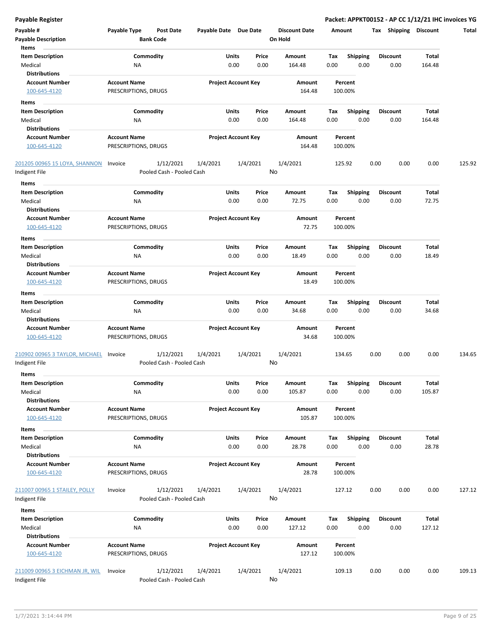| Payable #                      | Payable Type         | <b>Post Date</b>          | Payable Date Due Date |                            |          | <b>Discount Date</b> | Amount |                 | Shipping<br>Tax | <b>Discount</b> | Total  |
|--------------------------------|----------------------|---------------------------|-----------------------|----------------------------|----------|----------------------|--------|-----------------|-----------------|-----------------|--------|
| <b>Payable Description</b>     |                      | <b>Bank Code</b>          |                       |                            |          | On Hold              |        |                 |                 |                 |        |
| Items                          |                      |                           |                       |                            |          |                      |        |                 |                 |                 |        |
| <b>Item Description</b>        |                      | Commodity                 |                       | Units                      | Price    | Amount               | Tax    | <b>Shipping</b> | <b>Discount</b> | Total           |        |
| Medical                        | ΝA                   |                           |                       | 0.00                       | 0.00     | 164.48               | 0.00   | 0.00            | 0.00            | 164.48          |        |
| <b>Distributions</b>           |                      |                           |                       |                            |          |                      |        |                 |                 |                 |        |
| <b>Account Number</b>          | <b>Account Name</b>  |                           |                       | <b>Project Account Key</b> |          | Amount               |        | Percent         |                 |                 |        |
| 100-645-4120                   | PRESCRIPTIONS, DRUGS |                           |                       |                            |          | 164.48               |        | 100.00%         |                 |                 |        |
| Items                          |                      |                           |                       |                            |          |                      |        |                 |                 |                 |        |
| <b>Item Description</b>        |                      | Commodity                 |                       | Units                      | Price    | Amount               | Tax    | <b>Shipping</b> | Discount        | Total           |        |
| Medical                        | NA                   |                           |                       | 0.00                       | 0.00     | 164.48               | 0.00   | 0.00            | 0.00            | 164.48          |        |
| <b>Distributions</b>           |                      |                           |                       |                            |          |                      |        |                 |                 |                 |        |
| <b>Account Number</b>          | <b>Account Name</b>  |                           |                       | <b>Project Account Key</b> |          | Amount               |        | Percent         |                 |                 |        |
| 100-645-4120                   | PRESCRIPTIONS, DRUGS |                           |                       |                            |          | 164.48               |        | 100.00%         |                 |                 |        |
| 201205 00965 15 LOYA, SHANNON  | Invoice              | 1/12/2021                 | 1/4/2021              |                            | 1/4/2021 | 1/4/2021             |        | 125.92          | 0.00<br>0.00    | 0.00            | 125.92 |
| Indigent File                  |                      | Pooled Cash - Pooled Cash |                       |                            |          | No                   |        |                 |                 |                 |        |
|                                |                      |                           |                       |                            |          |                      |        |                 |                 |                 |        |
| Items                          |                      |                           |                       |                            |          |                      |        |                 |                 |                 |        |
| <b>Item Description</b>        |                      | Commodity                 |                       | Units                      | Price    | Amount               | Tax    | <b>Shipping</b> | <b>Discount</b> | Total           |        |
| Medical                        | <b>NA</b>            |                           |                       | 0.00                       | 0.00     | 72.75                | 0.00   | 0.00            | 0.00            | 72.75           |        |
| <b>Distributions</b>           |                      |                           |                       |                            |          |                      |        |                 |                 |                 |        |
| <b>Account Number</b>          | <b>Account Name</b>  |                           |                       | <b>Project Account Key</b> |          | Amount               |        | Percent         |                 |                 |        |
| 100-645-4120                   | PRESCRIPTIONS, DRUGS |                           |                       |                            |          | 72.75                |        | 100.00%         |                 |                 |        |
| <b>Items</b>                   |                      |                           |                       |                            |          |                      |        |                 |                 |                 |        |
| <b>Item Description</b>        |                      | Commodity                 |                       | Units                      | Price    | Amount               | Tax    | <b>Shipping</b> | <b>Discount</b> | Total           |        |
| Medical                        | NA                   |                           |                       | 0.00                       | 0.00     | 18.49                | 0.00   | 0.00            | 0.00            | 18.49           |        |
| <b>Distributions</b>           |                      |                           |                       |                            |          |                      |        |                 |                 |                 |        |
| <b>Account Number</b>          | <b>Account Name</b>  |                           |                       | <b>Project Account Key</b> |          | Amount               |        | Percent         |                 |                 |        |
| 100-645-4120                   | PRESCRIPTIONS, DRUGS |                           |                       |                            |          | 18.49                |        | 100.00%         |                 |                 |        |
| Items                          |                      |                           |                       |                            |          |                      |        |                 |                 |                 |        |
| <b>Item Description</b>        |                      | Commodity                 |                       | Units                      | Price    | Amount               | Tax    | <b>Shipping</b> | <b>Discount</b> | Total           |        |
| Medical                        | NA                   |                           |                       | 0.00                       | 0.00     | 34.68                | 0.00   | 0.00            | 0.00            | 34.68           |        |
| <b>Distributions</b>           |                      |                           |                       |                            |          |                      |        |                 |                 |                 |        |
| <b>Account Number</b>          | <b>Account Name</b>  |                           |                       | <b>Project Account Key</b> |          | Amount               |        | Percent         |                 |                 |        |
| 100-645-4120                   | PRESCRIPTIONS, DRUGS |                           |                       |                            |          | 34.68                |        | 100.00%         |                 |                 |        |
| 210902 00965 3 TAYLOR, MICHAEL | Invoice              | 1/12/2021                 | 1/4/2021              |                            | 1/4/2021 | 1/4/2021             |        | 134.65          | 0.00<br>0.00    | 0.00            | 134.65 |
| Indigent File                  |                      | Pooled Cash - Pooled Cash |                       |                            |          | No                   |        |                 |                 |                 |        |
|                                |                      |                           |                       |                            |          |                      |        |                 |                 |                 |        |
| Items                          |                      |                           |                       |                            |          |                      |        |                 |                 |                 |        |
| <b>Item Description</b>        |                      | Commodity                 |                       | <b>Units</b>               | Price    | Amount               | Tax    | Shipping        | <b>Discount</b> | <b>Total</b>    |        |
| Medical                        | <b>NA</b>            |                           |                       | 0.00                       | 0.00     | 105.87               | 0.00   | 0.00            | 0.00            | 105.87          |        |
| <b>Distributions</b>           |                      |                           |                       |                            |          |                      |        |                 |                 |                 |        |
| <b>Account Number</b>          | <b>Account Name</b>  |                           |                       | <b>Project Account Key</b> |          | Amount               |        | Percent         |                 |                 |        |
| 100-645-4120                   | PRESCRIPTIONS, DRUGS |                           |                       |                            |          | 105.87               |        | 100.00%         |                 |                 |        |
| Items                          |                      |                           |                       |                            |          |                      |        |                 |                 |                 |        |
| <b>Item Description</b>        |                      | Commodity                 |                       | Units                      | Price    | Amount               | Tax    | <b>Shipping</b> | <b>Discount</b> | Total           |        |
| Medical                        | NA                   |                           |                       | 0.00                       | 0.00     | 28.78                | 0.00   | 0.00            | 0.00            | 28.78           |        |
| <b>Distributions</b>           |                      |                           |                       |                            |          |                      |        |                 |                 |                 |        |
| <b>Account Number</b>          | <b>Account Name</b>  |                           |                       | <b>Project Account Key</b> |          | Amount               |        | Percent         |                 |                 |        |
| 100-645-4120                   | PRESCRIPTIONS, DRUGS |                           |                       |                            |          | 28.78                |        | 100.00%         |                 |                 |        |
|                                |                      |                           |                       |                            |          |                      |        |                 |                 |                 |        |
| 211007 00965 1 STAILEY, POLLY  | Invoice              | 1/12/2021                 | 1/4/2021              |                            | 1/4/2021 | 1/4/2021             |        | 127.12          | 0.00<br>0.00    | 0.00            | 127.12 |
| Indigent File                  |                      | Pooled Cash - Pooled Cash |                       |                            |          | No                   |        |                 |                 |                 |        |
| Items                          |                      |                           |                       |                            |          |                      |        |                 |                 |                 |        |
| <b>Item Description</b>        |                      | Commodity                 |                       | Units                      | Price    | Amount               | Tax    | Shipping        | <b>Discount</b> | Total           |        |
| Medical                        | <b>NA</b>            |                           |                       | 0.00                       | 0.00     | 127.12               | 0.00   | 0.00            | 0.00            | 127.12          |        |
| <b>Distributions</b>           |                      |                           |                       |                            |          |                      |        |                 |                 |                 |        |
| <b>Account Number</b>          | <b>Account Name</b>  |                           |                       | <b>Project Account Key</b> |          | Amount               |        | Percent         |                 |                 |        |
| 100-645-4120                   | PRESCRIPTIONS, DRUGS |                           |                       |                            |          | 127.12               |        | 100.00%         |                 |                 |        |
|                                |                      |                           |                       |                            |          |                      |        |                 |                 |                 |        |
| 211009 00965 3 EICHMAN JR, WIL | Invoice              | 1/12/2021                 | 1/4/2021              |                            | 1/4/2021 | 1/4/2021             |        | 109.13          | 0.00<br>0.00    | 0.00            | 109.13 |
| Indigent File                  |                      | Pooled Cash - Pooled Cash |                       |                            |          | No                   |        |                 |                 |                 |        |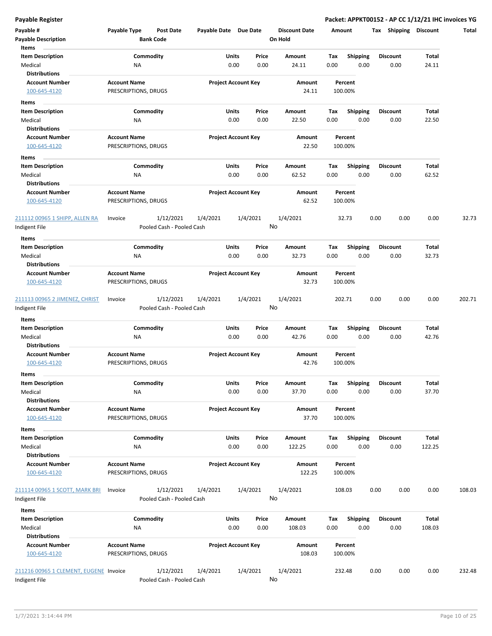| Payable #<br><b>Payable Description</b> | Payable Type                                | Post Date<br><b>Bank Code</b> | Payable Date Due Date |                            |          | <b>Discount Date</b><br>On Hold | Amount |                 | Tax  | <b>Shipping</b> | <b>Discount</b> | Total  |
|-----------------------------------------|---------------------------------------------|-------------------------------|-----------------------|----------------------------|----------|---------------------------------|--------|-----------------|------|-----------------|-----------------|--------|
| Items                                   |                                             |                               |                       |                            |          |                                 |        |                 |      |                 |                 |        |
| <b>Item Description</b>                 |                                             | Commodity                     |                       | Units                      | Price    | Amount                          | Tax    | <b>Shipping</b> |      | <b>Discount</b> | Total           |        |
| Medical                                 | <b>NA</b>                                   |                               |                       | 0.00                       | 0.00     | 24.11                           | 0.00   | 0.00            |      | 0.00            | 24.11           |        |
| <b>Distributions</b>                    |                                             |                               |                       |                            |          |                                 |        |                 |      |                 |                 |        |
| <b>Account Number</b>                   | <b>Account Name</b>                         |                               |                       | <b>Project Account Key</b> |          | Amount                          |        | Percent         |      |                 |                 |        |
| 100-645-4120                            | PRESCRIPTIONS, DRUGS                        |                               |                       |                            |          | 24.11                           |        | 100.00%         |      |                 |                 |        |
| Items                                   |                                             |                               |                       |                            |          |                                 |        |                 |      |                 |                 |        |
| <b>Item Description</b>                 |                                             | Commodity                     |                       | Units                      | Price    | Amount                          | Тах    | <b>Shipping</b> |      | <b>Discount</b> | Total           |        |
| Medical                                 | ΝA                                          |                               |                       | 0.00                       | 0.00     | 22.50                           | 0.00   | 0.00            |      | 0.00            | 22.50           |        |
| <b>Distributions</b>                    |                                             |                               |                       |                            |          |                                 |        |                 |      |                 |                 |        |
| <b>Account Number</b>                   | <b>Account Name</b>                         |                               |                       | <b>Project Account Key</b> |          | Amount                          |        | Percent         |      |                 |                 |        |
| 100-645-4120                            | PRESCRIPTIONS, DRUGS                        |                               |                       |                            |          | 22.50                           |        | 100.00%         |      |                 |                 |        |
| Items                                   |                                             |                               |                       |                            |          |                                 |        |                 |      |                 |                 |        |
| <b>Item Description</b>                 |                                             | Commodity                     |                       | Units                      | Price    | Amount                          | Tax    | <b>Shipping</b> |      | <b>Discount</b> | Total           |        |
| Medical                                 | ΝA                                          |                               |                       | 0.00                       | 0.00     | 62.52                           | 0.00   | 0.00            |      | 0.00            | 62.52           |        |
| <b>Distributions</b>                    |                                             |                               |                       |                            |          |                                 |        |                 |      |                 |                 |        |
| <b>Account Number</b>                   | <b>Account Name</b><br>PRESCRIPTIONS, DRUGS |                               |                       | <b>Project Account Key</b> |          | Amount<br>62.52                 |        | Percent         |      |                 |                 |        |
| 100-645-4120                            |                                             |                               |                       |                            |          |                                 |        | 100.00%         |      |                 |                 |        |
| 211112 00965 1 SHIPP, ALLEN RA          | Invoice                                     | 1/12/2021                     | 1/4/2021              |                            | 1/4/2021 | 1/4/2021                        |        | 32.73           | 0.00 | 0.00            | 0.00            | 32.73  |
| Indigent File                           |                                             | Pooled Cash - Pooled Cash     |                       |                            |          | No                              |        |                 |      |                 |                 |        |
| Items                                   |                                             |                               |                       |                            |          |                                 |        |                 |      |                 |                 |        |
| <b>Item Description</b>                 |                                             | Commodity                     |                       | Units                      | Price    | Amount                          | Tax    | <b>Shipping</b> |      | <b>Discount</b> | Total           |        |
| Medical                                 | ΝA                                          |                               |                       | 0.00                       | 0.00     | 32.73                           | 0.00   | 0.00            |      | 0.00            | 32.73           |        |
| <b>Distributions</b>                    |                                             |                               |                       |                            |          |                                 |        |                 |      |                 |                 |        |
| <b>Account Number</b>                   | <b>Account Name</b>                         |                               |                       | <b>Project Account Key</b> |          | Amount                          |        | Percent         |      |                 |                 |        |
| 100-645-4120                            | PRESCRIPTIONS, DRUGS                        |                               |                       |                            |          | 32.73                           |        | 100.00%         |      |                 |                 |        |
|                                         |                                             |                               |                       |                            |          |                                 |        |                 |      |                 |                 |        |
| 211113 00965 2 JIMENEZ, CHRIST          | Invoice                                     | 1/12/2021                     | 1/4/2021              |                            | 1/4/2021 | 1/4/2021                        |        | 202.71          | 0.00 | 0.00            | 0.00            | 202.71 |
| Indigent File                           |                                             | Pooled Cash - Pooled Cash     |                       |                            |          | No                              |        |                 |      |                 |                 |        |
| Items                                   |                                             |                               |                       |                            |          |                                 |        |                 |      |                 |                 |        |
| <b>Item Description</b>                 |                                             | Commodity                     |                       | <b>Units</b>               | Price    | Amount                          | Тах    | <b>Shipping</b> |      | <b>Discount</b> | Total           |        |
| Medical                                 | ΝA                                          |                               |                       | 0.00                       | 0.00     | 42.76                           | 0.00   | 0.00            |      | 0.00            | 42.76           |        |
| <b>Distributions</b>                    |                                             |                               |                       |                            |          |                                 |        |                 |      |                 |                 |        |
| <b>Account Number</b>                   | <b>Account Name</b>                         |                               |                       | <b>Project Account Key</b> |          | Amount                          |        | Percent         |      |                 |                 |        |
| 100-645-4120                            | PRESCRIPTIONS, DRUGS                        |                               |                       |                            |          | 42.76                           |        | 100.00%         |      |                 |                 |        |
| Items                                   |                                             |                               |                       |                            |          |                                 |        |                 |      |                 |                 |        |
| <b>Item Description</b>                 |                                             | Commodity                     |                       | Units                      | Price    | Amount                          | Tax    | Shipping        |      | <b>Discount</b> | Total           |        |
| Medical                                 | NA                                          |                               |                       | 0.00                       | 0.00     | 37.70                           | 0.00   | 0.00            |      | 0.00            | 37.70           |        |
| <b>Distributions</b>                    |                                             |                               |                       |                            |          |                                 |        |                 |      |                 |                 |        |
| <b>Account Number</b>                   | <b>Account Name</b>                         |                               |                       | <b>Project Account Key</b> |          | Amount                          |        | Percent         |      |                 |                 |        |
| 100-645-4120                            | PRESCRIPTIONS, DRUGS                        |                               |                       |                            |          | 37.70                           |        | 100.00%         |      |                 |                 |        |
| Items                                   |                                             |                               |                       |                            |          |                                 |        |                 |      |                 |                 |        |
| <b>Item Description</b>                 |                                             | Commodity                     |                       | Units                      | Price    | Amount                          | Tax    | <b>Shipping</b> |      | <b>Discount</b> | Total           |        |
| Medical                                 | ΝA                                          |                               |                       | 0.00                       | 0.00     | 122.25                          | 0.00   | 0.00            |      | 0.00            | 122.25          |        |
| <b>Distributions</b>                    |                                             |                               |                       |                            |          |                                 |        |                 |      |                 |                 |        |
| <b>Account Number</b>                   | <b>Account Name</b>                         |                               |                       | <b>Project Account Key</b> |          | Amount                          |        | Percent         |      |                 |                 |        |
| 100-645-4120                            | PRESCRIPTIONS, DRUGS                        |                               |                       |                            |          | 122.25                          |        | 100.00%         |      |                 |                 |        |
|                                         |                                             |                               |                       |                            |          |                                 |        |                 |      |                 |                 |        |
| 211114 00965 1 SCOTT, MARK BRI          | Invoice                                     | 1/12/2021                     | 1/4/2021              |                            | 1/4/2021 | 1/4/2021                        |        | 108.03          | 0.00 | 0.00            | 0.00            | 108.03 |
| Indigent File                           |                                             | Pooled Cash - Pooled Cash     |                       |                            |          | No                              |        |                 |      |                 |                 |        |
| Items                                   |                                             |                               |                       |                            |          |                                 |        |                 |      |                 |                 |        |
| <b>Item Description</b>                 |                                             | Commodity                     |                       | Units                      | Price    | Amount                          | Tax    | <b>Shipping</b> |      | <b>Discount</b> | Total           |        |
| Medical                                 | ΝA                                          |                               |                       | 0.00                       | 0.00     | 108.03                          | 0.00   | 0.00            |      | 0.00            | 108.03          |        |
| <b>Distributions</b>                    |                                             |                               |                       |                            |          |                                 |        |                 |      |                 |                 |        |
| <b>Account Number</b>                   | <b>Account Name</b>                         |                               |                       | <b>Project Account Key</b> |          | Amount                          |        | Percent         |      |                 |                 |        |
| 100-645-4120                            | PRESCRIPTIONS, DRUGS                        |                               |                       |                            |          | 108.03                          |        | 100.00%         |      |                 |                 |        |
|                                         |                                             |                               |                       |                            |          |                                 |        |                 |      |                 |                 |        |
| 211216 00965 1 CLEMENT, EUGENE Invoice  |                                             | 1/12/2021                     | 1/4/2021              |                            | 1/4/2021 | 1/4/2021                        |        | 232.48          | 0.00 | 0.00            | 0.00            | 232.48 |
| Indigent File                           |                                             | Pooled Cash - Pooled Cash     |                       |                            |          | No                              |        |                 |      |                 |                 |        |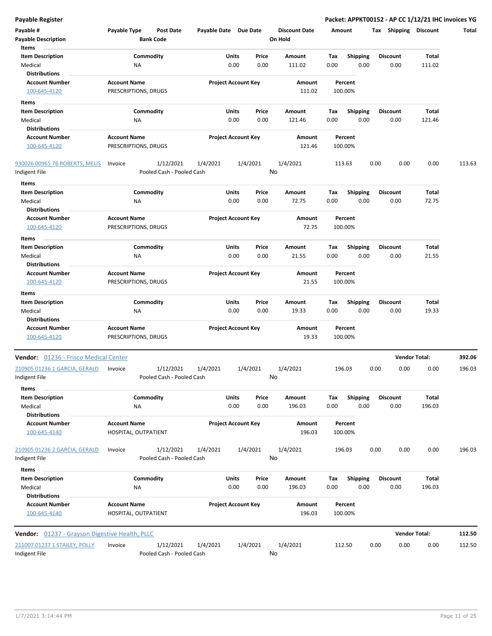| Payable #<br><b>Payable Description</b>                             | Payable Type                                | <b>Post Date</b><br><b>Bank Code</b>   | Payable Date Due Date |                            |               | <b>Discount Date</b><br>On Hold | Amount      |                         | Tax  | <b>Shipping</b>         | <b>Discount</b> | Total  |
|---------------------------------------------------------------------|---------------------------------------------|----------------------------------------|-----------------------|----------------------------|---------------|---------------------------------|-------------|-------------------------|------|-------------------------|-----------------|--------|
| Items<br><b>Item Description</b><br>Medical<br><b>Distributions</b> | <b>NA</b>                                   | Commodity                              |                       | Units<br>0.00              | Price<br>0.00 | Amount<br>111.02                | Tax<br>0.00 | <b>Shipping</b><br>0.00 |      | <b>Discount</b><br>0.00 | Total<br>111.02 |        |
| <b>Account Number</b><br>100-645-4120                               | <b>Account Name</b><br>PRESCRIPTIONS, DRUGS |                                        |                       | <b>Project Account Key</b> |               | Amount<br>111.02                |             | Percent<br>100.00%      |      |                         |                 |        |
| Items                                                               |                                             |                                        |                       |                            |               |                                 |             |                         |      |                         |                 |        |
| <b>Item Description</b><br>Medical                                  | ΝA                                          | Commodity                              |                       | Units<br>0.00              | Price<br>0.00 | Amount<br>121.46                | Тах<br>0.00 | <b>Shipping</b><br>0.00 |      | <b>Discount</b><br>0.00 | Total<br>121.46 |        |
| <b>Distributions</b>                                                |                                             |                                        |                       |                            |               |                                 |             |                         |      |                         |                 |        |
| <b>Account Number</b>                                               | <b>Account Name</b>                         |                                        |                       | <b>Project Account Key</b> |               | Amount                          |             | Percent                 |      |                         |                 |        |
| 100-645-4120                                                        | PRESCRIPTIONS, DRUGS                        |                                        |                       |                            |               | 121.46                          |             | 100.00%                 |      |                         |                 |        |
| 930026 00965 76 ROBERTS, MELIS                                      | Invoice                                     | 1/12/2021<br>Pooled Cash - Pooled Cash | 1/4/2021              | 1/4/2021                   | No            | 1/4/2021                        |             | 113.63                  | 0.00 | 0.00                    | 0.00            | 113.63 |
| Indigent File                                                       |                                             |                                        |                       |                            |               |                                 |             |                         |      |                         |                 |        |
| Items                                                               |                                             |                                        |                       |                            |               |                                 |             |                         |      |                         |                 |        |
| <b>Item Description</b><br>Medical<br><b>Distributions</b>          | ΝA                                          | Commodity                              |                       | Units<br>0.00              | Price<br>0.00 | <b>Amount</b><br>72.75          | Tax<br>0.00 | <b>Shipping</b><br>0.00 |      | <b>Discount</b><br>0.00 | Total<br>72.75  |        |
| <b>Account Number</b><br>100-645-4120                               | <b>Account Name</b><br>PRESCRIPTIONS, DRUGS |                                        |                       | <b>Project Account Key</b> |               | Amount<br>72.75                 |             | Percent<br>100.00%      |      |                         |                 |        |
| Items                                                               |                                             |                                        |                       |                            |               |                                 |             |                         |      |                         |                 |        |
| <b>Item Description</b><br>Medical<br><b>Distributions</b>          | NA                                          | Commodity                              |                       | Units<br>0.00              | Price<br>0.00 | Amount<br>21.55                 | Tax<br>0.00 | <b>Shipping</b><br>0.00 |      | <b>Discount</b><br>0.00 | Total<br>21.55  |        |
| <b>Account Number</b><br>100-645-4120                               | <b>Account Name</b><br>PRESCRIPTIONS, DRUGS |                                        |                       | <b>Project Account Key</b> |               | Amount<br>21.55                 |             | Percent<br>100.00%      |      |                         |                 |        |
| Items<br><b>Item Description</b><br>Medical                         | <b>NA</b>                                   | Commodity                              |                       | Units<br>0.00              | Price<br>0.00 | Amount<br>19.33                 | Tax<br>0.00 | <b>Shipping</b><br>0.00 |      | <b>Discount</b><br>0.00 | Total<br>19.33  |        |
| Distributions<br><b>Account Number</b><br>100-645-4120              | <b>Account Name</b><br>PRESCRIPTIONS, DRUGS |                                        |                       | <b>Project Account Key</b> |               | Amount<br>19.33                 |             | Percent<br>100.00%      |      |                         |                 |        |
| Vendor: 01236 - Frisco Medical Center                               |                                             |                                        |                       |                            |               |                                 |             |                         |      | <b>Vendor Total:</b>    |                 | 392.06 |
| 210905 01236 1 GARCIA, GERALD<br>Indigent File                      | Invoice                                     | 1/12/2021<br>Pooled Cash - Pooled Cash | 1/4/2021              | 1/4/2021                   | No            | 1/4/2021                        | 196.03      |                         | 0.00 | 0.00                    | 0.00            | 196.03 |
| Items                                                               |                                             |                                        |                       |                            |               |                                 |             |                         |      |                         |                 |        |
| <b>Item Description</b><br>Medical                                  | <b>NA</b>                                   | Commodity                              |                       | Units<br>0.00              | Price<br>0.00 | Amount<br>196.03                | Tax<br>0.00 | <b>Shipping</b><br>0.00 |      | <b>Discount</b><br>0.00 | Total<br>196.03 |        |
| <b>Distributions</b>                                                |                                             |                                        |                       |                            |               |                                 |             |                         |      |                         |                 |        |
| <b>Account Number</b><br>100-645-4140                               | <b>Account Name</b><br>HOSPITAL, OUTPATIENT |                                        |                       | <b>Project Account Key</b> |               | Amount<br>196.03                |             | Percent<br>100.00%      |      |                         |                 |        |
| 210905 01236 2 GARCIA, GERALD<br>Indigent File                      | Invoice                                     | 1/12/2021<br>Pooled Cash - Pooled Cash | 1/4/2021              | 1/4/2021                   | No            | 1/4/2021                        |             | 196.03                  | 0.00 | 0.00                    | 0.00            | 196.03 |
| Items                                                               |                                             |                                        |                       |                            |               |                                 |             |                         |      |                         |                 |        |
| <b>Item Description</b>                                             |                                             | Commodity                              |                       | Units                      | Price         | Amount                          | Tax         | Shipping                |      | <b>Discount</b>         | Total           |        |
| Medical                                                             | NA                                          |                                        |                       | 0.00                       | 0.00          | 196.03                          | 0.00        | 0.00                    |      | 0.00                    | 196.03          |        |
| <b>Distributions</b>                                                |                                             |                                        |                       |                            |               |                                 |             |                         |      |                         |                 |        |
| <b>Account Number</b><br>100-645-4140                               | <b>Account Name</b><br>HOSPITAL, OUTPATIENT |                                        |                       | <b>Project Account Key</b> |               | Amount<br>196.03                |             | Percent<br>100.00%      |      |                         |                 |        |
| Vendor: 01237 - Grayson Digestive Health, PLLC                      |                                             |                                        |                       |                            |               |                                 |             |                         |      | <b>Vendor Total:</b>    |                 | 112.50 |
|                                                                     |                                             |                                        |                       |                            |               |                                 |             |                         |      |                         |                 |        |
| 211007 01237 1 STAILEY, POLLY<br>Indigent File                      | Invoice                                     | 1/12/2021<br>Pooled Cash - Pooled Cash | 1/4/2021              | 1/4/2021                   | No            | 1/4/2021                        | 112.50      |                         | 0.00 | 0.00                    | 0.00            | 112.50 |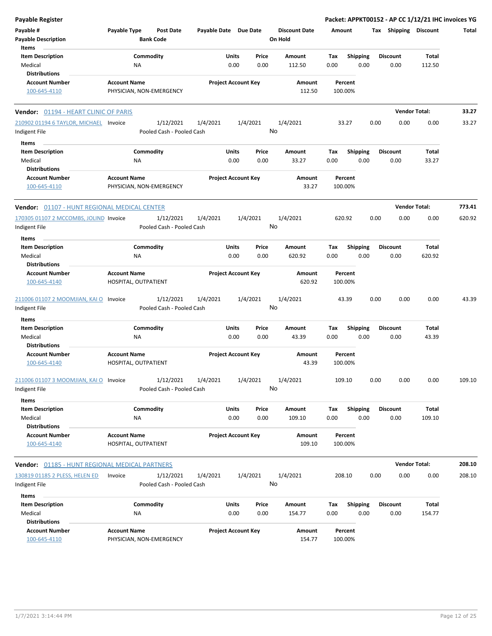| Payable Register                                        |                                                      |                       |                            |                                 |                                        | Packet: APPKT00152 - AP CC 1/12/21 IHC invoices YG |                 |        |
|---------------------------------------------------------|------------------------------------------------------|-----------------------|----------------------------|---------------------------------|----------------------------------------|----------------------------------------------------|-----------------|--------|
| Payable #<br><b>Payable Description</b>                 | Payable Type<br><b>Post Date</b><br><b>Bank Code</b> | Payable Date Due Date |                            | <b>Discount Date</b><br>On Hold | Amount                                 | Tax Shipping Discount                              |                 | Total  |
| Items                                                   |                                                      |                       |                            |                                 |                                        |                                                    |                 |        |
| <b>Item Description</b>                                 | Commodity                                            | <b>Units</b>          | Price                      | Amount                          | Tax<br><b>Shipping</b>                 | <b>Discount</b>                                    | Total           |        |
| Medical<br><b>Distributions</b>                         | NA                                                   |                       | 0.00<br>0.00               | 112.50                          | 0.00<br>0.00                           | 0.00                                               | 112.50          |        |
| <b>Account Number</b>                                   | <b>Account Name</b>                                  |                       | <b>Project Account Key</b> | Amount                          | Percent                                |                                                    |                 |        |
| 100-645-4110                                            | PHYSICIAN, NON-EMERGENCY                             |                       |                            | 112.50                          | 100.00%                                |                                                    |                 |        |
| Vendor: 01194 - HEART CLINIC OF PARIS                   |                                                      |                       |                            |                                 |                                        | <b>Vendor Total:</b>                               |                 | 33.27  |
| 210902 01194 6 TAYLOR, MICHAEL Invoice                  | 1/12/2021                                            | 1/4/2021              | 1/4/2021                   | 1/4/2021                        | 33.27                                  | 0.00<br>0.00                                       | 0.00            | 33.27  |
| Indigent File                                           | Pooled Cash - Pooled Cash                            |                       |                            | No                              |                                        |                                                    |                 |        |
| Items                                                   |                                                      |                       |                            |                                 |                                        |                                                    |                 |        |
| <b>Item Description</b>                                 | Commodity                                            | Units                 | Price                      | Amount                          | <b>Shipping</b><br>Tax                 | <b>Discount</b>                                    | Total           |        |
| Medical<br><b>Distributions</b>                         | ΝA                                                   |                       | 0.00<br>0.00               | 33.27                           | 0.00<br>0.00                           | 0.00                                               | 33.27           |        |
| <b>Account Number</b>                                   | <b>Account Name</b>                                  |                       | <b>Project Account Key</b> | Amount                          | Percent                                |                                                    |                 |        |
| 100-645-4110                                            | PHYSICIAN, NON-EMERGENCY                             |                       |                            | 33.27                           | 100.00%                                |                                                    |                 |        |
| Vendor: 01107 - HUNT REGIONAL MEDICAL CENTER            |                                                      |                       |                            |                                 |                                        | <b>Vendor Total:</b>                               |                 | 773.41 |
| 170305 01107 2 MCCOMBS, JOLIND Invoice                  | 1/12/2021                                            | 1/4/2021              | 1/4/2021                   | 1/4/2021                        | 620.92                                 | 0.00<br>0.00                                       | 0.00            | 620.92 |
| Indigent File                                           | Pooled Cash - Pooled Cash                            |                       |                            | No                              |                                        |                                                    |                 |        |
| Items                                                   |                                                      |                       |                            |                                 |                                        |                                                    |                 |        |
| <b>Item Description</b>                                 | Commodity                                            | Units                 | Price                      | Amount                          | <b>Shipping</b><br>Tax                 | <b>Discount</b>                                    | Total           |        |
| Medical                                                 | ΝA                                                   |                       | 0.00<br>0.00               | 620.92                          | 0.00<br>0.00                           | 0.00                                               | 620.92          |        |
| <b>Distributions</b><br><b>Account Number</b>           | <b>Account Name</b>                                  |                       | <b>Project Account Key</b> | Amount                          | Percent                                |                                                    |                 |        |
| 100-645-4140                                            | HOSPITAL, OUTPATIENT                                 |                       |                            | 620.92                          | 100.00%                                |                                                    |                 |        |
| 211006 01107 2 MOOMJIAN, KAI O Invoice<br>Indigent File | 1/12/2021<br>Pooled Cash - Pooled Cash               | 1/4/2021              | 1/4/2021                   | 1/4/2021<br>No                  | 43.39                                  | 0.00<br>0.00                                       | 0.00            | 43.39  |
| Items                                                   |                                                      |                       |                            |                                 |                                        |                                                    |                 |        |
| <b>Item Description</b>                                 | Commodity                                            | Units                 | Price                      | Amount                          | Tax<br><b>Shipping</b>                 | <b>Discount</b>                                    | Total           |        |
| Medical                                                 | <b>NA</b>                                            |                       | 0.00<br>0.00               | 43.39                           | 0.00<br>0.00                           | 0.00                                               | 43.39           |        |
| <b>Distributions</b>                                    |                                                      |                       |                            |                                 |                                        |                                                    |                 |        |
| <b>Account Number</b>                                   | <b>Account Name</b>                                  |                       | <b>Project Account Key</b> | Amount                          | Percent                                |                                                    |                 |        |
| 100-645-4140                                            | HOSPITAL, OUTPATIENT                                 |                       |                            | 43.39                           | 100.00%                                |                                                    |                 |        |
| 211006 01107 3 MOOMJIAN, KAI O Invoice                  | 1/12/2021<br>Pooled Cash - Pooled Cash               | 1/4/2021              | 1/4/2021                   | 1/4/2021<br>No                  | 109.10                                 | 0.00<br>0.00                                       | 0.00            | 109.10 |
| Indigent File                                           |                                                      |                       |                            |                                 |                                        |                                                    |                 |        |
| Items                                                   |                                                      |                       |                            |                                 |                                        |                                                    |                 |        |
| <b>Item Description</b><br>Medical                      | Commodity<br>ΝA                                      | Units                 | Price<br>0.00<br>0.00      | Amount<br>109.10                | <b>Shipping</b><br>Tax<br>0.00<br>0.00 | <b>Discount</b><br>0.00                            | Total<br>109.10 |        |
| <b>Distributions</b>                                    |                                                      |                       |                            |                                 |                                        |                                                    |                 |        |
| <b>Account Number</b>                                   | <b>Account Name</b>                                  |                       | <b>Project Account Key</b> | Amount                          | Percent                                |                                                    |                 |        |
| 100-645-4140                                            | HOSPITAL, OUTPATIENT                                 |                       |                            | 109.10                          | 100.00%                                |                                                    |                 |        |
| Vendor: 01185 - HUNT REGIONAL MEDICAL PARTNERS          |                                                      |                       |                            |                                 |                                        | <b>Vendor Total:</b>                               |                 | 208.10 |
| 130819 01185 2 PLESS, HELEN ED                          | 1/12/2021<br>Invoice                                 | 1/4/2021              | 1/4/2021                   | 1/4/2021                        | 208.10                                 | 0.00<br>0.00                                       | 0.00            | 208.10 |
| Indigent File                                           | Pooled Cash - Pooled Cash                            |                       |                            | No                              |                                        |                                                    |                 |        |
| Items                                                   |                                                      |                       |                            |                                 |                                        |                                                    |                 |        |
| <b>Item Description</b>                                 | Commodity                                            | Units                 | Price                      | Amount                          | <b>Shipping</b><br>Tax                 | <b>Discount</b>                                    | Total           |        |
| Medical                                                 | NA                                                   |                       | 0.00<br>0.00               | 154.77                          | 0.00<br>0.00                           | 0.00                                               | 154.77          |        |
| <b>Distributions</b>                                    |                                                      |                       |                            |                                 |                                        |                                                    |                 |        |
| <b>Account Number</b><br>100-645-4110                   | <b>Account Name</b><br>PHYSICIAN, NON-EMERGENCY      |                       | <b>Project Account Key</b> | Amount<br>154.77                | Percent<br>100.00%                     |                                                    |                 |        |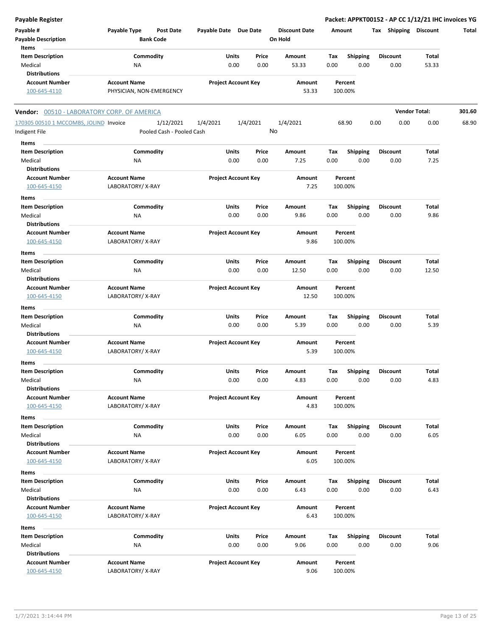| Payable Register                                   |                                                      |                            |               |                                 |             |                         |                       | Packet: APPKT00152 - AP CC 1/12/21 IHC invoices YG |        |
|----------------------------------------------------|------------------------------------------------------|----------------------------|---------------|---------------------------------|-------------|-------------------------|-----------------------|----------------------------------------------------|--------|
| Payable #<br><b>Payable Description</b>            | Payable Type<br><b>Post Date</b><br><b>Bank Code</b> | Payable Date Due Date      |               | <b>Discount Date</b><br>On Hold | Amount      |                         | Tax Shipping Discount |                                                    | Total  |
| Items<br><b>Item Description</b><br>Medical        | Commodity<br>NA                                      | Units<br>0.00              | Price<br>0.00 | Amount<br>53.33                 | Tax<br>0.00 | <b>Shipping</b><br>0.00 | Discount<br>0.00      | Total<br>53.33                                     |        |
| <b>Distributions</b>                               |                                                      |                            |               |                                 |             |                         |                       |                                                    |        |
| <b>Account Number</b>                              | <b>Account Name</b>                                  | <b>Project Account Key</b> |               | Amount                          |             | Percent                 |                       |                                                    |        |
| 100-645-4110                                       | PHYSICIAN, NON-EMERGENCY                             |                            |               | 53.33                           |             | 100.00%                 |                       |                                                    |        |
| <b>Vendor:</b> 00510 - LABORATORY CORP. OF AMERICA |                                                      |                            |               |                                 |             |                         |                       | <b>Vendor Total:</b>                               | 301.60 |
| 170305 00510 1 MCCOMBS, JOLIND Invoice             | 1/12/2021                                            | 1/4/2021                   | 1/4/2021      | 1/4/2021                        |             | 68.90                   | 0.00<br>0.00          | 0.00                                               | 68.90  |
| Indigent File                                      | Pooled Cash - Pooled Cash                            |                            | No            |                                 |             |                         |                       |                                                    |        |
| Items                                              |                                                      |                            |               |                                 |             |                         |                       |                                                    |        |
| <b>Item Description</b>                            | Commodity                                            | Units                      | Price         | Amount                          | Тах         | Shipping                | Discount              | Total                                              |        |
| Medical<br><b>Distributions</b>                    | ΝA                                                   | 0.00                       | 0.00          | 7.25                            | 0.00        | 0.00                    | 0.00                  | 7.25                                               |        |
| <b>Account Number</b>                              | <b>Account Name</b>                                  | <b>Project Account Key</b> |               | Amount                          |             | Percent                 |                       |                                                    |        |
| 100-645-4150                                       | LABORATORY/X-RAY                                     |                            |               | 7.25                            |             | 100.00%                 |                       |                                                    |        |
| <b>Items</b>                                       |                                                      |                            |               |                                 |             |                         |                       |                                                    |        |
| <b>Item Description</b>                            | Commodity                                            | Units                      | Price         | Amount                          | Tax         | <b>Shipping</b>         | <b>Discount</b>       | Total                                              |        |
| Medical<br><b>Distributions</b>                    | NA                                                   | 0.00                       | 0.00          | 9.86                            | 0.00        | 0.00                    | 0.00                  | 9.86                                               |        |
| <b>Account Number</b>                              | <b>Account Name</b>                                  | <b>Project Account Key</b> |               | Amount                          |             | Percent                 |                       |                                                    |        |
| 100-645-4150                                       | LABORATORY/X-RAY                                     |                            |               | 9.86                            |             | 100.00%                 |                       |                                                    |        |
| Items                                              |                                                      |                            |               |                                 |             |                         |                       |                                                    |        |
| <b>Item Description</b>                            | Commodity                                            | Units                      | Price         | Amount                          | Tax         | <b>Shipping</b>         | Discount              | Total                                              |        |
| Medical<br><b>Distributions</b>                    | NA                                                   | 0.00                       | 0.00          | 12.50                           | 0.00        | 0.00                    | 0.00                  | 12.50                                              |        |
| <b>Account Number</b>                              | <b>Account Name</b>                                  | <b>Project Account Key</b> |               | Amount                          |             | Percent                 |                       |                                                    |        |
| 100-645-4150                                       | LABORATORY/X-RAY                                     |                            |               | 12.50                           |             | 100.00%                 |                       |                                                    |        |
| Items<br><b>Item Description</b>                   | Commodity                                            | Units                      | Price         | Amount                          | Tax         | <b>Shipping</b>         | Discount              | Total                                              |        |
| Medical                                            | NA                                                   | 0.00                       | 0.00          | 5.39                            | 0.00        | 0.00                    | 0.00                  | 5.39                                               |        |
| <b>Distributions</b>                               |                                                      |                            |               |                                 |             |                         |                       |                                                    |        |
| <b>Account Number</b>                              | <b>Account Name</b>                                  | <b>Project Account Key</b> |               | Amount                          |             | Percent                 |                       |                                                    |        |
| 100-645-4150                                       | LABORATORY/X-RAY                                     |                            |               | 5.39                            |             | 100.00%                 |                       |                                                    |        |
| Items                                              |                                                      |                            |               |                                 |             |                         |                       |                                                    |        |
| <b>Item Description</b>                            | Commodity                                            | Units                      | Price         | Amount                          | Tax         | <b>Shipping</b>         | <b>Discount</b>       | Total                                              |        |
| Medical<br><b>Distributions</b>                    | <b>NA</b>                                            | 0.00                       | 0.00          | 4.83                            | 0.00        | 0.00                    | 0.00                  | 4.83                                               |        |
| <b>Account Number</b>                              | <b>Account Name</b>                                  | <b>Project Account Key</b> |               | Amount                          |             | Percent                 |                       |                                                    |        |
| 100-645-4150                                       | LABORATORY/X-RAY                                     |                            |               | 4.83                            |             | 100.00%                 |                       |                                                    |        |
| Items                                              |                                                      |                            |               |                                 |             |                         |                       |                                                    |        |
| <b>Item Description</b>                            | Commodity                                            | Units                      | Price         | Amount                          | Тах         | <b>Shipping</b>         | <b>Discount</b>       | Total                                              |        |
| Medical                                            | ΝA                                                   | 0.00                       | 0.00          | 6.05                            | 0.00        | 0.00                    | 0.00                  | 6.05                                               |        |
| <b>Distributions</b>                               |                                                      |                            |               |                                 |             |                         |                       |                                                    |        |
| <b>Account Number</b><br>100-645-4150              | <b>Account Name</b><br>LABORATORY/X-RAY              | <b>Project Account Key</b> |               | Amount<br>6.05                  |             | Percent<br>100.00%      |                       |                                                    |        |
| Items                                              |                                                      |                            |               |                                 |             |                         |                       |                                                    |        |
| <b>Item Description</b>                            | Commodity                                            | Units                      | Price         | Amount                          | Tax         | <b>Shipping</b>         | Discount              | Total                                              |        |
| Medical                                            | ΝA                                                   | 0.00                       | 0.00          | 6.43                            | 0.00        | 0.00                    | 0.00                  | 6.43                                               |        |
| <b>Distributions</b>                               |                                                      |                            |               |                                 |             |                         |                       |                                                    |        |
| <b>Account Number</b><br>100-645-4150              | <b>Account Name</b><br>LABORATORY/X-RAY              | <b>Project Account Key</b> |               | Amount<br>6.43                  |             | Percent<br>100.00%      |                       |                                                    |        |
| Items                                              |                                                      |                            |               |                                 |             |                         |                       |                                                    |        |
| <b>Item Description</b>                            | Commodity                                            | Units                      | Price         | Amount                          | Tax         | <b>Shipping</b>         | <b>Discount</b>       | Total                                              |        |
| Medical                                            | ΝA                                                   | 0.00                       | 0.00          | 9.06                            | 0.00        | 0.00                    | 0.00                  | 9.06                                               |        |
| <b>Distributions</b>                               |                                                      |                            |               |                                 |             |                         |                       |                                                    |        |
| <b>Account Number</b><br>100-645-4150              | <b>Account Name</b><br>LABORATORY/X-RAY              | <b>Project Account Key</b> |               | Amount<br>9.06                  |             | Percent<br>100.00%      |                       |                                                    |        |
|                                                    |                                                      |                            |               |                                 |             |                         |                       |                                                    |        |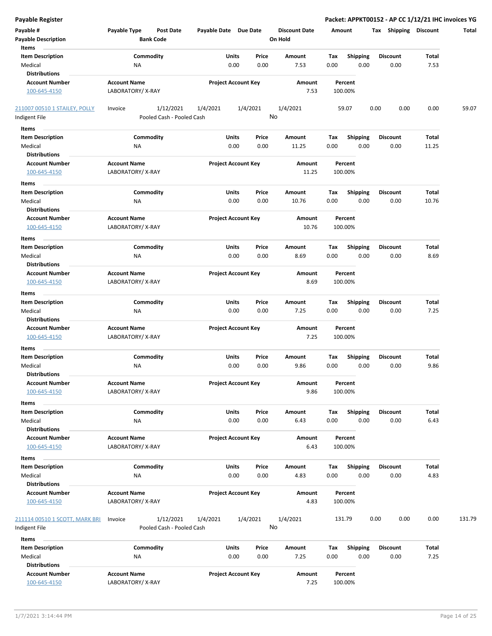| <b>Payable Register</b>                                             |                                         |                                                    |                            |                |                                 |             |                         | Packet: APPKT00152 - AP CC 1/12/21 IHC invoices YG |                |        |
|---------------------------------------------------------------------|-----------------------------------------|----------------------------------------------------|----------------------------|----------------|---------------------------------|-------------|-------------------------|----------------------------------------------------|----------------|--------|
| Payable #<br><b>Payable Description</b>                             | Payable Type<br><b>Bank Code</b>        | <b>Post Date</b><br>Payable Date Due Date          |                            |                | <b>Discount Date</b><br>On Hold | Amount      |                         | Tax Shipping Discount                              |                | Total  |
| Items<br><b>Item Description</b><br>Medical<br><b>Distributions</b> | Commodity<br>NA                         |                                                    | Units<br>0.00              | Price<br>0.00  | Amount<br>7.53                  | Tax<br>0.00 | <b>Shipping</b><br>0.00 | <b>Discount</b><br>0.00                            | Total<br>7.53  |        |
| <b>Account Number</b><br>100-645-4150                               | <b>Account Name</b><br>LABORATORY/X-RAY |                                                    | <b>Project Account Key</b> |                | Amount<br>7.53                  |             | Percent<br>100.00%      |                                                    |                |        |
| 211007 00510 1 STAILEY, POLLY                                       | Invoice                                 | 1/12/2021<br>1/4/2021                              |                            | 1/4/2021       | 1/4/2021                        |             | 59.07                   | 0.00<br>0.00                                       | 0.00           | 59.07  |
| Indigent File                                                       |                                         | Pooled Cash - Pooled Cash                          |                            | No             |                                 |             |                         |                                                    |                |        |
| Items                                                               |                                         |                                                    |                            |                |                                 |             |                         |                                                    |                |        |
| <b>Item Description</b><br>Medical<br><b>Distributions</b>          | Commodity<br>ΝA                         |                                                    | Units<br>0.00              | Price<br>0.00  | Amount<br>11.25                 | Tax<br>0.00 | <b>Shipping</b><br>0.00 | <b>Discount</b><br>0.00                            | Total<br>11.25 |        |
| <b>Account Number</b>                                               | <b>Account Name</b>                     |                                                    | <b>Project Account Key</b> |                | Amount                          |             | Percent                 |                                                    |                |        |
| 100-645-4150                                                        | LABORATORY/X-RAY                        |                                                    |                            |                | 11.25                           |             | 100.00%                 |                                                    |                |        |
| Items                                                               |                                         |                                                    |                            |                |                                 |             |                         |                                                    |                |        |
| <b>Item Description</b>                                             | Commodity                               |                                                    | Units                      | Price          | Amount                          | Tax         | <b>Shipping</b>         | <b>Discount</b>                                    | Total          |        |
| Medical<br><b>Distributions</b>                                     | ΝA                                      |                                                    | 0.00                       | 0.00           | 10.76                           | 0.00        | 0.00                    | 0.00                                               | 10.76          |        |
| <b>Account Number</b><br>100-645-4150                               | <b>Account Name</b><br>LABORATORY/X-RAY |                                                    | <b>Project Account Key</b> |                | Amount<br>10.76                 |             | Percent<br>100.00%      |                                                    |                |        |
| Items                                                               |                                         |                                                    |                            |                |                                 |             |                         |                                                    |                |        |
| <b>Item Description</b><br>Medical                                  | Commodity<br>NA                         |                                                    | Units<br>0.00              | Price<br>0.00  | Amount<br>8.69                  | Tax<br>0.00 | <b>Shipping</b><br>0.00 | <b>Discount</b><br>0.00                            | Total<br>8.69  |        |
| <b>Distributions</b>                                                |                                         |                                                    |                            |                |                                 |             |                         |                                                    |                |        |
| <b>Account Number</b><br>100-645-4150                               | <b>Account Name</b><br>LABORATORY/X-RAY |                                                    | <b>Project Account Key</b> |                | Amount<br>8.69                  |             | Percent<br>100.00%      |                                                    |                |        |
| Items                                                               |                                         |                                                    |                            |                |                                 |             |                         |                                                    |                |        |
| <b>Item Description</b><br>Medical<br><b>Distributions</b>          | Commodity<br>NA                         |                                                    | Units<br>0.00              | Price<br>0.00  | Amount<br>7.25                  | Tax<br>0.00 | <b>Shipping</b><br>0.00 | <b>Discount</b><br>0.00                            | Total<br>7.25  |        |
| <b>Account Number</b><br>100-645-4150                               | <b>Account Name</b><br>LABORATORY/X-RAY |                                                    | <b>Project Account Key</b> |                | Amount<br>7.25                  |             | Percent<br>100.00%      |                                                    |                |        |
| Items                                                               |                                         |                                                    |                            |                |                                 |             |                         |                                                    | Total          |        |
| <b>Item Description</b><br>Medical<br><b>Distributions</b>          | Commodity<br>ΝA                         |                                                    | Units<br>0.00              | Price<br>0.00  | Amount<br>9.86                  | Tax<br>0.00 | <b>Shipping</b><br>0.00 | <b>Discount</b><br>0.00                            | 9.86           |        |
| <b>Account Number</b><br>100-645-4150                               | <b>Account Name</b><br>LABORATORY/X-RAY |                                                    | <b>Project Account Key</b> |                | Amount<br>9.86                  |             | Percent<br>100.00%      |                                                    |                |        |
| Items<br><b>Item Description</b>                                    |                                         |                                                    | Units                      | Price          |                                 |             |                         | <b>Discount</b>                                    | Total          |        |
| Medical<br><b>Distributions</b>                                     | Commodity<br>NA                         |                                                    | 0.00                       | 0.00           | Amount<br>6.43                  | Tax<br>0.00 | <b>Shipping</b><br>0.00 | 0.00                                               | 6.43           |        |
| <b>Account Number</b><br>100-645-4150                               | <b>Account Name</b><br>LABORATORY/X-RAY |                                                    | <b>Project Account Key</b> |                | Amount<br>6.43                  |             | Percent<br>100.00%      |                                                    |                |        |
| Items<br><b>Item Description</b>                                    | Commodity                               |                                                    | Units                      | Price          | Amount                          | Tax         | Shipping                | <b>Discount</b>                                    | Total          |        |
| Medical<br><b>Distributions</b>                                     | ΝA                                      |                                                    | 0.00                       | 0.00           | 4.83                            | 0.00        | 0.00                    | 0.00                                               | 4.83           |        |
| <b>Account Number</b><br>100-645-4150                               | <b>Account Name</b><br>LABORATORY/X-RAY |                                                    | <b>Project Account Key</b> |                | Amount<br>4.83                  |             | Percent<br>100.00%      |                                                    |                |        |
| 211114 00510 1 SCOTT, MARK BRI<br>Indigent File                     | Invoice                                 | 1/12/2021<br>1/4/2021<br>Pooled Cash - Pooled Cash |                            | 1/4/2021<br>No | 1/4/2021                        |             | 131.79                  | 0.00<br>0.00                                       | 0.00           | 131.79 |
| Items                                                               |                                         |                                                    |                            |                |                                 |             |                         |                                                    |                |        |
| <b>Item Description</b>                                             | Commodity                               |                                                    | Units                      | Price          | Amount                          | Tax         | <b>Shipping</b>         | <b>Discount</b>                                    | Total          |        |
| Medical                                                             | ΝA                                      |                                                    | 0.00                       | 0.00           | 7.25                            | 0.00        | 0.00                    | 0.00                                               | 7.25           |        |
| <b>Distributions</b><br><b>Account Number</b><br>100-645-4150       | <b>Account Name</b><br>LABORATORY/X-RAY |                                                    | <b>Project Account Key</b> |                | Amount<br>7.25                  |             | Percent<br>100.00%      |                                                    |                |        |
|                                                                     |                                         |                                                    |                            |                |                                 |             |                         |                                                    |                |        |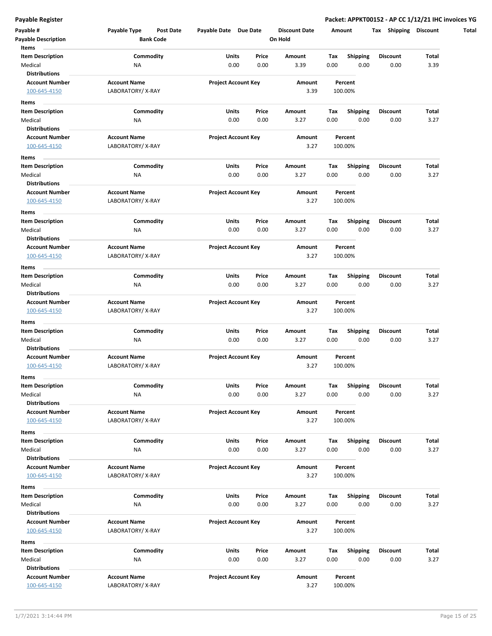| Payable #<br><b>Payable Description</b>       | Payable Type<br><b>Bank Code</b>        | Payable Date Due Date<br>Post Date |                            | <b>Discount Date</b><br>On Hold | Amount      |                         | <b>Shipping</b><br>Tax  | <b>Discount</b> |
|-----------------------------------------------|-----------------------------------------|------------------------------------|----------------------------|---------------------------------|-------------|-------------------------|-------------------------|-----------------|
| Items                                         |                                         |                                    |                            |                                 |             |                         |                         |                 |
| <b>Item Description</b>                       | Commodity                               | Units                              | Price                      | Amount                          | Tax         | <b>Shipping</b>         | <b>Discount</b>         | Total           |
| Medical<br><b>Distributions</b>               | <b>NA</b>                               | 0.00                               | 0.00                       | 3.39                            | 0.00        | 0.00                    | 0.00                    | 3.39            |
| <b>Account Number</b>                         | <b>Account Name</b>                     | <b>Project Account Key</b>         |                            | Amount                          |             | Percent                 |                         |                 |
| 100-645-4150                                  | LABORATORY/X-RAY                        |                                    |                            | 3.39                            |             | 100.00%                 |                         |                 |
|                                               |                                         |                                    |                            |                                 |             |                         |                         |                 |
| Items                                         |                                         |                                    |                            |                                 |             |                         |                         |                 |
| <b>Item Description</b>                       | Commodity                               | Units                              | Price                      | Amount                          | Тах         | <b>Shipping</b>         | <b>Discount</b>         | Total           |
| Medical<br><b>Distributions</b>               | ΝA                                      | 0.00                               | 0.00                       | 3.27                            | 0.00        | 0.00                    | 0.00                    | 3.27            |
| <b>Account Number</b>                         | <b>Account Name</b>                     |                                    | <b>Project Account Key</b> | Amount                          |             | Percent                 |                         |                 |
| 100-645-4150                                  | LABORATORY/X-RAY                        |                                    |                            | 3.27                            |             | 100.00%                 |                         |                 |
|                                               |                                         |                                    |                            |                                 |             |                         |                         |                 |
| Items                                         |                                         |                                    |                            |                                 |             |                         |                         |                 |
| <b>Item Description</b>                       | Commodity                               | Units                              | Price                      | Amount                          | Tax         | <b>Shipping</b>         | <b>Discount</b>         | Total           |
| Medical                                       | ΝA                                      | 0.00                               | 0.00                       | 3.27                            | 0.00        | 0.00                    | 0.00                    | 3.27            |
| <b>Distributions</b>                          |                                         |                                    |                            |                                 |             |                         |                         |                 |
| <b>Account Number</b>                         | <b>Account Name</b><br>LABORATORY/X-RAY | <b>Project Account Key</b>         |                            | Amount<br>3.27                  |             | Percent                 |                         |                 |
| 100-645-4150                                  |                                         |                                    |                            |                                 |             | 100.00%                 |                         |                 |
| Items                                         |                                         |                                    |                            |                                 |             |                         |                         |                 |
| <b>Item Description</b>                       | Commodity                               | Units                              | Price                      | Amount                          | Tax         | Shipping                | <b>Discount</b>         | Total           |
| Medical                                       | ΝA                                      | 0.00                               | 0.00                       | 3.27                            | 0.00        | 0.00                    | 0.00                    | 3.27            |
| <b>Distributions</b><br><b>Account Number</b> | <b>Account Name</b>                     | <b>Project Account Key</b>         |                            | Amount                          |             | Percent                 |                         |                 |
| 100-645-4150                                  | LABORATORY/X-RAY                        |                                    |                            | 3.27                            |             | 100.00%                 |                         |                 |
|                                               |                                         |                                    |                            |                                 |             |                         |                         |                 |
| Items                                         |                                         |                                    |                            |                                 |             |                         |                         |                 |
| <b>Item Description</b>                       | Commodity                               | Units                              | Price                      | Amount                          | Tax         | <b>Shipping</b>         | <b>Discount</b>         | Total           |
| Medical<br><b>Distributions</b>               | NA                                      | 0.00                               | 0.00                       | 3.27                            | 0.00        | 0.00                    | 0.00                    | 3.27            |
| <b>Account Number</b>                         | <b>Account Name</b>                     | <b>Project Account Key</b>         |                            | Amount                          |             | Percent                 |                         |                 |
| 100-645-4150                                  | LABORATORY/X-RAY                        |                                    |                            | 3.27                            |             | 100.00%                 |                         |                 |
|                                               |                                         |                                    |                            |                                 |             |                         |                         |                 |
| Items                                         |                                         |                                    |                            |                                 |             |                         |                         |                 |
| <b>Item Description</b><br>Medical            | Commodity<br><b>NA</b>                  | Units<br>0.00                      | Price<br>0.00              | Amount<br>3.27                  | Tax<br>0.00 | <b>Shipping</b><br>0.00 | <b>Discount</b><br>0.00 | Total<br>3.27   |
| <b>Distributions</b>                          |                                         |                                    |                            |                                 |             |                         |                         |                 |
| <b>Account Number</b>                         | <b>Account Name</b>                     | <b>Project Account Key</b>         |                            | Amount                          |             | Percent                 |                         |                 |
| 100-645-4150                                  | LABORATORY/X-RAY                        |                                    |                            | 3.27                            |             | 100.00%                 |                         |                 |
| Items                                         |                                         |                                    |                            |                                 |             |                         |                         |                 |
|                                               | Commodity                               | Units                              | Price                      |                                 |             | Shipping                | Discount                | Total           |
| Item Description<br>Medical                   | ΝA                                      | 0.00                               | 0.00                       | Amount<br>3.27                  | Тах<br>0.00 | 0.00                    | 0.00                    | 3.27            |
| <b>Distributions</b>                          |                                         |                                    |                            |                                 |             |                         |                         |                 |
| <b>Account Number</b>                         | <b>Account Name</b>                     | <b>Project Account Key</b>         |                            | Amount                          |             | Percent                 |                         |                 |
| 100-645-4150                                  | LABORATORY/X-RAY                        |                                    |                            | 3.27                            |             | 100.00%                 |                         |                 |
| Items                                         |                                         |                                    |                            |                                 |             |                         |                         |                 |
| <b>Item Description</b>                       | Commodity                               | Units                              | Price                      | Amount                          | Tax         | <b>Shipping</b>         | <b>Discount</b>         | Total           |
| Medical                                       | NA                                      | 0.00                               | 0.00                       | 3.27                            | 0.00        | 0.00                    | 0.00                    | 3.27            |
| <b>Distributions</b>                          |                                         |                                    |                            |                                 |             |                         |                         |                 |
| <b>Account Number</b>                         | <b>Account Name</b>                     | <b>Project Account Key</b>         |                            | Amount                          |             | Percent                 |                         |                 |
| 100-645-4150                                  | LABORATORY/X-RAY                        |                                    |                            | 3.27                            |             | 100.00%                 |                         |                 |
| Items                                         |                                         |                                    |                            |                                 |             |                         |                         |                 |
| <b>Item Description</b>                       | Commodity                               | <b>Units</b>                       | Price                      | Amount                          | Tax         | <b>Shipping</b>         | <b>Discount</b>         | Total           |
| Medical                                       | NA                                      | 0.00                               | 0.00                       | 3.27                            | 0.00        | 0.00                    | 0.00                    | 3.27            |
| <b>Distributions</b>                          |                                         |                                    |                            |                                 |             |                         |                         |                 |
| <b>Account Number</b>                         | <b>Account Name</b>                     | <b>Project Account Key</b>         |                            | Amount                          |             | Percent                 |                         |                 |
| 100-645-4150                                  | LABORATORY/X-RAY                        |                                    |                            | 3.27                            |             | 100.00%                 |                         |                 |
|                                               |                                         |                                    |                            |                                 |             |                         |                         |                 |
|                                               |                                         | Units                              |                            |                                 | Tax         |                         |                         |                 |
| Items                                         |                                         |                                    |                            |                                 |             | <b>Shipping</b>         | <b>Discount</b>         | Total           |
| <b>Item Description</b>                       | Commodity                               |                                    | Price                      | Amount                          |             |                         |                         |                 |
| Medical                                       | NA                                      | 0.00                               | 0.00                       | 3.27                            | 0.00        | 0.00                    | 0.00                    | 3.27            |
| <b>Distributions</b><br><b>Account Number</b> | <b>Account Name</b>                     | <b>Project Account Key</b>         |                            | Amount                          |             | Percent                 |                         |                 |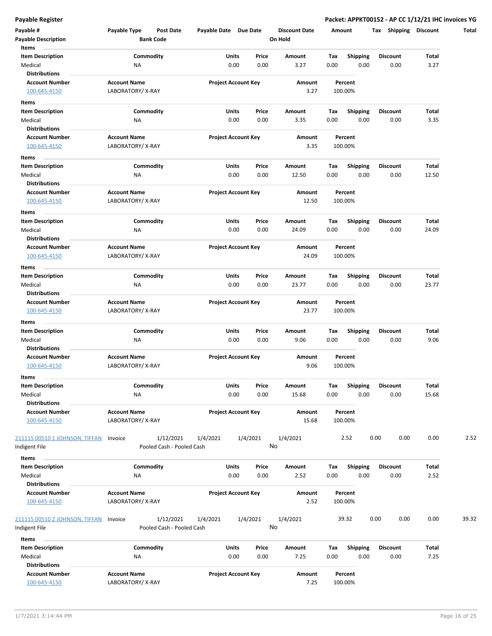| Payable #<br><b>Payable Description</b>                       | Payable Type                            | Post Date<br><b>Bank Code</b>          | Payable Date Due Date |                            | <b>Discount Date</b><br>On Hold | Amount      |                         | Tax Shipping Discount   |                | Total |
|---------------------------------------------------------------|-----------------------------------------|----------------------------------------|-----------------------|----------------------------|---------------------------------|-------------|-------------------------|-------------------------|----------------|-------|
| Items<br><b>Item Description</b>                              |                                         | Commodity                              | Units                 | Price                      | Amount                          | Tax         | Shipping                | <b>Discount</b>         | Total          |       |
| Medical<br><b>Distributions</b>                               | NA                                      |                                        | 0.00                  | 0.00                       | 3.27                            | 0.00        | 0.00                    | 0.00                    | 3.27           |       |
| <b>Account Number</b><br>100-645-4150                         | <b>Account Name</b><br>LABORATORY/X-RAY |                                        |                       | <b>Project Account Key</b> | Amount<br>3.27                  |             | Percent<br>100.00%      |                         |                |       |
| Items                                                         |                                         |                                        |                       |                            |                                 |             |                         |                         |                |       |
| <b>Item Description</b><br>Medical<br><b>Distributions</b>    | ΝA                                      | Commodity                              | Units<br>0.00         | Price<br>0.00              | Amount<br>3.35                  | Tax<br>0.00 | <b>Shipping</b><br>0.00 | <b>Discount</b><br>0.00 | Total<br>3.35  |       |
| <b>Account Number</b><br>100-645-4150                         | <b>Account Name</b><br>LABORATORY/X-RAY |                                        |                       | <b>Project Account Key</b> | Amount<br>3.35                  |             | Percent<br>100.00%      |                         |                |       |
| Items                                                         |                                         |                                        |                       |                            |                                 |             |                         |                         |                |       |
| <b>Item Description</b><br>Medical                            | ΝA                                      | Commodity                              | Units<br>0.00         | Price<br>0.00              | Amount<br>12.50                 | Тах<br>0.00 | <b>Shipping</b><br>0.00 | Discount<br>0.00        | Total<br>12.50 |       |
| <b>Distributions</b><br><b>Account Number</b><br>100-645-4150 | <b>Account Name</b><br>LABORATORY/X-RAY |                                        |                       | <b>Project Account Key</b> | Amount<br>12.50                 |             | Percent<br>100.00%      |                         |                |       |
| Items                                                         |                                         |                                        |                       |                            |                                 |             |                         |                         |                |       |
| <b>Item Description</b><br>Medical                            | ΝA                                      | Commodity                              | Units<br>0.00         | Price<br>0.00              | Amount<br>24.09                 | Tax<br>0.00 | <b>Shipping</b><br>0.00 | Discount<br>0.00        | Total<br>24.09 |       |
| <b>Distributions</b><br><b>Account Number</b>                 | <b>Account Name</b>                     |                                        |                       | <b>Project Account Key</b> | Amount                          |             | Percent                 |                         |                |       |
| 100-645-4150                                                  | LABORATORY/X-RAY                        |                                        |                       |                            | 24.09                           |             | 100.00%                 |                         |                |       |
| Items<br>Item Description                                     |                                         | Commodity                              | Units                 | Price                      | Amount                          | Tax         | <b>Shipping</b>         | <b>Discount</b>         | Total          |       |
| Medical<br><b>Distributions</b>                               | <b>NA</b>                               |                                        | 0.00                  | 0.00                       | 23.77                           | 0.00        | 0.00                    | 0.00                    | 23.77          |       |
| <b>Account Number</b><br>100-645-4150                         | <b>Account Name</b><br>LABORATORY/X-RAY |                                        |                       | <b>Project Account Key</b> | Amount<br>23.77                 |             | Percent<br>100.00%      |                         |                |       |
| Items                                                         |                                         |                                        |                       |                            |                                 |             |                         |                         |                |       |
| <b>Item Description</b><br>Medical                            | <b>NA</b>                               | Commodity                              | Units<br>0.00         | Price<br>0.00              | Amount<br>9.06                  | Tax<br>0.00 | <b>Shipping</b><br>0.00 | <b>Discount</b><br>0.00 | Total<br>9.06  |       |
| <b>Distributions</b><br><b>Account Number</b><br>100-645-4150 | <b>Account Name</b><br>LABORATORY/X-RAY |                                        |                       | <b>Project Account Key</b> | Amount<br>9.06                  |             | Percent<br>100.00%      |                         |                |       |
| Items                                                         |                                         |                                        |                       |                            |                                 |             |                         |                         |                |       |
| <b>Item Description</b><br>Medical                            | NA                                      | Commodity                              | Units<br>0.00         | Price<br>0.00              | Amount<br>15.68                 | Tax<br>0.00 | Shipping<br>0.00        | <b>Discount</b><br>0.00 | Total<br>15.68 |       |
| <b>Distributions</b><br><b>Account Number</b><br>100-645-4150 | <b>Account Name</b><br>LABORATORY/X-RAY |                                        |                       | <b>Project Account Key</b> | Amount<br>15.68                 |             | Percent<br>100.00%      |                         |                |       |
| 211115 00510 1 JOHNSON, TIFFAN<br>Indigent File               | Invoice                                 | 1/12/2021<br>Pooled Cash - Pooled Cash | 1/4/2021              | 1/4/2021                   | 1/4/2021<br>No                  |             | 2.52                    | 0.00<br>0.00            | 0.00           | 2.52  |
| Items                                                         |                                         |                                        |                       |                            |                                 |             |                         |                         |                |       |
| <b>Item Description</b><br>Medical<br><b>Distributions</b>    | ΝA                                      | Commodity                              | <b>Units</b><br>0.00  | Price<br>0.00              | Amount<br>2.52                  | Tax<br>0.00 | Shipping<br>0.00        | <b>Discount</b><br>0.00 | Total<br>2.52  |       |
| <b>Account Number</b><br>100-645-4150                         | <b>Account Name</b><br>LABORATORY/X-RAY |                                        |                       | <b>Project Account Key</b> | Amount<br>2.52                  |             | Percent<br>100.00%      |                         |                |       |
| 211115 00510 2 JOHNSON, TIFFAN<br>Indigent File               | Invoice                                 | 1/12/2021<br>Pooled Cash - Pooled Cash | 1/4/2021              | 1/4/2021                   | 1/4/2021<br>No                  |             | 39.32                   | 0.00<br>0.00            | 0.00           | 39.32 |
| Items                                                         |                                         |                                        |                       |                            |                                 |             |                         |                         |                |       |
| <b>Item Description</b><br>Medical                            | ΝA                                      | Commodity                              | <b>Units</b><br>0.00  | Price<br>0.00              | Amount<br>7.25                  | Tax<br>0.00 | Shipping<br>0.00        | Discount<br>0.00        | Total<br>7.25  |       |
| <b>Distributions</b><br><b>Account Number</b><br>100-645-4150 | <b>Account Name</b><br>LABORATORY/X-RAY |                                        |                       | <b>Project Account Key</b> | Amount<br>7.25                  |             | Percent<br>100.00%      |                         |                |       |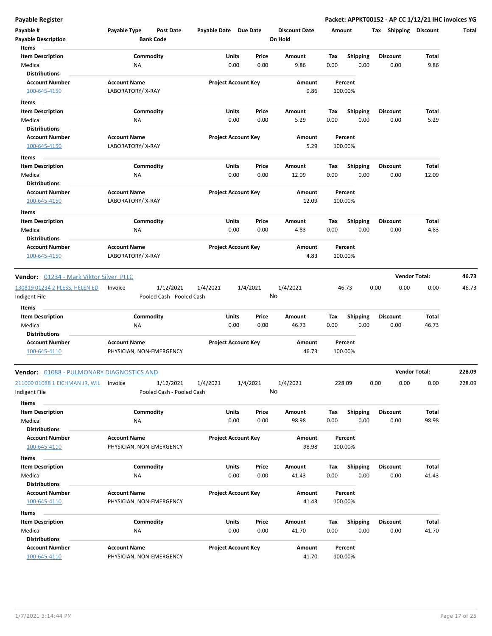| Payable #<br><b>Payable Description</b>   | Payable Type                                    | <b>Post Date</b><br><b>Bank Code</b> | Payable Date Due Date |                            | <b>Discount Date</b><br>On Hold |      | Amount                  | Tax  | <b>Shipping</b> | <b>Discount</b>      | Total  |
|-------------------------------------------|-------------------------------------------------|--------------------------------------|-----------------------|----------------------------|---------------------------------|------|-------------------------|------|-----------------|----------------------|--------|
| Items<br><b>Item Description</b>          |                                                 |                                      |                       | Units<br>Price             | Amount                          | Tax  |                         |      | <b>Discount</b> | Total                |        |
| Medical                                   | NA                                              | Commodity                            |                       | 0.00<br>0.00               | 9.86                            | 0.00 | <b>Shipping</b><br>0.00 |      | 0.00            | 9.86                 |        |
| <b>Distributions</b>                      |                                                 |                                      |                       |                            |                                 |      |                         |      |                 |                      |        |
| <b>Account Number</b>                     | <b>Account Name</b>                             |                                      |                       | <b>Project Account Key</b> | Amount                          |      | Percent                 |      |                 |                      |        |
| 100-645-4150                              | LABORATORY/X-RAY                                |                                      |                       |                            | 9.86                            |      | 100.00%                 |      |                 |                      |        |
| Items                                     |                                                 |                                      |                       |                            |                                 |      |                         |      |                 |                      |        |
| <b>Item Description</b>                   |                                                 | Commodity                            |                       | Units<br>Price             | Amount                          | Tax  | <b>Shipping</b>         |      | <b>Discount</b> | Total                |        |
| Medical                                   | ΝA                                              |                                      |                       | 0.00<br>0.00               | 5.29                            | 0.00 | 0.00                    |      | 0.00            | 5.29                 |        |
| <b>Distributions</b>                      |                                                 |                                      |                       |                            |                                 |      |                         |      |                 |                      |        |
| <b>Account Number</b>                     | <b>Account Name</b>                             |                                      |                       | <b>Project Account Key</b> | Amount                          |      | Percent                 |      |                 |                      |        |
| 100-645-4150                              | LABORATORY/X-RAY                                |                                      |                       |                            | 5.29                            |      | 100.00%                 |      |                 |                      |        |
| Items                                     |                                                 |                                      |                       |                            |                                 |      |                         |      |                 |                      |        |
| <b>Item Description</b>                   |                                                 | Commodity                            |                       | Units<br>Price             | Amount                          | Tax  | <b>Shipping</b>         |      | <b>Discount</b> | <b>Total</b>         |        |
| Medical                                   | ΝA                                              |                                      |                       | 0.00<br>0.00               | 12.09                           | 0.00 | 0.00                    |      | 0.00            | 12.09                |        |
| <b>Distributions</b>                      |                                                 |                                      |                       |                            |                                 |      |                         |      |                 |                      |        |
| <b>Account Number</b>                     | <b>Account Name</b>                             |                                      |                       | <b>Project Account Key</b> | Amount                          |      | Percent                 |      |                 |                      |        |
| 100-645-4150                              | LABORATORY/X-RAY                                |                                      |                       |                            | 12.09                           |      | 100.00%                 |      |                 |                      |        |
| Items                                     |                                                 |                                      |                       |                            |                                 |      |                         |      |                 |                      |        |
| <b>Item Description</b>                   |                                                 | Commodity                            |                       | Units<br>Price             | Amount                          | Tax  | <b>Shipping</b>         |      | <b>Discount</b> | Total                |        |
| Medical                                   | ΝA                                              |                                      |                       | 0.00<br>0.00               | 4.83                            | 0.00 | 0.00                    |      | 0.00            | 4.83                 |        |
| <b>Distributions</b>                      |                                                 |                                      |                       |                            |                                 |      |                         |      |                 |                      |        |
| <b>Account Number</b>                     | <b>Account Name</b>                             |                                      |                       | <b>Project Account Key</b> | Amount                          |      | Percent                 |      |                 |                      |        |
| 100-645-4150                              | LABORATORY/X-RAY                                |                                      |                       |                            | 4.83                            |      | 100.00%                 |      |                 |                      |        |
| Vendor: 01234 - Mark Viktor Silver PLLC   |                                                 |                                      |                       |                            |                                 |      |                         |      |                 | <b>Vendor Total:</b> | 46.73  |
| 130819 01234 2 PLESS, HELEN ED            | Invoice                                         | 1/12/2021                            | 1/4/2021              | 1/4/2021                   | 1/4/2021                        |      | 46.73                   | 0.00 | 0.00            | 0.00                 | 46.73  |
| Indigent File                             |                                                 | Pooled Cash - Pooled Cash            |                       |                            | No                              |      |                         |      |                 |                      |        |
| Items                                     |                                                 |                                      |                       |                            |                                 |      |                         |      |                 |                      |        |
| <b>Item Description</b>                   |                                                 | Commodity                            |                       | Units<br>Price             | Amount                          | Tax  | <b>Shipping</b>         |      | <b>Discount</b> | Total                |        |
| Medical                                   | NA                                              |                                      |                       | 0.00<br>0.00               | 46.73                           | 0.00 | 0.00                    |      | 0.00            | 46.73                |        |
| <b>Distributions</b>                      |                                                 |                                      |                       |                            |                                 |      |                         |      |                 |                      |        |
| <b>Account Number</b><br>100-645-4110     | <b>Account Name</b><br>PHYSICIAN, NON-EMERGENCY |                                      |                       | <b>Project Account Key</b> | Amount<br>46.73                 |      | Percent<br>100.00%      |      |                 |                      |        |
|                                           |                                                 |                                      |                       |                            |                                 |      |                         |      |                 | <b>Vendor Total:</b> | 228.09 |
| Vendor: 01088 - PULMONARY DIAGNOSTICS AND |                                                 |                                      |                       |                            |                                 |      |                         |      |                 |                      |        |
| 211009 01088 1 EICHMAN JR, WIL Invoice    |                                                 | 1/12/2021                            | 1/4/2021              | 1/4/2021                   | 1/4/2021                        |      | 228.09                  | 0.00 | 0.00            | 0.00                 | 228.09 |
| Indigent File                             |                                                 | Pooled Cash - Pooled Cash            |                       |                            | No                              |      |                         |      |                 |                      |        |
| Items                                     |                                                 |                                      |                       |                            |                                 |      |                         |      |                 |                      |        |
| <b>Item Description</b>                   |                                                 | Commodity                            |                       | <b>Units</b><br>Price      | Amount                          | Tax  | <b>Shipping</b>         |      | <b>Discount</b> | <b>Total</b>         |        |
| Medical                                   | NA                                              |                                      |                       | 0.00<br>0.00               | 98.98                           | 0.00 | 0.00                    |      | 0.00            | 98.98                |        |
| <b>Distributions</b>                      |                                                 |                                      |                       |                            |                                 |      |                         |      |                 |                      |        |
| <b>Account Number</b>                     | <b>Account Name</b>                             |                                      |                       | <b>Project Account Key</b> | Amount                          |      | Percent                 |      |                 |                      |        |
| 100-645-4110                              | PHYSICIAN, NON-EMERGENCY                        |                                      |                       |                            | 98.98                           |      | 100.00%                 |      |                 |                      |        |
| Items                                     |                                                 |                                      |                       |                            |                                 |      |                         |      |                 |                      |        |
| <b>Item Description</b>                   |                                                 | Commodity                            |                       | <b>Units</b><br>Price      | Amount                          | Tax  | <b>Shipping</b>         |      | <b>Discount</b> | <b>Total</b>         |        |
| Medical                                   | ΝA                                              |                                      |                       | 0.00<br>0.00               | 41.43                           | 0.00 | 0.00                    |      | 0.00            | 41.43                |        |
| <b>Distributions</b>                      |                                                 |                                      |                       |                            |                                 |      |                         |      |                 |                      |        |
| <b>Account Number</b>                     | <b>Account Name</b>                             |                                      |                       | <b>Project Account Key</b> | Amount                          |      | Percent                 |      |                 |                      |        |
| 100-645-4110                              | PHYSICIAN, NON-EMERGENCY                        |                                      |                       |                            | 41.43                           |      | 100.00%                 |      |                 |                      |        |
| Items                                     |                                                 |                                      |                       |                            |                                 |      |                         |      |                 |                      |        |
| <b>Item Description</b>                   |                                                 | Commodity                            |                       | <b>Units</b><br>Price      | Amount                          | Tax  | <b>Shipping</b>         |      | <b>Discount</b> | Total                |        |
| Medical                                   | NA                                              |                                      |                       | 0.00<br>0.00               | 41.70                           | 0.00 | 0.00                    |      | 0.00            | 41.70                |        |
| <b>Distributions</b>                      |                                                 |                                      |                       |                            |                                 |      |                         |      |                 |                      |        |
| <b>Account Number</b>                     | <b>Account Name</b>                             |                                      |                       | <b>Project Account Key</b> | Amount                          |      | Percent                 |      |                 |                      |        |
| 100-645-4110                              | PHYSICIAN, NON-EMERGENCY                        |                                      |                       |                            | 41.70                           |      | 100.00%                 |      |                 |                      |        |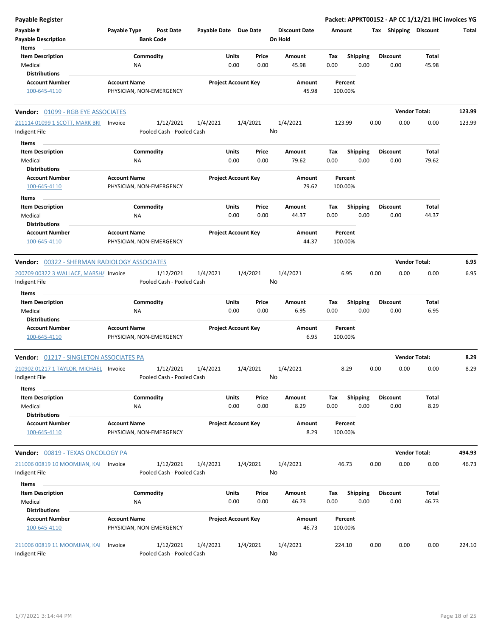| <b>Payable Register</b>                                 |                                                 |                                        |                            |               |               |                                 |             |                         |      |                         | Packet: APPKT00152 - AP CC 1/12/21 IHC invoices YG |        |
|---------------------------------------------------------|-------------------------------------------------|----------------------------------------|----------------------------|---------------|---------------|---------------------------------|-------------|-------------------------|------|-------------------------|----------------------------------------------------|--------|
| Payable #<br><b>Payable Description</b>                 | Payable Type                                    | <b>Post Date</b><br><b>Bank Code</b>   | Payable Date Due Date      |               |               | <b>Discount Date</b><br>On Hold | Amount      |                         |      | Tax Shipping Discount   |                                                    | Total  |
| Items                                                   |                                                 |                                        |                            |               |               |                                 |             |                         |      |                         |                                                    |        |
| <b>Item Description</b><br>Medical                      | Commodity<br>NA                                 |                                        |                            | Units<br>0.00 | Price<br>0.00 | Amount<br>45.98                 | Tax<br>0.00 | <b>Shipping</b><br>0.00 |      | <b>Discount</b><br>0.00 | Total<br>45.98                                     |        |
| <b>Distributions</b>                                    |                                                 |                                        |                            |               |               |                                 |             |                         |      |                         |                                                    |        |
| <b>Account Number</b>                                   | <b>Account Name</b>                             |                                        | <b>Project Account Key</b> |               |               | Amount                          |             | Percent                 |      |                         |                                                    |        |
| 100-645-4110                                            | PHYSICIAN, NON-EMERGENCY                        |                                        |                            |               |               | 45.98                           | 100.00%     |                         |      |                         |                                                    |        |
| <b>Vendor: 01099 - RGB EYE ASSOCIATES</b>               |                                                 |                                        |                            |               |               |                                 |             |                         |      |                         | <b>Vendor Total:</b>                               | 123.99 |
| 211114 01099 1 SCOTT, MARK BRI                          | Invoice                                         | 1/12/2021                              | 1/4/2021                   | 1/4/2021      |               | 1/4/2021                        | 123.99      |                         | 0.00 | 0.00                    | 0.00                                               | 123.99 |
| Indigent File                                           |                                                 | Pooled Cash - Pooled Cash              |                            |               |               | No                              |             |                         |      |                         |                                                    |        |
| Items                                                   |                                                 |                                        |                            |               |               |                                 |             |                         |      |                         |                                                    |        |
| <b>Item Description</b>                                 | Commodity                                       |                                        |                            | Units         | Price         | Amount                          | Tax         | <b>Shipping</b>         |      | <b>Discount</b>         | <b>Total</b>                                       |        |
| Medical<br><b>Distributions</b>                         | ΝA                                              |                                        |                            | 0.00          | 0.00          | 79.62                           | 0.00        | 0.00                    |      | 0.00                    | 79.62                                              |        |
| <b>Account Number</b>                                   | <b>Account Name</b>                             |                                        | <b>Project Account Key</b> |               |               | Amount                          |             | Percent                 |      |                         |                                                    |        |
| 100-645-4110                                            | PHYSICIAN, NON-EMERGENCY                        |                                        |                            |               |               | 79.62                           | 100.00%     |                         |      |                         |                                                    |        |
|                                                         |                                                 |                                        |                            |               |               |                                 |             |                         |      |                         |                                                    |        |
| Items<br><b>Item Description</b>                        | Commodity                                       |                                        |                            | Units         | Price         | Amount                          | Tax         | <b>Shipping</b>         |      | <b>Discount</b>         | <b>Total</b>                                       |        |
| Medical                                                 | ΝA                                              |                                        |                            | 0.00          | 0.00          | 44.37                           | 0.00        | 0.00                    |      | 0.00                    | 44.37                                              |        |
| <b>Distributions</b>                                    |                                                 |                                        |                            |               |               |                                 |             |                         |      |                         |                                                    |        |
| <b>Account Number</b>                                   | <b>Account Name</b>                             |                                        | <b>Project Account Key</b> |               |               | Amount                          |             | Percent                 |      |                         |                                                    |        |
| 100-645-4110                                            | PHYSICIAN, NON-EMERGENCY                        |                                        |                            |               |               | 44.37                           | 100.00%     |                         |      |                         |                                                    |        |
|                                                         |                                                 |                                        |                            |               |               |                                 |             |                         |      |                         |                                                    |        |
| <b>Vendor: 00322 - SHERMAN RADIOLOGY ASSOCIATES</b>     |                                                 |                                        |                            |               |               |                                 |             |                         |      |                         | <b>Vendor Total:</b>                               | 6.95   |
| 200709 00322 3 WALLACE, MARSHA Invoice<br>Indigent File |                                                 | 1/12/2021<br>Pooled Cash - Pooled Cash | 1/4/2021                   | 1/4/2021      |               | 1/4/2021<br>No                  |             | 6.95                    | 0.00 | 0.00                    | 0.00                                               | 6.95   |
| Items<br><b>Item Description</b>                        | Commodity                                       |                                        |                            | Units         | Price         | Amount                          | Tax         | <b>Shipping</b>         |      | <b>Discount</b>         | Total                                              |        |
| Medical                                                 | ΝA                                              |                                        |                            | 0.00          | 0.00          | 6.95                            | 0.00        | 0.00                    |      | 0.00                    | 6.95                                               |        |
| <b>Distributions</b>                                    |                                                 |                                        |                            |               |               |                                 |             |                         |      |                         |                                                    |        |
| <b>Account Number</b>                                   | <b>Account Name</b>                             |                                        | <b>Project Account Key</b> |               |               | Amount                          |             | Percent                 |      |                         |                                                    |        |
| 100-645-4110                                            | PHYSICIAN, NON-EMERGENCY                        |                                        |                            |               |               | 6.95                            | 100.00%     |                         |      |                         |                                                    |        |
| <b>Vendor: 01217 - SINGLETON ASSOCIATES PA</b>          |                                                 |                                        |                            |               |               |                                 |             |                         |      |                         | <b>Vendor Total:</b>                               | 8.29   |
| 210902 01217 1 TAYLOR, MICHAEL Invoice                  |                                                 | 1/12/2021                              | 1/4/2021                   | 1/4/2021      |               | 1/4/2021                        |             | 8.29                    | 0.00 | 0.00                    | 0.00                                               | 8.29   |
| Indigent File                                           |                                                 | Pooled Cash - Pooled Cash              |                            |               |               | No                              |             |                         |      |                         |                                                    |        |
| Items                                                   |                                                 |                                        |                            |               |               |                                 |             |                         |      |                         |                                                    |        |
| <b>Item Description</b>                                 | Commodity                                       |                                        |                            | <b>Units</b>  | Price         | Amount                          | Tax         | <b>Shipping</b>         |      | <b>Discount</b>         | Total                                              |        |
| Medical                                                 | NA                                              |                                        |                            | 0.00          | 0.00          | 8.29                            | 0.00        | 0.00                    |      | 0.00                    | 8.29                                               |        |
| <b>Distributions</b>                                    |                                                 |                                        |                            |               |               |                                 |             |                         |      |                         |                                                    |        |
| <b>Account Number</b><br>100-645-4110                   | <b>Account Name</b><br>PHYSICIAN, NON-EMERGENCY |                                        | <b>Project Account Key</b> |               |               | Amount<br>8.29                  | 100.00%     | Percent                 |      |                         |                                                    |        |
| <b>Vendor: 00819 - TEXAS ONCOLOGY PA</b>                |                                                 |                                        |                            |               |               |                                 |             |                         |      |                         | <b>Vendor Total:</b>                               | 494.93 |
| 211006 00819 10 MOOMJIAN, KAI                           | Invoice                                         | 1/12/2021                              | 1/4/2021                   | 1/4/2021      |               | 1/4/2021                        |             | 46.73                   | 0.00 | 0.00                    | 0.00                                               | 46.73  |
| Indigent File                                           |                                                 | Pooled Cash - Pooled Cash              |                            |               |               | No                              |             |                         |      |                         |                                                    |        |
| Items                                                   |                                                 |                                        |                            |               |               |                                 |             |                         |      |                         |                                                    |        |
| <b>Item Description</b>                                 | Commodity                                       |                                        |                            | Units         | Price         | Amount                          | Tax         | <b>Shipping</b>         |      | <b>Discount</b>         | Total                                              |        |
| Medical                                                 | NA                                              |                                        |                            | 0.00          | 0.00          | 46.73                           | 0.00        | 0.00                    |      | 0.00                    | 46.73                                              |        |
| <b>Distributions</b>                                    |                                                 |                                        |                            |               |               |                                 |             |                         |      |                         |                                                    |        |
| <b>Account Number</b>                                   | <b>Account Name</b>                             |                                        | <b>Project Account Key</b> |               |               | Amount                          |             | Percent                 |      |                         |                                                    |        |
| 100-645-4110                                            | PHYSICIAN, NON-EMERGENCY                        |                                        |                            |               |               | 46.73                           | 100.00%     |                         |      |                         |                                                    |        |
| 211006 00819 11 MOOMJIAN, KAI                           | Invoice                                         | 1/12/2021                              | 1/4/2021                   | 1/4/2021      |               | 1/4/2021                        | 224.10      |                         | 0.00 | 0.00                    | 0.00                                               | 224.10 |
| Indigent File                                           |                                                 | Pooled Cash - Pooled Cash              |                            |               |               | No                              |             |                         |      |                         |                                                    |        |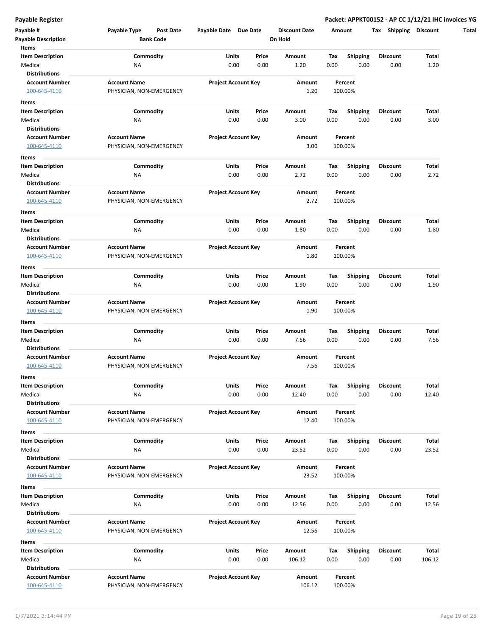| Payable #<br><b>Payable Description</b> | Payable Type<br><b>Post Date</b><br><b>Bank Code</b> | Payable Date Due Date      |       | <b>Discount Date</b><br>On Hold | Amount  |                 | <b>Shipping</b><br>Tax | <b>Discount</b> |
|-----------------------------------------|------------------------------------------------------|----------------------------|-------|---------------------------------|---------|-----------------|------------------------|-----------------|
| Items                                   |                                                      |                            |       |                                 |         |                 |                        |                 |
| <b>Item Description</b>                 | Commodity                                            | Units                      | Price | Amount                          | Tax     | <b>Shipping</b> | <b>Discount</b>        | Total           |
| Medical                                 | <b>NA</b>                                            | 0.00                       | 0.00  | 1.20                            | 0.00    | 0.00            | 0.00                   | 1.20            |
| <b>Distributions</b>                    |                                                      |                            |       |                                 |         |                 |                        |                 |
| <b>Account Number</b>                   | <b>Account Name</b>                                  | <b>Project Account Key</b> |       | Amount                          |         | Percent         |                        |                 |
| 100-645-4110                            | PHYSICIAN, NON-EMERGENCY                             |                            |       | 1.20                            | 100.00% |                 |                        |                 |
| Items                                   |                                                      |                            |       |                                 |         |                 |                        |                 |
| <b>Item Description</b>                 | Commodity                                            | Units                      | Price | Amount                          | Тах     | <b>Shipping</b> | <b>Discount</b>        | Total           |
| Medical                                 | ΝA                                                   | 0.00                       | 0.00  | 3.00                            | 0.00    | 0.00            | 0.00                   | 3.00            |
| <b>Distributions</b>                    |                                                      |                            |       |                                 |         |                 |                        |                 |
| <b>Account Number</b>                   | <b>Account Name</b>                                  | <b>Project Account Key</b> |       | Amount                          |         | Percent         |                        |                 |
| 100-645-4110                            | PHYSICIAN, NON-EMERGENCY                             |                            |       | 3.00                            | 100.00% |                 |                        |                 |
| Items                                   |                                                      |                            |       |                                 |         |                 |                        |                 |
| <b>Item Description</b>                 | Commodity                                            | Units                      | Price | Amount                          | Tax     | <b>Shipping</b> | <b>Discount</b>        | Total           |
| Medical                                 | ΝA                                                   | 0.00                       | 0.00  | 2.72                            | 0.00    | 0.00            | 0.00                   | 2.72            |
| <b>Distributions</b>                    |                                                      |                            |       |                                 |         |                 |                        |                 |
| <b>Account Number</b>                   | <b>Account Name</b>                                  | <b>Project Account Key</b> |       | Amount                          |         | Percent         |                        |                 |
| 100-645-4110                            | PHYSICIAN, NON-EMERGENCY                             |                            |       | 2.72                            | 100.00% |                 |                        |                 |
|                                         |                                                      |                            |       |                                 |         |                 |                        |                 |
| Items                                   |                                                      |                            |       |                                 |         |                 |                        |                 |
| <b>Item Description</b>                 | Commodity                                            | Units                      | Price | Amount                          | Tax     | <b>Shipping</b> | <b>Discount</b>        | Total           |
| Medical                                 | ΝA                                                   | 0.00                       | 0.00  | 1.80                            | 0.00    | 0.00            | 0.00                   | 1.80            |
| <b>Distributions</b>                    |                                                      |                            |       |                                 |         |                 |                        |                 |
| <b>Account Number</b>                   | <b>Account Name</b>                                  | <b>Project Account Key</b> |       | Amount                          |         | Percent         |                        |                 |
| 100-645-4110                            | PHYSICIAN, NON-EMERGENCY                             |                            |       | 1.80                            | 100.00% |                 |                        |                 |
| Items                                   |                                                      |                            |       |                                 |         |                 |                        |                 |
| <b>Item Description</b>                 | Commodity                                            | Units                      | Price | Amount                          | Tax     | <b>Shipping</b> | <b>Discount</b>        | Total           |
| Medical                                 | NA                                                   | 0.00                       | 0.00  | 1.90                            | 0.00    | 0.00            | 0.00                   | 1.90            |
| <b>Distributions</b>                    |                                                      |                            |       |                                 |         |                 |                        |                 |
| <b>Account Number</b>                   | <b>Account Name</b>                                  | <b>Project Account Key</b> |       | Amount                          |         | Percent         |                        |                 |
| 100-645-4110                            | PHYSICIAN, NON-EMERGENCY                             |                            |       | 1.90                            | 100.00% |                 |                        |                 |
|                                         |                                                      |                            |       |                                 |         |                 |                        |                 |
| Items                                   |                                                      |                            |       |                                 |         |                 |                        |                 |
| <b>Item Description</b>                 | Commodity                                            | Units                      | Price | Amount                          | Tax     | <b>Shipping</b> | <b>Discount</b>        | Total           |
| Medical                                 | <b>NA</b>                                            | 0.00                       | 0.00  | 7.56                            | 0.00    | 0.00            | 0.00                   | 7.56            |
| <b>Distributions</b>                    |                                                      |                            |       |                                 |         |                 |                        |                 |
| <b>Account Number</b>                   | <b>Account Name</b>                                  | <b>Project Account Key</b> |       | Amount                          |         | Percent         |                        |                 |
| 100-645-4110                            | PHYSICIAN, NON-EMERGENCY                             |                            |       | 7.56                            | 100.00% |                 |                        |                 |
| Items                                   |                                                      |                            |       |                                 |         |                 |                        |                 |
| Item Description                        | Commodity                                            | Units                      | Price | Amount                          | Тах     | Shipping        | Discount               | Total           |
| Medical                                 | ΝA                                                   | 0.00                       | 0.00  | 12.40                           | 0.00    | 0.00            | 0.00                   | 12.40           |
| <b>Distributions</b>                    |                                                      |                            |       |                                 |         |                 |                        |                 |
| <b>Account Number</b>                   | <b>Account Name</b>                                  | <b>Project Account Key</b> |       | Amount                          |         | Percent         |                        |                 |
| 100-645-4110                            | PHYSICIAN, NON-EMERGENCY                             |                            |       | 12.40                           |         | 100.00%         |                        |                 |
| Items                                   |                                                      |                            |       |                                 |         |                 |                        |                 |
|                                         | Commodity                                            |                            |       |                                 |         |                 |                        |                 |
| <b>Item Description</b>                 |                                                      | Units                      | Price | Amount                          | Tax     | <b>Shipping</b> | <b>Discount</b>        | Total           |
| Medical                                 | NA                                                   | 0.00                       | 0.00  | 23.52                           | 0.00    | 0.00            | 0.00                   | 23.52           |
| <b>Distributions</b>                    |                                                      |                            |       |                                 |         |                 |                        |                 |
| <b>Account Number</b>                   | <b>Account Name</b>                                  | <b>Project Account Key</b> |       | Amount                          |         | Percent         |                        |                 |
| 100-645-4110                            | PHYSICIAN, NON-EMERGENCY                             |                            |       | 23.52                           |         | 100.00%         |                        |                 |
| Items                                   |                                                      |                            |       |                                 |         |                 |                        |                 |
| <b>Item Description</b>                 | Commodity                                            | <b>Units</b>               | Price | Amount                          | Tax     | <b>Shipping</b> | <b>Discount</b>        | Total           |
| Medical                                 | <b>NA</b>                                            | 0.00                       | 0.00  | 12.56                           | 0.00    | 0.00            | 0.00                   | 12.56           |
| <b>Distributions</b>                    |                                                      |                            |       |                                 |         |                 |                        |                 |
| <b>Account Number</b>                   | <b>Account Name</b>                                  | <b>Project Account Key</b> |       | Amount                          |         | Percent         |                        |                 |
| 100-645-4110                            | PHYSICIAN, NON-EMERGENCY                             |                            |       | 12.56                           | 100.00% |                 |                        |                 |
|                                         |                                                      |                            |       |                                 |         |                 |                        |                 |
| Items                                   |                                                      |                            |       |                                 |         |                 |                        |                 |
| <b>Item Description</b>                 | Commodity                                            | Units                      | Price | Amount                          | Tax     | Shipping        | <b>Discount</b>        | Total           |
| Medical                                 | NA                                                   | 0.00                       | 0.00  | 106.12                          | 0.00    | 0.00            | 0.00                   | 106.12          |
| <b>Distributions</b>                    |                                                      |                            |       |                                 |         |                 |                        |                 |
| <b>Account Number</b>                   | <b>Account Name</b>                                  | <b>Project Account Key</b> |       | Amount                          |         | Percent         |                        |                 |
| 100-645-4110                            | PHYSICIAN, NON-EMERGENCY                             |                            |       | 106.12                          |         | 100.00%         |                        |                 |
|                                         |                                                      |                            |       |                                 |         |                 |                        |                 |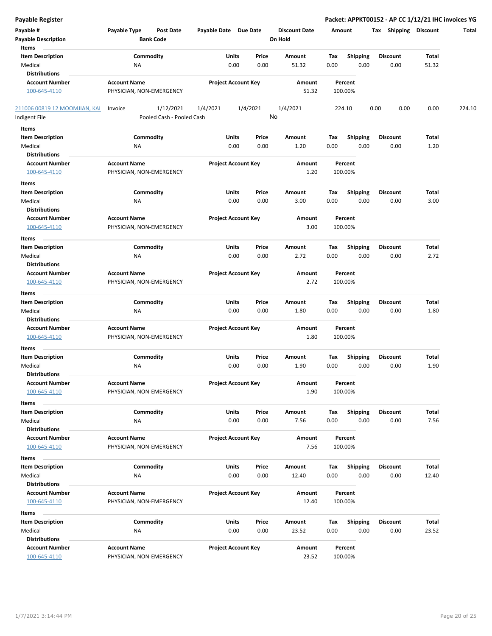| Payable #<br><b>Payable Description</b>                       | Payable Type                                    | Post Date<br><b>Bank Code</b> | Payable Date Due Date |                            | <b>Discount Date</b><br>On Hold |             | Amount                  | Tax                     | <b>Shipping Discount</b> | Total  |
|---------------------------------------------------------------|-------------------------------------------------|-------------------------------|-----------------------|----------------------------|---------------------------------|-------------|-------------------------|-------------------------|--------------------------|--------|
| Items<br><b>Item Description</b><br>Medical                   | ΝA                                              | Commodity                     | Units                 | Price<br>0.00<br>0.00      | Amount<br>51.32                 | Tax<br>0.00 | <b>Shipping</b><br>0.00 | <b>Discount</b><br>0.00 | Total<br>51.32           |        |
| <b>Distributions</b><br><b>Account Number</b><br>100-645-4110 | <b>Account Name</b><br>PHYSICIAN, NON-EMERGENCY |                               |                       | <b>Project Account Key</b> | Amount<br>51.32                 |             | Percent<br>100.00%      |                         |                          |        |
| 211006 00819 12 MOOMJIAN, KAI                                 | Invoice                                         | 1/12/2021                     | 1/4/2021              | 1/4/2021                   | 1/4/2021                        |             | 224.10                  | 0.00<br>0.00            | 0.00                     | 224.10 |
| Indigent File                                                 |                                                 | Pooled Cash - Pooled Cash     |                       |                            | No                              |             |                         |                         |                          |        |
| Items                                                         |                                                 |                               |                       |                            |                                 |             |                         |                         |                          |        |
| <b>Item Description</b><br>Medical                            | ΝA                                              | Commodity                     | Units                 | Price<br>0.00<br>0.00      | Amount<br>1.20                  | Tax<br>0.00 | <b>Shipping</b><br>0.00 | <b>Discount</b><br>0.00 | Total<br>1.20            |        |
| <b>Distributions</b>                                          |                                                 |                               |                       |                            |                                 |             |                         |                         |                          |        |
| <b>Account Number</b><br>100-645-4110                         | <b>Account Name</b><br>PHYSICIAN, NON-EMERGENCY |                               |                       | <b>Project Account Key</b> | Amount<br>1.20                  |             | Percent<br>100.00%      |                         |                          |        |
|                                                               |                                                 |                               |                       |                            |                                 |             |                         |                         |                          |        |
| Items<br><b>Item Description</b>                              |                                                 | Commodity                     | Units                 | Price                      | Amount                          | Tax         | <b>Shipping</b>         | <b>Discount</b>         | Total                    |        |
| Medical<br><b>Distributions</b>                               | NA                                              |                               |                       | 0.00<br>0.00               | 3.00                            | 0.00        | 0.00                    | 0.00                    | 3.00                     |        |
| <b>Account Number</b><br>100-645-4110                         | <b>Account Name</b><br>PHYSICIAN, NON-EMERGENCY |                               |                       | <b>Project Account Key</b> | Amount<br>3.00                  |             | Percent<br>100.00%      |                         |                          |        |
| Items                                                         |                                                 |                               |                       |                            |                                 |             |                         |                         |                          |        |
| <b>Item Description</b>                                       |                                                 | Commodity                     | Units                 | Price                      | Amount                          | Tax         | <b>Shipping</b>         | <b>Discount</b>         | Total                    |        |
| Medical<br><b>Distributions</b>                               | ΝA                                              |                               |                       | 0.00<br>0.00               | 2.72                            | 0.00        | 0.00                    | 0.00                    | 2.72                     |        |
| <b>Account Number</b><br>100-645-4110                         | <b>Account Name</b><br>PHYSICIAN, NON-EMERGENCY |                               |                       | <b>Project Account Key</b> | Amount<br>2.72                  |             | Percent<br>100.00%      |                         |                          |        |
| Items                                                         |                                                 |                               |                       |                            |                                 |             |                         |                         |                          |        |
| <b>Item Description</b><br>Medical                            | NA                                              | Commodity                     | Units                 | Price<br>0.00<br>0.00      | Amount<br>1.80                  | Тах<br>0.00 | <b>Shipping</b><br>0.00 | <b>Discount</b><br>0.00 | Total<br>1.80            |        |
| <b>Distributions</b><br><b>Account Number</b><br>100-645-4110 | <b>Account Name</b><br>PHYSICIAN, NON-EMERGENCY |                               |                       | <b>Project Account Key</b> | Amount<br>1.80                  |             | Percent<br>100.00%      |                         |                          |        |
| Items                                                         |                                                 |                               |                       |                            |                                 |             |                         |                         |                          |        |
| <b>Item Description</b><br>Medical                            | NA                                              | Commodity                     | Units                 | Price<br>0.00<br>0.00      | Amount<br>1.90                  | Tax<br>0.00 | <b>Shipping</b><br>0.00 | <b>Discount</b><br>0.00 | Total<br>1.90            |        |
| <b>Distributions</b>                                          |                                                 |                               |                       |                            |                                 |             |                         |                         |                          |        |
| Account Number<br>100-645-4110                                | <b>Account Name</b><br>PHYSICIAN, NON-EMERGENCY |                               |                       | <b>Project Account Key</b> | Amount<br>1.90                  |             | Percent<br>100.00%      |                         |                          |        |
| Items                                                         |                                                 |                               |                       |                            |                                 |             |                         |                         |                          |        |
| <b>Item Description</b><br>Medical                            | NA                                              | Commodity                     | Units                 | Price<br>0.00<br>0.00      | Amount<br>7.56                  | Tax<br>0.00 | <b>Shipping</b><br>0.00 | <b>Discount</b><br>0.00 | Total<br>7.56            |        |
| <b>Distributions</b>                                          |                                                 |                               |                       |                            |                                 |             |                         |                         |                          |        |
| <b>Account Number</b><br>100-645-4110                         | <b>Account Name</b><br>PHYSICIAN, NON-EMERGENCY |                               |                       | <b>Project Account Key</b> | Amount<br>7.56                  |             | Percent<br>100.00%      |                         |                          |        |
| Items                                                         |                                                 |                               |                       |                            |                                 |             |                         |                         |                          |        |
| <b>Item Description</b>                                       |                                                 | Commodity                     | Units                 | Price                      | Amount                          | Tax         | <b>Shipping</b>         | <b>Discount</b>         | Total                    |        |
| Medical                                                       | NA                                              |                               |                       | 0.00<br>0.00               | 12.40                           | 0.00        | 0.00                    | 0.00                    | 12.40                    |        |
| <b>Distributions</b>                                          |                                                 |                               |                       |                            |                                 |             |                         |                         |                          |        |
| <b>Account Number</b>                                         | <b>Account Name</b>                             |                               |                       | <b>Project Account Key</b> | Amount                          |             | Percent                 |                         |                          |        |
| 100-645-4110                                                  | PHYSICIAN, NON-EMERGENCY                        |                               |                       |                            | 12.40                           |             | 100.00%                 |                         |                          |        |
| Items                                                         |                                                 |                               |                       |                            |                                 |             |                         |                         |                          |        |
| <b>Item Description</b>                                       |                                                 | Commodity                     | Units                 | Price                      | Amount                          | Tax         | <b>Shipping</b>         | <b>Discount</b>         | Total                    |        |
| Medical<br><b>Distributions</b>                               | <b>NA</b>                                       |                               |                       | 0.00<br>0.00               | 23.52                           | 0.00        | 0.00                    | 0.00                    | 23.52                    |        |
| <b>Account Number</b>                                         | <b>Account Name</b>                             |                               |                       | <b>Project Account Key</b> | Amount                          |             | Percent                 |                         |                          |        |
| 100-645-4110                                                  | PHYSICIAN, NON-EMERGENCY                        |                               |                       |                            | 23.52                           |             | 100.00%                 |                         |                          |        |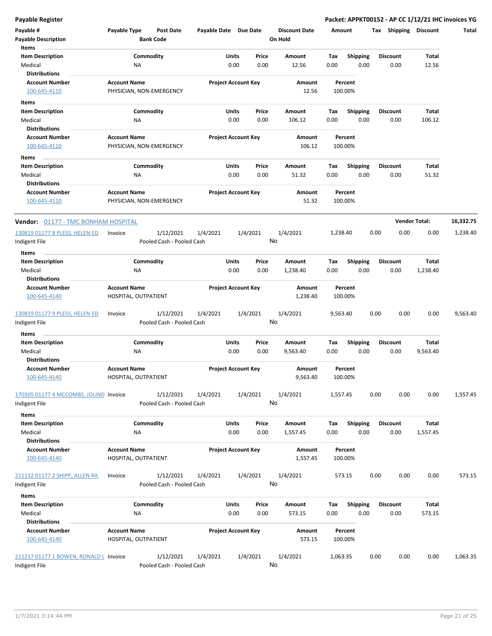| Payable #<br><b>Payable Description</b>                             | Payable Type                                    | <b>Bank Code</b>          | Post Date | Payable Date Due Date |                      |                            | <b>Discount Date</b><br>On Hold |                    | Amount      |                         | Tax  | <b>Shipping</b>         | Discount               | Total     |
|---------------------------------------------------------------------|-------------------------------------------------|---------------------------|-----------|-----------------------|----------------------|----------------------------|---------------------------------|--------------------|-------------|-------------------------|------|-------------------------|------------------------|-----------|
| Items<br><b>Item Description</b><br>Medical                         | <b>NA</b>                                       | Commodity                 |           |                       | Units<br>0.00        | Price<br>0.00              | Amount<br>12.56                 |                    | Tax<br>0.00 | <b>Shipping</b><br>0.00 |      | <b>Discount</b><br>0.00 | Total<br>12.56         |           |
| <b>Distributions</b><br><b>Account Number</b><br>100-645-4110       | <b>Account Name</b><br>PHYSICIAN, NON-EMERGENCY |                           |           |                       |                      | <b>Project Account Key</b> |                                 | Amount<br>12.56    | 100.00%     | Percent                 |      |                         |                        |           |
| Items<br><b>Item Description</b>                                    |                                                 | Commodity                 |           |                       | Units                | Price                      | Amount                          |                    | Tax         | Shipping                |      | <b>Discount</b>         | Total                  |           |
| Medical<br><b>Distributions</b>                                     | NA                                              |                           |           |                       | 0.00                 | 0.00                       | 106.12                          |                    | 0.00        | 0.00                    |      | 0.00                    | 106.12                 |           |
| <b>Account Number</b><br>100-645-4110                               | <b>Account Name</b><br>PHYSICIAN, NON-EMERGENCY |                           |           |                       |                      | <b>Project Account Key</b> |                                 | Amount<br>106.12   | 100.00%     | Percent                 |      |                         |                        |           |
| Items<br><b>Item Description</b>                                    |                                                 | Commodity                 |           |                       | Units                | Price<br>0.00              | Amount                          |                    | Tax<br>0.00 | Shipping<br>0.00        |      | <b>Discount</b><br>0.00 | Total<br>51.32         |           |
| Medical<br><b>Distributions</b>                                     | ΝA                                              |                           |           |                       | 0.00                 |                            | 51.32                           |                    |             |                         |      |                         |                        |           |
| <b>Account Number</b><br>100-645-4110                               | <b>Account Name</b><br>PHYSICIAN, NON-EMERGENCY |                           |           |                       |                      | <b>Project Account Key</b> |                                 | Amount<br>51.32    |             | Percent<br>100.00%      |      |                         |                        |           |
| Vendor: 01177 - TMC BONHAM HOSPITAL                                 |                                                 |                           |           |                       |                      |                            |                                 |                    |             |                         |      |                         | <b>Vendor Total:</b>   | 16,332.75 |
| 130819 01177 8 PLESS, HELEN ED                                      | Invoice                                         |                           | 1/12/2021 | 1/4/2021              |                      | 1/4/2021                   | 1/4/2021                        |                    | 1,238.40    |                         | 0.00 | 0.00                    | 0.00                   | 1,238.40  |
| Indigent File<br>Items                                              |                                                 | Pooled Cash - Pooled Cash |           |                       |                      |                            | No                              |                    |             |                         |      |                         |                        |           |
| <b>Item Description</b><br>Medical<br><b>Distributions</b>          | <b>NA</b>                                       | Commodity                 |           |                       | Units<br>0.00        | Price<br>0.00              | Amount<br>1,238.40              |                    | Tax<br>0.00 | <b>Shipping</b><br>0.00 |      | <b>Discount</b><br>0.00 | Total<br>1,238.40      |           |
| <b>Account Number</b><br>100-645-4140                               | <b>Account Name</b><br>HOSPITAL, OUTPATIENT     |                           |           |                       |                      | <b>Project Account Key</b> |                                 | Amount<br>1,238.40 |             | Percent<br>100.00%      |      |                         |                        |           |
| 130819 01177 9 PLESS, HELEN ED<br>Indigent File                     | Invoice                                         | Pooled Cash - Pooled Cash | 1/12/2021 | 1/4/2021              |                      | 1/4/2021                   | 1/4/2021<br>No                  |                    | 9,563.40    |                         | 0.00 | 0.00                    | 0.00                   | 9,563.40  |
| Items                                                               |                                                 |                           |           |                       |                      |                            |                                 |                    |             |                         |      |                         |                        |           |
| <b>Item Description</b><br>Medical<br><b>Distributions</b>          | <b>NA</b>                                       | Commodity                 |           |                       | Units<br>0.00        | Price<br>0.00              | Amount<br>9,563.40              |                    | Тах<br>0.00 | <b>Shipping</b><br>0.00 |      | <b>Discount</b><br>0.00 | Total<br>9,563.40      |           |
| <b>Account Number</b><br>100-645-4140                               | <b>Account Name</b><br>HOSPITAL, OUTPATIENT     |                           |           |                       |                      | <b>Project Account Key</b> |                                 | Amount<br>9,563.40 | 100.00%     | Percent                 |      |                         |                        |           |
| 170305 01177 4 MCCOMBS, JOLIND Invoice<br>Indigent File             |                                                 | Pooled Cash - Pooled Cash | 1/12/2021 | 1/4/2021              |                      | 1/4/2021                   | 1/4/2021<br>No                  |                    | 1,557.45    |                         | 0.00 | 0.00                    | 0.00                   | 1,557.45  |
| Items<br><b>Item Description</b><br>Medical                         | ΝA                                              | Commodity                 |           |                       | Units<br>0.00        | Price<br>0.00              | Amount<br>1,557.45              |                    | Tax<br>0.00 | Shipping<br>0.00        |      | <b>Discount</b><br>0.00 | Total<br>1,557.45      |           |
| <b>Distributions</b><br><b>Account Number</b><br>100-645-4140       | <b>Account Name</b><br>HOSPITAL, OUTPATIENT     |                           |           |                       |                      | <b>Project Account Key</b> |                                 | Amount<br>1,557.45 | 100.00%     | Percent                 |      |                         |                        |           |
| 211112 01177 2 SHIPP, ALLEN RA<br>Indigent File                     | Invoice                                         | Pooled Cash - Pooled Cash | 1/12/2021 | 1/4/2021              |                      | 1/4/2021                   | 1/4/2021<br>No                  |                    | 573.15      |                         | 0.00 | 0.00                    | 0.00                   | 573.15    |
| Items<br><b>Item Description</b><br>Medical<br><b>Distributions</b> | <b>NA</b>                                       | Commodity                 |           |                       | <b>Units</b><br>0.00 | Price<br>0.00              | Amount<br>573.15                |                    | Tax<br>0.00 | <b>Shipping</b><br>0.00 |      | <b>Discount</b><br>0.00 | <b>Total</b><br>573.15 |           |
| <b>Account Number</b><br>100-645-4140                               | <b>Account Name</b><br>HOSPITAL, OUTPATIENT     |                           |           |                       |                      | <b>Project Account Key</b> |                                 | Amount<br>573.15   |             | Percent<br>100.00%      |      |                         |                        |           |
| 211217 01177 1 BOWEN, RONALD L Invoice<br>Indigent File             |                                                 | Pooled Cash - Pooled Cash | 1/12/2021 | 1/4/2021              |                      | 1/4/2021                   | 1/4/2021<br>No                  |                    | 1,063.35    |                         | 0.00 | 0.00                    | 0.00                   | 1,063.35  |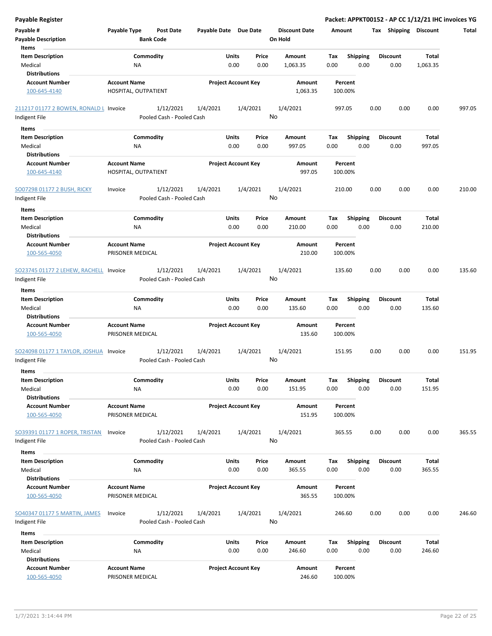| <b>Payable Register</b>                         |                                         |                                        |                       |                            |                |                                 |             |                         |      |                         |                   | Packet: APPKT00152 - AP CC 1/12/21 IHC invoices YG |
|-------------------------------------------------|-----------------------------------------|----------------------------------------|-----------------------|----------------------------|----------------|---------------------------------|-------------|-------------------------|------|-------------------------|-------------------|----------------------------------------------------|
| Payable #<br><b>Payable Description</b>         | Payable Type                            | Post Date<br><b>Bank Code</b>          | Payable Date Due Date |                            |                | <b>Discount Date</b><br>On Hold | Amount      |                         |      | Tax Shipping Discount   |                   | <b>Total</b>                                       |
| Items                                           |                                         |                                        |                       |                            |                |                                 |             |                         |      |                         |                   |                                                    |
| <b>Item Description</b><br>Medical              | NA                                      | Commodity                              |                       | Units<br>0.00              | Price<br>0.00  | Amount<br>1,063.35              | Tax<br>0.00 | <b>Shipping</b><br>0.00 |      | <b>Discount</b><br>0.00 | Total<br>1,063.35 |                                                    |
| <b>Distributions</b>                            |                                         |                                        |                       |                            |                |                                 |             |                         |      |                         |                   |                                                    |
| <b>Account Number</b>                           | <b>Account Name</b>                     |                                        |                       | <b>Project Account Key</b> |                | Amount                          |             | Percent                 |      |                         |                   |                                                    |
| 100-645-4140                                    | HOSPITAL, OUTPATIENT                    |                                        |                       |                            |                | 1,063.35                        | 100.00%     |                         |      |                         |                   |                                                    |
| 211217 01177 2 BOWEN, RONALD L Invoice          |                                         | 1/12/2021                              | 1/4/2021              |                            | 1/4/2021       | 1/4/2021                        | 997.05      |                         | 0.00 | 0.00                    | 0.00              | 997.05                                             |
| Indigent File                                   |                                         | Pooled Cash - Pooled Cash              |                       |                            | No             |                                 |             |                         |      |                         |                   |                                                    |
| Items                                           |                                         |                                        |                       |                            |                |                                 |             |                         |      |                         |                   |                                                    |
| <b>Item Description</b>                         |                                         | Commodity                              |                       | Units                      | Price          | Amount                          | Tax         | <b>Shipping</b>         |      | <b>Discount</b>         | Total             |                                                    |
| Medical                                         | <b>NA</b>                               |                                        |                       | 0.00                       | 0.00           | 997.05                          | 0.00        | 0.00                    |      | 0.00                    | 997.05            |                                                    |
| <b>Distributions</b>                            |                                         |                                        |                       |                            |                |                                 |             |                         |      |                         |                   |                                                    |
| <b>Account Number</b>                           | <b>Account Name</b>                     |                                        |                       | <b>Project Account Key</b> |                | Amount                          |             | Percent                 |      |                         |                   |                                                    |
| 100-645-4140                                    | HOSPITAL, OUTPATIENT                    |                                        |                       |                            |                | 997.05                          | 100.00%     |                         |      |                         |                   |                                                    |
| SO07298 01177 2 BUSH, RICKY                     | Invoice                                 | 1/12/2021                              | 1/4/2021              |                            | 1/4/2021       | 1/4/2021                        | 210.00      |                         | 0.00 | 0.00                    | 0.00              | 210.00                                             |
| Indigent File                                   |                                         | Pooled Cash - Pooled Cash              |                       |                            | No             |                                 |             |                         |      |                         |                   |                                                    |
| Items                                           |                                         |                                        |                       |                            |                |                                 |             |                         |      |                         |                   |                                                    |
| <b>Item Description</b><br>Medical              | <b>NA</b>                               | Commodity                              |                       | Units<br>0.00              | Price<br>0.00  | Amount<br>210.00                | Tax<br>0.00 | <b>Shipping</b><br>0.00 |      | <b>Discount</b><br>0.00 | Total<br>210.00   |                                                    |
| <b>Distributions</b>                            |                                         |                                        |                       |                            |                |                                 |             |                         |      |                         |                   |                                                    |
| <b>Account Number</b><br>100-565-4050           | <b>Account Name</b><br>PRISONER MEDICAL |                                        |                       | <b>Project Account Key</b> |                | Amount<br>210.00                | 100.00%     | Percent                 |      |                         |                   |                                                    |
| SO23745 01177 2 LEHEW, RACHELL Invoice          |                                         | 1/12/2021                              | 1/4/2021              |                            | 1/4/2021<br>No | 1/4/2021                        | 135.60      |                         | 0.00 | 0.00                    | 0.00              | 135.60                                             |
| Indigent File                                   |                                         | Pooled Cash - Pooled Cash              |                       |                            |                |                                 |             |                         |      |                         |                   |                                                    |
| Items                                           |                                         |                                        |                       |                            |                |                                 |             |                         |      |                         |                   |                                                    |
| <b>Item Description</b>                         |                                         | Commodity                              |                       | Units                      | Price          | Amount                          | Tax         | <b>Shipping</b>         |      | <b>Discount</b>         | Total             |                                                    |
| Medical<br><b>Distributions</b>                 | <b>NA</b>                               |                                        |                       | 0.00                       | 0.00           | 135.60                          | 0.00        | 0.00                    |      | 0.00                    | 135.60            |                                                    |
| <b>Account Number</b><br>100-565-4050           | <b>Account Name</b><br>PRISONER MEDICAL |                                        |                       | <b>Project Account Key</b> |                | Amount<br>135.60                | 100.00%     | Percent                 |      |                         |                   |                                                    |
|                                                 |                                         |                                        |                       |                            |                |                                 |             |                         |      |                         |                   |                                                    |
| SO24098 01177 1 TAYLOR, JOSHUA<br>Indigent File | Invoice                                 | 1/12/2021<br>Pooled Cash - Pooled Cash | 1/4/2021              |                            | 1/4/2021<br>No | 1/4/2021                        | 151.95      |                         | 0.00 | 0.00                    | 0.00              | 151.95                                             |
| Items                                           |                                         |                                        |                       |                            |                |                                 |             |                         |      |                         |                   |                                                    |
| <b>Item Description</b>                         |                                         | Commodity                              |                       | Units                      | Price          | Amount                          | Tax         | Shipping                |      | <b>Discount</b>         | Total             |                                                    |
| Medical<br><b>Distributions</b>                 | <b>NA</b>                               |                                        |                       | 0.00                       | 0.00           | 151.95                          | 0.00        | 0.00                    |      | 0.00                    | 151.95            |                                                    |
| <b>Account Number</b><br>100-565-4050           | <b>Account Name</b><br>PRISONER MEDICAL |                                        |                       | <b>Project Account Key</b> |                | Amount<br>151.95                | 100.00%     | Percent                 |      |                         |                   |                                                    |
| SO39391 01177 1 ROPER, TRISTAN<br>Indigent File | Invoice                                 | 1/12/2021<br>Pooled Cash - Pooled Cash | 1/4/2021              |                            | 1/4/2021<br>No | 1/4/2021                        | 365.55      |                         | 0.00 | 0.00                    | 0.00              | 365.55                                             |
| Items                                           |                                         |                                        |                       |                            |                |                                 |             |                         |      |                         |                   |                                                    |
| <b>Item Description</b>                         |                                         | Commodity                              |                       | Units                      | Price          | Amount                          | Tax         | Shipping                |      | <b>Discount</b>         | Total             |                                                    |
| Medical                                         | NA                                      |                                        |                       | 0.00                       | 0.00           | 365.55                          | 0.00        | 0.00                    |      | 0.00                    | 365.55            |                                                    |
| <b>Distributions</b>                            |                                         |                                        |                       |                            |                |                                 |             |                         |      |                         |                   |                                                    |
| <b>Account Number</b>                           | <b>Account Name</b>                     |                                        |                       | <b>Project Account Key</b> |                | Amount                          |             | Percent                 |      |                         |                   |                                                    |
| 100-565-4050                                    | PRISONER MEDICAL                        |                                        |                       |                            |                | 365.55                          | 100.00%     |                         |      |                         |                   |                                                    |
| SO40347 01177 5 MARTIN, JAMES<br>Indigent File  | Invoice                                 | 1/12/2021<br>Pooled Cash - Pooled Cash | 1/4/2021              |                            | 1/4/2021<br>No | 1/4/2021                        | 246.60      |                         | 0.00 | 0.00                    | 0.00              | 246.60                                             |
| Items                                           |                                         |                                        |                       |                            |                |                                 |             |                         |      |                         |                   |                                                    |
| <b>Item Description</b>                         |                                         | Commodity                              |                       | Units                      | Price          | Amount                          | Tax         | Shipping                |      | <b>Discount</b>         | Total             |                                                    |
| Medical                                         | <b>NA</b>                               |                                        |                       | 0.00                       | 0.00           | 246.60                          | 0.00        | 0.00                    |      | 0.00                    | 246.60            |                                                    |
| <b>Distributions</b>                            |                                         |                                        |                       |                            |                |                                 |             |                         |      |                         |                   |                                                    |
| <b>Account Number</b>                           | <b>Account Name</b>                     |                                        |                       | <b>Project Account Key</b> |                | Amount                          |             | Percent                 |      |                         |                   |                                                    |
| 100-565-4050                                    | PRISONER MEDICAL                        |                                        |                       |                            |                | 246.60                          |             | 100.00%                 |      |                         |                   |                                                    |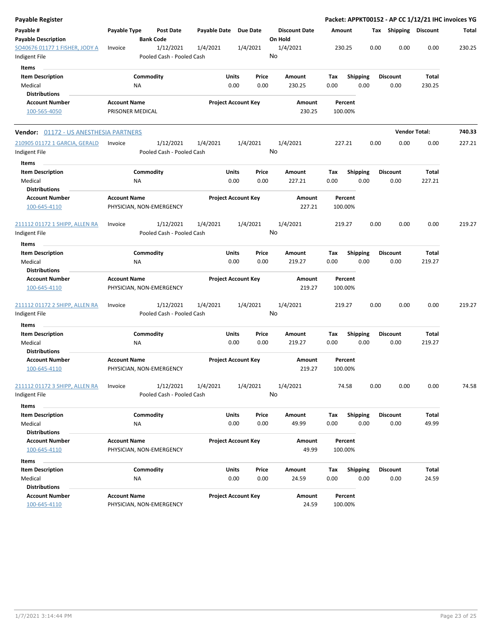| <b>Payable Register</b>                       |                     |                                      |                       |                            |       |                                 |         |                 |      |                       | Packet: APPKT00152 - AP CC 1/12/21 IHC invoices YG |        |
|-----------------------------------------------|---------------------|--------------------------------------|-----------------------|----------------------------|-------|---------------------------------|---------|-----------------|------|-----------------------|----------------------------------------------------|--------|
| Payable #<br><b>Payable Description</b>       | Payable Type        | <b>Post Date</b><br><b>Bank Code</b> | Payable Date Due Date |                            |       | <b>Discount Date</b><br>On Hold | Amount  |                 |      | Tax Shipping Discount |                                                    | Total  |
| SO40676 01177 1 FISHER, JODY A                | Invoice             | 1/12/2021                            | 1/4/2021              | 1/4/2021                   |       | 1/4/2021                        | 230.25  |                 | 0.00 | 0.00                  | 0.00                                               | 230.25 |
| Indigent File                                 |                     | Pooled Cash - Pooled Cash            |                       |                            |       | No                              |         |                 |      |                       |                                                    |        |
| Items                                         |                     |                                      |                       |                            |       |                                 |         |                 |      |                       |                                                    |        |
| <b>Item Description</b>                       |                     | Commodity                            |                       | Units                      | Price | Amount                          | Tax     | <b>Shipping</b> |      | <b>Discount</b>       | Total                                              |        |
| Medical                                       | NA                  |                                      |                       | 0.00                       | 0.00  | 230.25                          | 0.00    | 0.00            |      | 0.00                  | 230.25                                             |        |
| <b>Distributions</b>                          |                     |                                      |                       |                            |       |                                 |         |                 |      |                       |                                                    |        |
| <b>Account Number</b>                         | <b>Account Name</b> |                                      |                       | <b>Project Account Key</b> |       | Amount                          |         | Percent         |      |                       |                                                    |        |
| 100-565-4050                                  | PRISONER MEDICAL    |                                      |                       |                            |       | 230.25                          | 100.00% |                 |      |                       |                                                    |        |
| Vendor: 01172 - US ANESTHESIA PARTNERS        |                     |                                      |                       |                            |       |                                 |         |                 |      |                       | <b>Vendor Total:</b>                               | 740.33 |
| 210905 01172 1 GARCIA, GERALD                 | Invoice             | 1/12/2021                            | 1/4/2021              | 1/4/2021                   |       | 1/4/2021                        | 227.21  |                 | 0.00 | 0.00                  | 0.00                                               | 227.21 |
| Indigent File                                 |                     | Pooled Cash - Pooled Cash            |                       |                            |       | No                              |         |                 |      |                       |                                                    |        |
| Items                                         |                     |                                      |                       |                            |       |                                 |         |                 |      |                       |                                                    |        |
| <b>Item Description</b>                       |                     | Commodity                            |                       | Units                      | Price | Amount                          | Tax     | Shipping        |      | <b>Discount</b>       | Total                                              |        |
| Medical                                       | ΝA                  |                                      |                       | 0.00                       | 0.00  | 227.21                          | 0.00    | 0.00            |      | 0.00                  | 227.21                                             |        |
| <b>Distributions</b>                          |                     |                                      |                       |                            |       |                                 |         |                 |      |                       |                                                    |        |
| <b>Account Number</b>                         | <b>Account Name</b> |                                      |                       | <b>Project Account Key</b> |       | Amount                          |         | Percent         |      |                       |                                                    |        |
| 100-645-4110                                  |                     | PHYSICIAN, NON-EMERGENCY             |                       |                            |       | 227.21                          | 100.00% |                 |      |                       |                                                    |        |
| 211112 01172 1 SHIPP, ALLEN RA                | Invoice             | 1/12/2021                            | 1/4/2021              | 1/4/2021                   |       | 1/4/2021                        | 219.27  |                 | 0.00 | 0.00                  | 0.00                                               | 219.27 |
| Indigent File                                 |                     | Pooled Cash - Pooled Cash            |                       |                            |       | No                              |         |                 |      |                       |                                                    |        |
| Items                                         |                     |                                      |                       |                            |       |                                 |         |                 |      |                       |                                                    |        |
| <b>Item Description</b>                       |                     | Commodity                            |                       | Units                      | Price | Amount                          | Tax     | <b>Shipping</b> |      | <b>Discount</b>       | Total                                              |        |
| Medical                                       | NA                  |                                      |                       | 0.00                       | 0.00  | 219.27                          | 0.00    | 0.00            |      | 0.00                  | 219.27                                             |        |
| <b>Distributions</b>                          |                     |                                      |                       |                            |       |                                 |         |                 |      |                       |                                                    |        |
| <b>Account Number</b>                         | <b>Account Name</b> |                                      |                       | <b>Project Account Key</b> |       | Amount                          |         | Percent         |      |                       |                                                    |        |
| 100-645-4110                                  |                     | PHYSICIAN, NON-EMERGENCY             |                       |                            |       | 219.27                          | 100.00% |                 |      |                       |                                                    |        |
| 211112 01172 2 SHIPP, ALLEN RA                | Invoice             | 1/12/2021                            | 1/4/2021              | 1/4/2021                   |       | 1/4/2021                        | 219.27  |                 | 0.00 | 0.00                  | 0.00                                               | 219.27 |
| Indigent File                                 |                     | Pooled Cash - Pooled Cash            |                       |                            |       | No                              |         |                 |      |                       |                                                    |        |
| Items                                         |                     |                                      |                       |                            |       |                                 |         |                 |      |                       |                                                    |        |
| <b>Item Description</b>                       |                     | Commodity                            |                       | Units                      | Price | Amount                          | Tax     | <b>Shipping</b> |      | <b>Discount</b>       | <b>Total</b>                                       |        |
| Medical                                       | ΝA                  |                                      |                       | 0.00                       | 0.00  | 219.27                          | 0.00    | 0.00            |      | 0.00                  | 219.27                                             |        |
| <b>Distributions</b>                          |                     |                                      |                       |                            |       |                                 |         |                 |      |                       |                                                    |        |
| <b>Account Number</b>                         | <b>Account Name</b> |                                      |                       | <b>Project Account Key</b> |       | Amount                          |         | Percent         |      |                       |                                                    |        |
| 100-645-4110                                  |                     | PHYSICIAN, NON-EMERGENCY             |                       |                            |       | 219.27                          | 100.00% |                 |      |                       |                                                    |        |
| 211112 01172 3 SHIPP, ALLEN RA                | Invoice             | 1/12/2021                            | 1/4/2021              | 1/4/2021                   |       | 1/4/2021                        |         | 74.58           | 0.00 | 0.00                  | 0.00                                               | 74.58  |
| Indigent File                                 |                     | Pooled Cash - Pooled Cash            |                       |                            |       | No                              |         |                 |      |                       |                                                    |        |
|                                               |                     |                                      |                       |                            |       |                                 |         |                 |      |                       |                                                    |        |
| Items                                         |                     |                                      |                       |                            |       |                                 |         |                 |      |                       |                                                    |        |
| <b>Item Description</b>                       |                     | Commodity                            |                       | Units                      | Price | Amount                          | Tax     | <b>Shipping</b> |      | <b>Discount</b>       | <b>Total</b>                                       |        |
| Medical                                       | NA                  |                                      |                       | 0.00                       | 0.00  | 49.99                           | 0.00    | 0.00            |      | 0.00                  | 49.99                                              |        |
| <b>Distributions</b><br><b>Account Number</b> | <b>Account Name</b> |                                      |                       |                            |       |                                 |         | Percent         |      |                       |                                                    |        |
| 100-645-4110                                  |                     | PHYSICIAN, NON-EMERGENCY             |                       | <b>Project Account Key</b> |       | Amount<br>49.99                 | 100.00% |                 |      |                       |                                                    |        |
|                                               |                     |                                      |                       |                            |       |                                 |         |                 |      |                       |                                                    |        |
| Items                                         |                     |                                      |                       |                            |       |                                 |         |                 |      |                       |                                                    |        |
| <b>Item Description</b>                       |                     | Commodity                            |                       | Units                      | Price | <b>Amount</b>                   | Tax     | <b>Shipping</b> |      | <b>Discount</b>       | Total                                              |        |
| Medical                                       | NA                  |                                      |                       | 0.00                       | 0.00  | 24.59                           | 0.00    | 0.00            |      | 0.00                  | 24.59                                              |        |
| <b>Distributions</b>                          |                     |                                      |                       |                            |       |                                 |         |                 |      |                       |                                                    |        |
| <b>Account Number</b>                         | <b>Account Name</b> |                                      |                       | <b>Project Account Key</b> |       | Amount                          |         | Percent         |      |                       |                                                    |        |
| 100-645-4110                                  |                     | PHYSICIAN, NON-EMERGENCY             |                       |                            |       | 24.59                           | 100.00% |                 |      |                       |                                                    |        |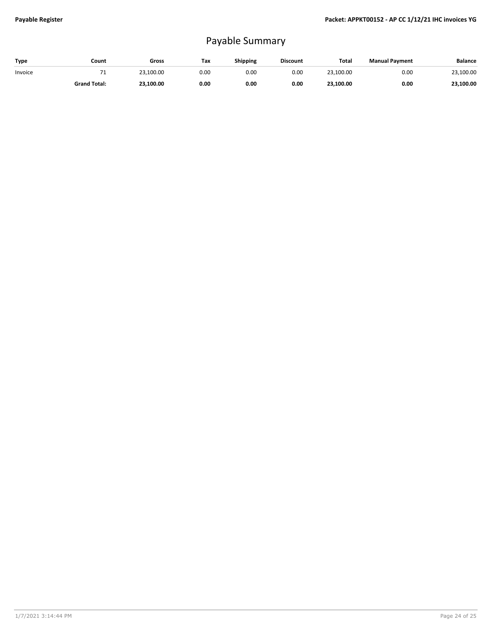# Payable Summary

| Type    | Count               | Gross     | Тах  | Shipping | <b>Discount</b> | Total     | <b>Manual Payment</b> | <b>Balance</b> |
|---------|---------------------|-----------|------|----------|-----------------|-----------|-----------------------|----------------|
| Invoice |                     | 23.100.00 | 0.00 | 0.00     | 0.00            | 23.100.00 | 0.00                  | 23,100.00      |
|         | <b>Grand Total:</b> | 23.100.00 | 0.00 | 0.00     | 0.00            | 23,100.00 | 0.00                  | 23,100.00      |